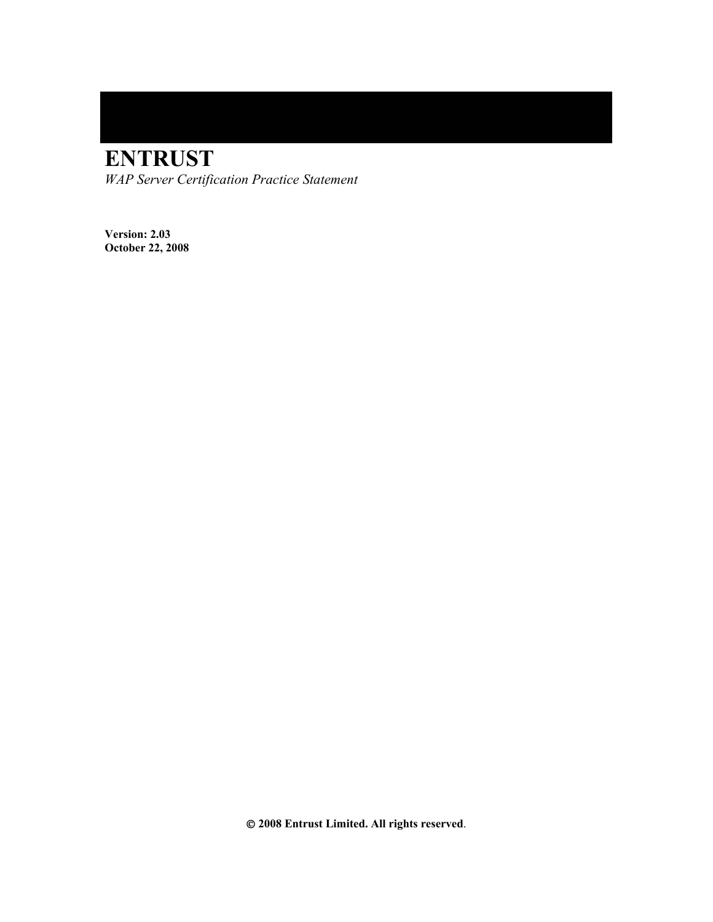# **ENTRUST**

*WAP Server Certification Practice Statement* 

**Version: 2.03 October 22, 2008**

 **2008 Entrust Limited. All rights reserved**.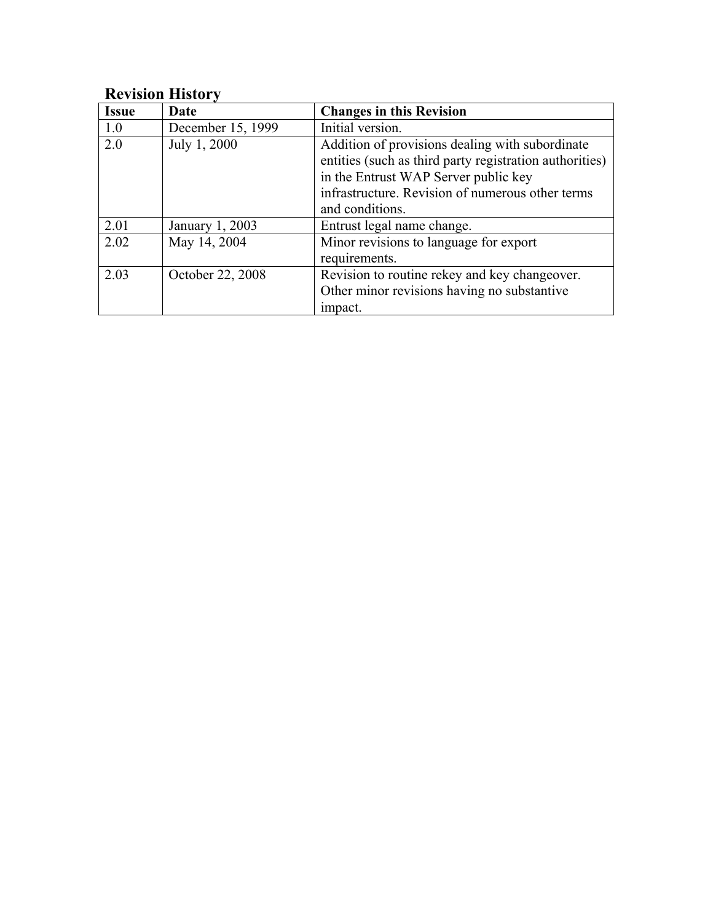# **Revision History**

| <b>Issue</b> | Date              | <b>Changes in this Revision</b>                                                                                                                                                                                           |
|--------------|-------------------|---------------------------------------------------------------------------------------------------------------------------------------------------------------------------------------------------------------------------|
| 1.0          | December 15, 1999 | Initial version.                                                                                                                                                                                                          |
| 2.0          | July 1, 2000      | Addition of provisions dealing with subordinate<br>entities (such as third party registration authorities)<br>in the Entrust WAP Server public key<br>infrastructure. Revision of numerous other terms<br>and conditions. |
| 2.01         | January 1, 2003   | Entrust legal name change.                                                                                                                                                                                                |
| 2.02         | May 14, 2004      | Minor revisions to language for export<br>requirements.                                                                                                                                                                   |
| 2.03         | October 22, 2008  | Revision to routine rekey and key changeover.<br>Other minor revisions having no substantive<br>impact.                                                                                                                   |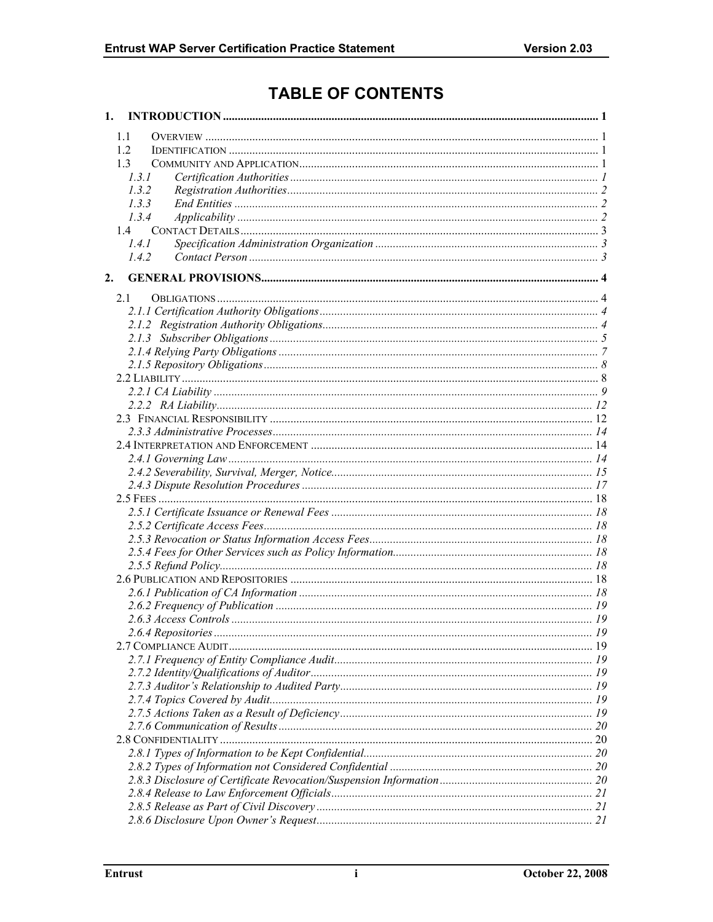# **TABLE OF CONTENTS**

| 1. |       |  |
|----|-------|--|
|    | 1.1   |  |
|    | 1.2   |  |
|    | 1.3   |  |
|    | 1.3.1 |  |
|    | 1.3.2 |  |
|    | 1.3.3 |  |
|    | 1.3.4 |  |
|    | 1.4   |  |
|    | 1.4.1 |  |
|    | 142   |  |
| 2. |       |  |
|    | 2.1   |  |
|    |       |  |
|    |       |  |
|    |       |  |
|    |       |  |
|    |       |  |
|    |       |  |
|    |       |  |
|    |       |  |
|    |       |  |
|    |       |  |
|    |       |  |
|    |       |  |
|    |       |  |
|    |       |  |
|    |       |  |
|    |       |  |
|    |       |  |
|    |       |  |
|    |       |  |
|    |       |  |
|    |       |  |
|    |       |  |
|    |       |  |
|    |       |  |
|    |       |  |
|    |       |  |
|    |       |  |
|    |       |  |
|    |       |  |
|    |       |  |
|    |       |  |
|    |       |  |
|    |       |  |
|    |       |  |
|    |       |  |
|    |       |  |
|    |       |  |
|    |       |  |
|    |       |  |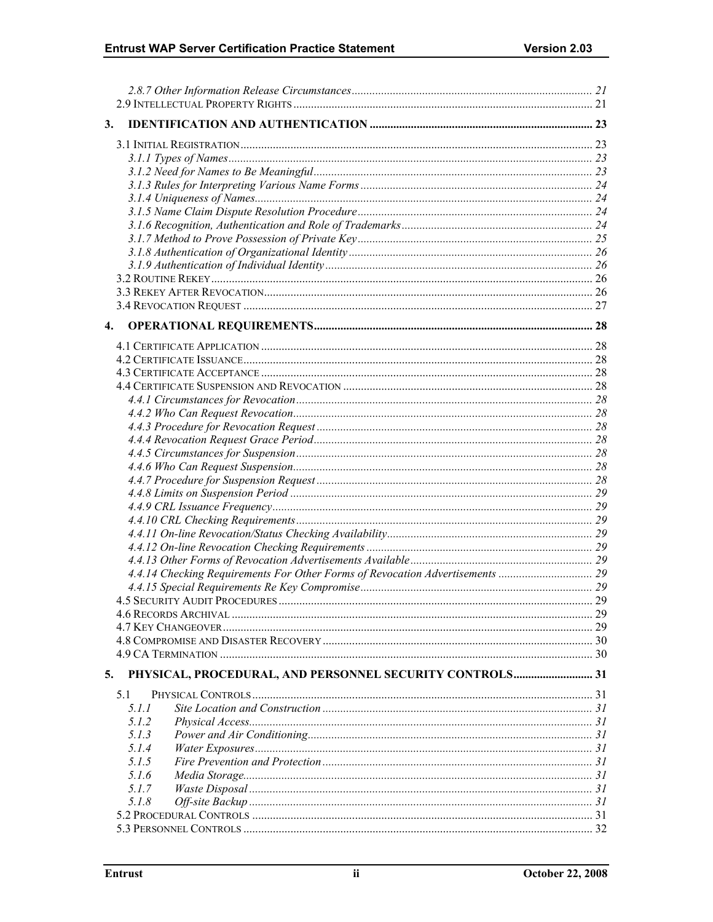| 3.                                                                            |    |
|-------------------------------------------------------------------------------|----|
|                                                                               |    |
|                                                                               |    |
|                                                                               |    |
|                                                                               |    |
|                                                                               |    |
|                                                                               |    |
|                                                                               |    |
|                                                                               |    |
|                                                                               |    |
|                                                                               |    |
|                                                                               |    |
|                                                                               |    |
|                                                                               |    |
|                                                                               |    |
| 4.                                                                            |    |
|                                                                               |    |
|                                                                               |    |
|                                                                               |    |
|                                                                               |    |
|                                                                               |    |
|                                                                               |    |
|                                                                               |    |
|                                                                               |    |
|                                                                               |    |
|                                                                               |    |
|                                                                               |    |
|                                                                               |    |
|                                                                               |    |
|                                                                               |    |
|                                                                               |    |
|                                                                               |    |
|                                                                               |    |
| 4.4.14 Checking Requirements For Other Forms of Revocation Advertisements  29 |    |
|                                                                               |    |
|                                                                               |    |
|                                                                               | 29 |
|                                                                               |    |
|                                                                               |    |
|                                                                               |    |
| PHYSICAL, PROCEDURAL, AND PERSONNEL SECURITY CONTROLS 31<br>5.                |    |
| 5.1                                                                           |    |
| 5.1.1                                                                         |    |
| 5.1.2                                                                         |    |
| 5.1.3                                                                         |    |
| 5.1.4                                                                         |    |
| 5.1.5                                                                         |    |
| 5.1.6                                                                         |    |
| 5.1.7                                                                         |    |
| 5.1.8                                                                         |    |
|                                                                               |    |
|                                                                               |    |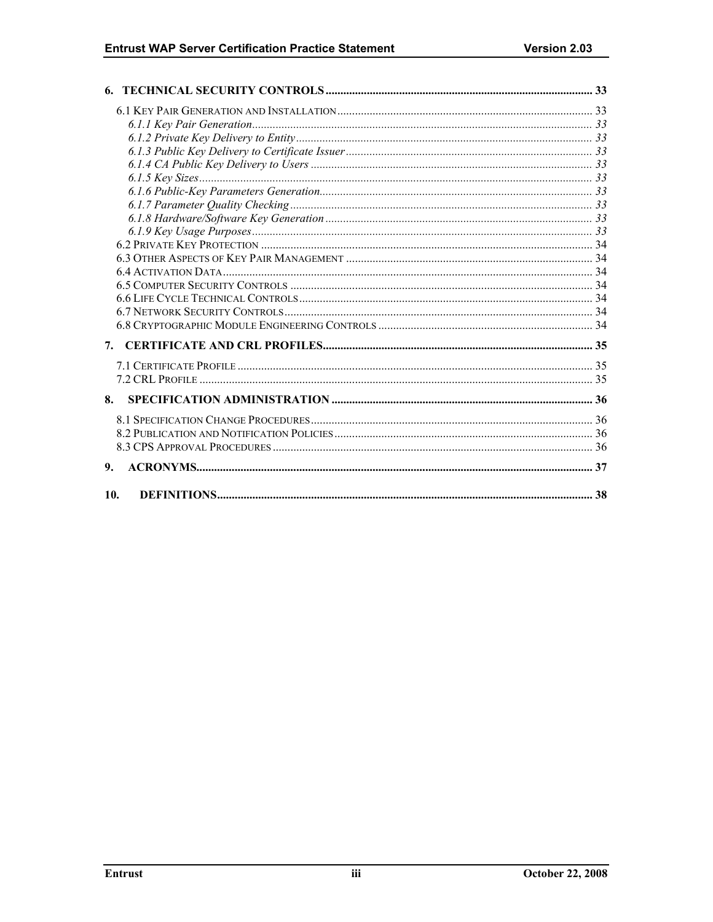| 7.  |  |
|-----|--|
|     |  |
|     |  |
|     |  |
| 8.  |  |
|     |  |
|     |  |
|     |  |
| 9.  |  |
|     |  |
| 10. |  |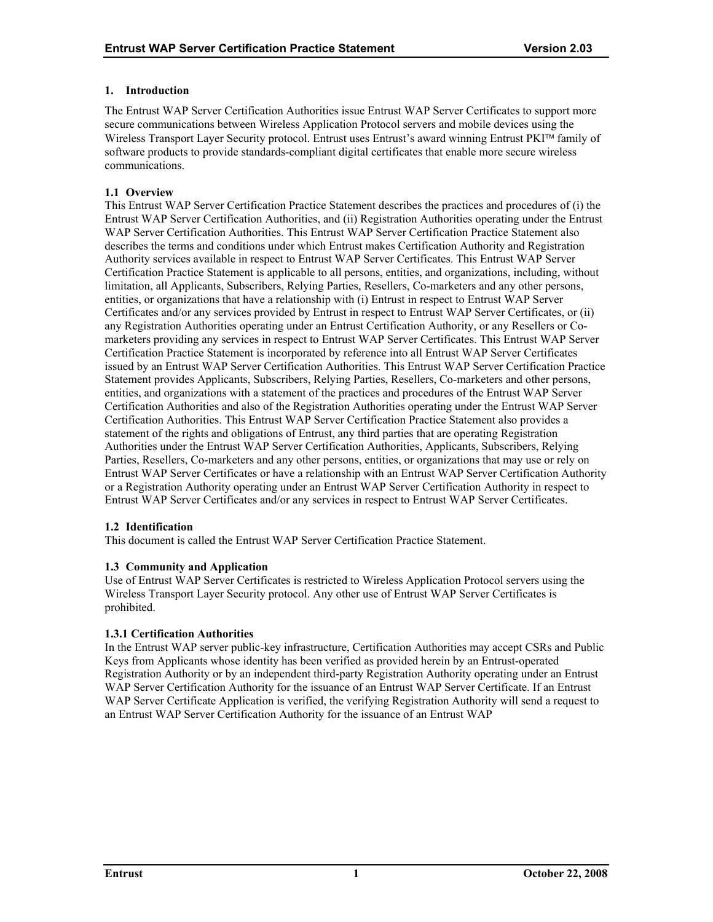# <span id="page-5-0"></span>**1. Introduction**

The Entrust WAP Server Certification Authorities issue Entrust WAP Server Certificates to support more secure communications between Wireless Application Protocol servers and mobile devices using the Wireless Transport Layer Security protocol. Entrust uses Entrust's award winning Entrust PKI™ family of software products to provide standards-compliant digital certificates that enable more secure wireless communications.

# **1.1 Overview**

This Entrust WAP Server Certification Practice Statement describes the practices and procedures of (i) the Entrust WAP Server Certification Authorities, and (ii) Registration Authorities operating under the Entrust WAP Server Certification Authorities. This Entrust WAP Server Certification Practice Statement also describes the terms and conditions under which Entrust makes Certification Authority and Registration Authority services available in respect to Entrust WAP Server Certificates. This Entrust WAP Server Certification Practice Statement is applicable to all persons, entities, and organizations, including, without limitation, all Applicants, Subscribers, Relying Parties, Resellers, Co-marketers and any other persons, entities, or organizations that have a relationship with (i) Entrust in respect to Entrust WAP Server Certificates and/or any services provided by Entrust in respect to Entrust WAP Server Certificates, or (ii) any Registration Authorities operating under an Entrust Certification Authority, or any Resellers or Comarketers providing any services in respect to Entrust WAP Server Certificates. This Entrust WAP Server Certification Practice Statement is incorporated by reference into all Entrust WAP Server Certificates issued by an Entrust WAP Server Certification Authorities. This Entrust WAP Server Certification Practice Statement provides Applicants, Subscribers, Relying Parties, Resellers, Co-marketers and other persons, entities, and organizations with a statement of the practices and procedures of the Entrust WAP Server Certification Authorities and also of the Registration Authorities operating under the Entrust WAP Server Certification Authorities. This Entrust WAP Server Certification Practice Statement also provides a statement of the rights and obligations of Entrust, any third parties that are operating Registration Authorities under the Entrust WAP Server Certification Authorities, Applicants, Subscribers, Relying Parties, Resellers, Co-marketers and any other persons, entities, or organizations that may use or rely on Entrust WAP Server Certificates or have a relationship with an Entrust WAP Server Certification Authority or a Registration Authority operating under an Entrust WAP Server Certification Authority in respect to Entrust WAP Server Certificates and/or any services in respect to Entrust WAP Server Certificates.

# **1.2 Identification**

This document is called the Entrust WAP Server Certification Practice Statement.

# **1.3 Community and Application**

Use of Entrust WAP Server Certificates is restricted to Wireless Application Protocol servers using the Wireless Transport Layer Security protocol. Any other use of Entrust WAP Server Certificates is prohibited.

# **1.3.1 Certification Authorities**

In the Entrust WAP server public-key infrastructure, Certification Authorities may accept CSRs and Public Keys from Applicants whose identity has been verified as provided herein by an Entrust-operated Registration Authority or by an independent third-party Registration Authority operating under an Entrust WAP Server Certification Authority for the issuance of an Entrust WAP Server Certificate. If an Entrust WAP Server Certificate Application is verified, the verifying Registration Authority will send a request to an Entrust WAP Server Certification Authority for the issuance of an Entrust WAP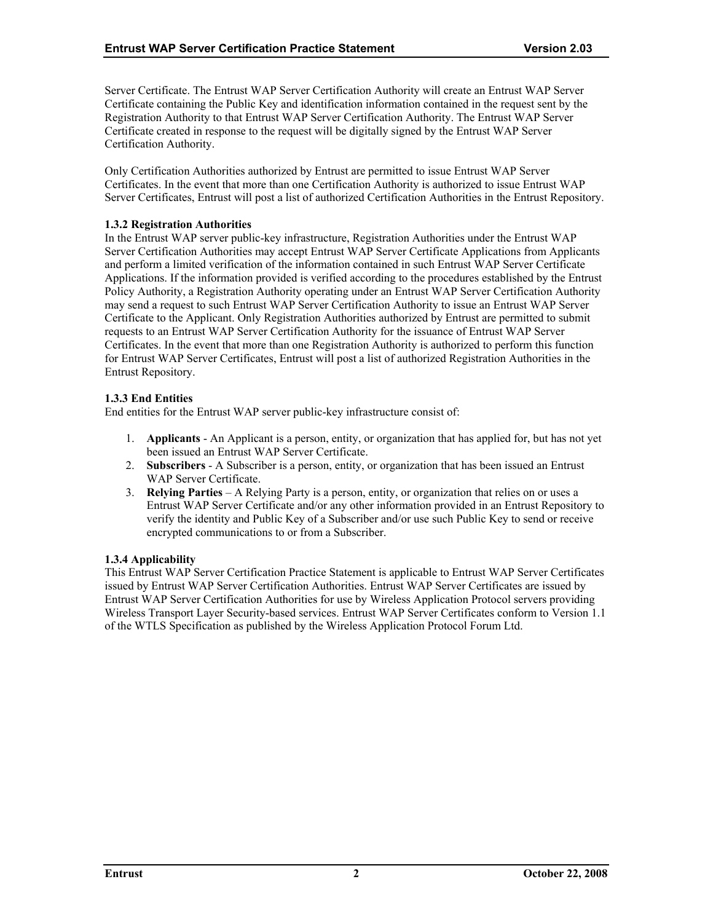<span id="page-6-0"></span>Server Certificate. The Entrust WAP Server Certification Authority will create an Entrust WAP Server Certificate containing the Public Key and identification information contained in the request sent by the Registration Authority to that Entrust WAP Server Certification Authority. The Entrust WAP Server Certificate created in response to the request will be digitally signed by the Entrust WAP Server Certification Authority.

Only Certification Authorities authorized by Entrust are permitted to issue Entrust WAP Server Certificates. In the event that more than one Certification Authority is authorized to issue Entrust WAP Server Certificates, Entrust will post a list of authorized Certification Authorities in the Entrust Repository.

# **1.3.2 Registration Authorities**

In the Entrust WAP server public-key infrastructure, Registration Authorities under the Entrust WAP Server Certification Authorities may accept Entrust WAP Server Certificate Applications from Applicants and perform a limited verification of the information contained in such Entrust WAP Server Certificate Applications. If the information provided is verified according to the procedures established by the Entrust Policy Authority, a Registration Authority operating under an Entrust WAP Server Certification Authority may send a request to such Entrust WAP Server Certification Authority to issue an Entrust WAP Server Certificate to the Applicant. Only Registration Authorities authorized by Entrust are permitted to submit requests to an Entrust WAP Server Certification Authority for the issuance of Entrust WAP Server Certificates. In the event that more than one Registration Authority is authorized to perform this function for Entrust WAP Server Certificates, Entrust will post a list of authorized Registration Authorities in the Entrust Repository.

# **1.3.3 End Entities**

End entities for the Entrust WAP server public-key infrastructure consist of:

- 1. **Applicants**  An Applicant is a person, entity, or organization that has applied for, but has not yet been issued an Entrust WAP Server Certificate.
- 2. **Subscribers** A Subscriber is a person, entity, or organization that has been issued an Entrust WAP Server Certificate.
- 3. **Relying Parties**  A Relying Party is a person, entity, or organization that relies on or uses a Entrust WAP Server Certificate and/or any other information provided in an Entrust Repository to verify the identity and Public Key of a Subscriber and/or use such Public Key to send or receive encrypted communications to or from a Subscriber.

# **1.3.4 Applicability**

This Entrust WAP Server Certification Practice Statement is applicable to Entrust WAP Server Certificates issued by Entrust WAP Server Certification Authorities. Entrust WAP Server Certificates are issued by Entrust WAP Server Certification Authorities for use by Wireless Application Protocol servers providing Wireless Transport Layer Security-based services. Entrust WAP Server Certificates conform to Version 1.1 of the WTLS Specification as published by the Wireless Application Protocol Forum Ltd.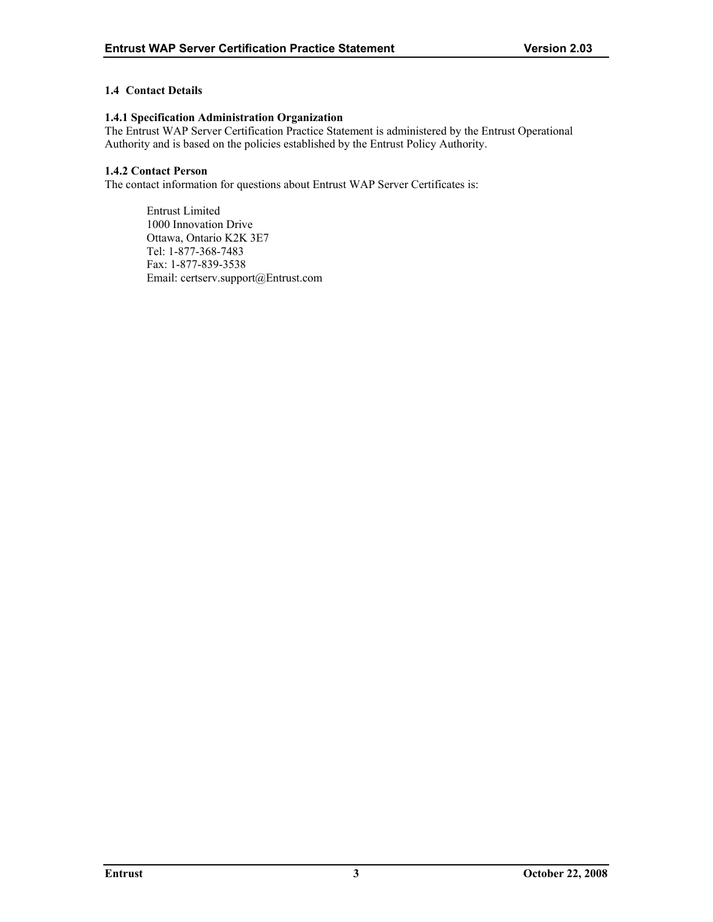# <span id="page-7-0"></span>**1.4 Contact Details**

#### **1.4.1 Specification Administration Organization**

The Entrust WAP Server Certification Practice Statement is administered by the Entrust Operational Authority and is based on the policies established by the Entrust Policy Authority.

# **1.4.2 Contact Person**

The contact information for questions about Entrust WAP Server Certificates is:

Entrust Limited 1000 Innovation Drive Ottawa, Ontario K2K 3E7 Tel: 1-877-368-7483 Fax: 1-877-839-3538 Email: certserv.support@Entrust.com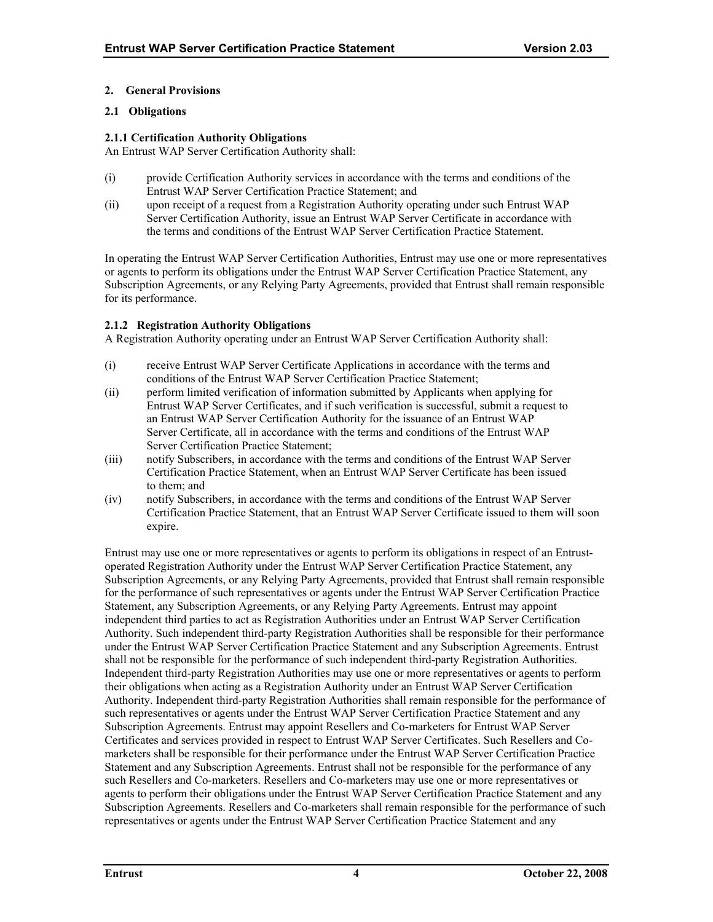# <span id="page-8-0"></span>**2. General Provisions**

# **2.1 Obligations**

# **2.1.1 Certification Authority Obligations**

An Entrust WAP Server Certification Authority shall:

- (i) provide Certification Authority services in accordance with the terms and conditions of the Entrust WAP Server Certification Practice Statement; and
- (ii) upon receipt of a request from a Registration Authority operating under such Entrust WAP Server Certification Authority, issue an Entrust WAP Server Certificate in accordance with the terms and conditions of the Entrust WAP Server Certification Practice Statement.

In operating the Entrust WAP Server Certification Authorities, Entrust may use one or more representatives or agents to perform its obligations under the Entrust WAP Server Certification Practice Statement, any Subscription Agreements, or any Relying Party Agreements, provided that Entrust shall remain responsible for its performance.

# **2.1.2 Registration Authority Obligations**

A Registration Authority operating under an Entrust WAP Server Certification Authority shall:

- (i) receive Entrust WAP Server Certificate Applications in accordance with the terms and conditions of the Entrust WAP Server Certification Practice Statement;
- (ii) perform limited verification of information submitted by Applicants when applying for Entrust WAP Server Certificates, and if such verification is successful, submit a request to an Entrust WAP Server Certification Authority for the issuance of an Entrust WAP Server Certificate, all in accordance with the terms and conditions of the Entrust WAP Server Certification Practice Statement;
- (iii) notify Subscribers, in accordance with the terms and conditions of the Entrust WAP Server Certification Practice Statement, when an Entrust WAP Server Certificate has been issued to them; and
- (iv) notify Subscribers, in accordance with the terms and conditions of the Entrust WAP Server Certification Practice Statement, that an Entrust WAP Server Certificate issued to them will soon expire.

Entrust may use one or more representatives or agents to perform its obligations in respect of an Entrustoperated Registration Authority under the Entrust WAP Server Certification Practice Statement, any Subscription Agreements, or any Relying Party Agreements, provided that Entrust shall remain responsible for the performance of such representatives or agents under the Entrust WAP Server Certification Practice Statement, any Subscription Agreements, or any Relying Party Agreements. Entrust may appoint independent third parties to act as Registration Authorities under an Entrust WAP Server Certification Authority. Such independent third-party Registration Authorities shall be responsible for their performance under the Entrust WAP Server Certification Practice Statement and any Subscription Agreements. Entrust shall not be responsible for the performance of such independent third-party Registration Authorities. Independent third-party Registration Authorities may use one or more representatives or agents to perform their obligations when acting as a Registration Authority under an Entrust WAP Server Certification Authority. Independent third-party Registration Authorities shall remain responsible for the performance of such representatives or agents under the Entrust WAP Server Certification Practice Statement and any Subscription Agreements. Entrust may appoint Resellers and Co-marketers for Entrust WAP Server Certificates and services provided in respect to Entrust WAP Server Certificates. Such Resellers and Comarketers shall be responsible for their performance under the Entrust WAP Server Certification Practice Statement and any Subscription Agreements. Entrust shall not be responsible for the performance of any such Resellers and Co-marketers. Resellers and Co-marketers may use one or more representatives or agents to perform their obligations under the Entrust WAP Server Certification Practice Statement and any Subscription Agreements. Resellers and Co-marketers shall remain responsible for the performance of such representatives or agents under the Entrust WAP Server Certification Practice Statement and any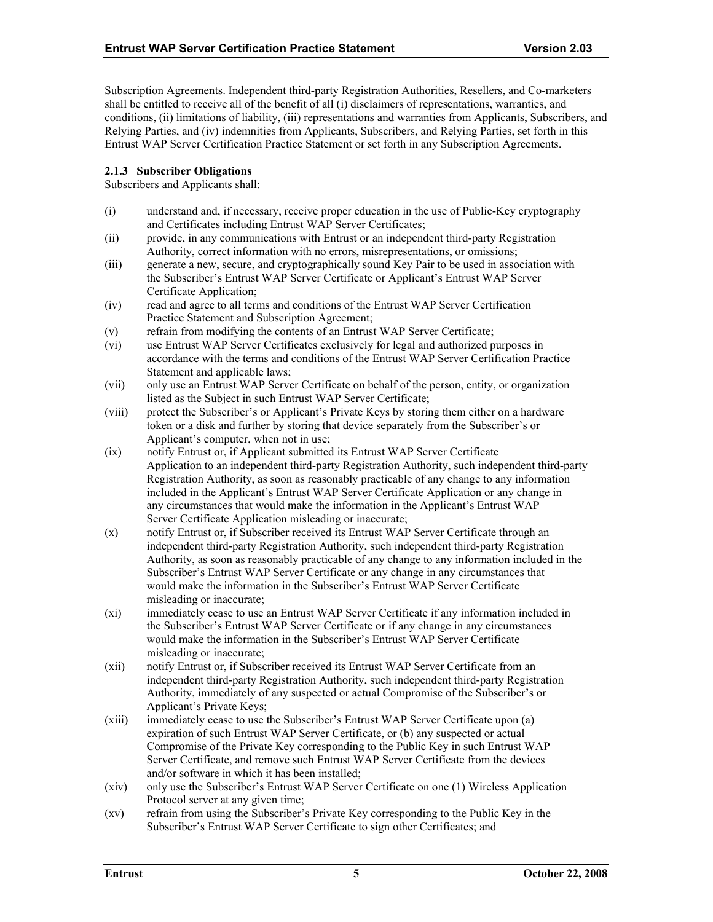<span id="page-9-0"></span>Subscription Agreements. Independent third-party Registration Authorities, Resellers, and Co-marketers shall be entitled to receive all of the benefit of all (i) disclaimers of representations, warranties, and conditions, (ii) limitations of liability, (iii) representations and warranties from Applicants, Subscribers, and Relying Parties, and (iv) indemnities from Applicants, Subscribers, and Relying Parties, set forth in this Entrust WAP Server Certification Practice Statement or set forth in any Subscription Agreements.

# **2.1.3 Subscriber Obligations**

Subscribers and Applicants shall:

- (i) understand and, if necessary, receive proper education in the use of Public-Key cryptography and Certificates including Entrust WAP Server Certificates;
- (ii) provide, in any communications with Entrust or an independent third-party Registration Authority, correct information with no errors, misrepresentations, or omissions;
- (iii) generate a new, secure, and cryptographically sound Key Pair to be used in association with the Subscriber's Entrust WAP Server Certificate or Applicant's Entrust WAP Server Certificate Application;
- (iv) read and agree to all terms and conditions of the Entrust WAP Server Certification Practice Statement and Subscription Agreement;
- (v) refrain from modifying the contents of an Entrust WAP Server Certificate;
- (vi) use Entrust WAP Server Certificates exclusively for legal and authorized purposes in accordance with the terms and conditions of the Entrust WAP Server Certification Practice Statement and applicable laws;
- (vii) only use an Entrust WAP Server Certificate on behalf of the person, entity, or organization listed as the Subject in such Entrust WAP Server Certificate;
- (viii) protect the Subscriber's or Applicant's Private Keys by storing them either on a hardware token or a disk and further by storing that device separately from the Subscriber's or Applicant's computer, when not in use;
- (ix) notify Entrust or, if Applicant submitted its Entrust WAP Server Certificate Application to an independent third-party Registration Authority, such independent third-party Registration Authority, as soon as reasonably practicable of any change to any information included in the Applicant's Entrust WAP Server Certificate Application or any change in any circumstances that would make the information in the Applicant's Entrust WAP Server Certificate Application misleading or inaccurate;
- (x) notify Entrust or, if Subscriber received its Entrust WAP Server Certificate through an independent third-party Registration Authority, such independent third-party Registration Authority, as soon as reasonably practicable of any change to any information included in the Subscriber's Entrust WAP Server Certificate or any change in any circumstances that would make the information in the Subscriber's Entrust WAP Server Certificate misleading or inaccurate;
- (xi) immediately cease to use an Entrust WAP Server Certificate if any information included in the Subscriber's Entrust WAP Server Certificate or if any change in any circumstances would make the information in the Subscriber's Entrust WAP Server Certificate misleading or inaccurate;
- (xii) notify Entrust or, if Subscriber received its Entrust WAP Server Certificate from an independent third-party Registration Authority, such independent third-party Registration Authority, immediately of any suspected or actual Compromise of the Subscriber's or Applicant's Private Keys;
- (xiii) immediately cease to use the Subscriber's Entrust WAP Server Certificate upon (a) expiration of such Entrust WAP Server Certificate, or (b) any suspected or actual Compromise of the Private Key corresponding to the Public Key in such Entrust WAP Server Certificate, and remove such Entrust WAP Server Certificate from the devices and/or software in which it has been installed;
- (xiv) only use the Subscriber's Entrust WAP Server Certificate on one (1) Wireless Application Protocol server at any given time;
- (xv) refrain from using the Subscriber's Private Key corresponding to the Public Key in the Subscriber's Entrust WAP Server Certificate to sign other Certificates; and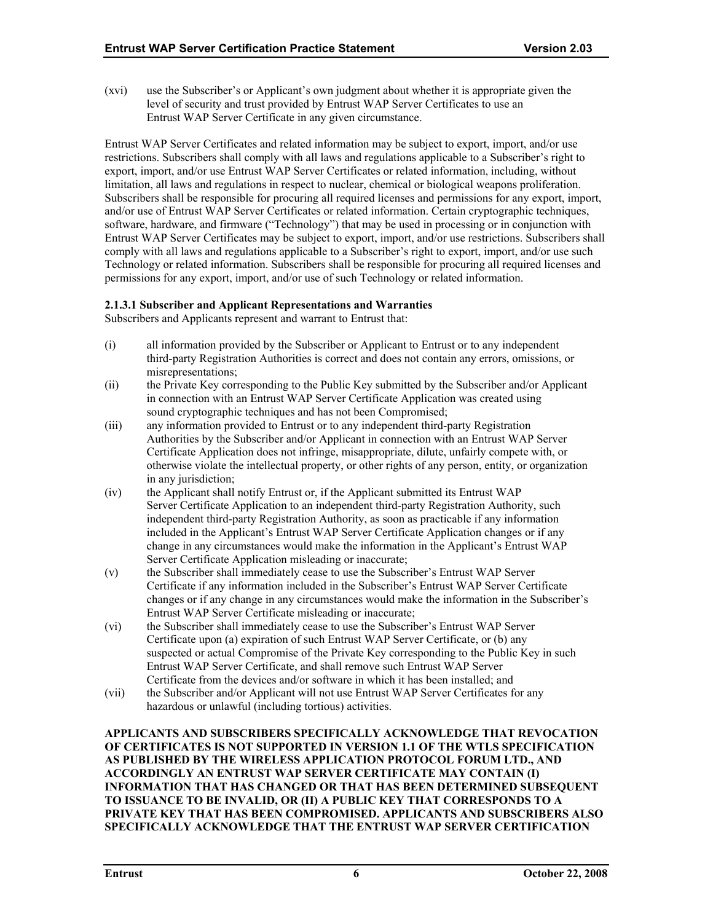(xvi) use the Subscriber's or Applicant's own judgment about whether it is appropriate given the level of security and trust provided by Entrust WAP Server Certificates to use an Entrust WAP Server Certificate in any given circumstance.

Entrust WAP Server Certificates and related information may be subject to export, import, and/or use restrictions. Subscribers shall comply with all laws and regulations applicable to a Subscriber's right to export, import, and/or use Entrust WAP Server Certificates or related information, including, without limitation, all laws and regulations in respect to nuclear, chemical or biological weapons proliferation. Subscribers shall be responsible for procuring all required licenses and permissions for any export, import, and/or use of Entrust WAP Server Certificates or related information. Certain cryptographic techniques, software, hardware, and firmware ("Technology") that may be used in processing or in conjunction with Entrust WAP Server Certificates may be subject to export, import, and/or use restrictions. Subscribers shall comply with all laws and regulations applicable to a Subscriber's right to export, import, and/or use such Technology or related information. Subscribers shall be responsible for procuring all required licenses and permissions for any export, import, and/or use of such Technology or related information.

# **2.1.3.1 Subscriber and Applicant Representations and Warranties**

Subscribers and Applicants represent and warrant to Entrust that:

- (i) all information provided by the Subscriber or Applicant to Entrust or to any independent third-party Registration Authorities is correct and does not contain any errors, omissions, or misrepresentations;
- (ii) the Private Key corresponding to the Public Key submitted by the Subscriber and/or Applicant in connection with an Entrust WAP Server Certificate Application was created using sound cryptographic techniques and has not been Compromised;
- (iii) any information provided to Entrust or to any independent third-party Registration Authorities by the Subscriber and/or Applicant in connection with an Entrust WAP Server Certificate Application does not infringe, misappropriate, dilute, unfairly compete with, or otherwise violate the intellectual property, or other rights of any person, entity, or organization in any jurisdiction;
- (iv) the Applicant shall notify Entrust or, if the Applicant submitted its Entrust WAP Server Certificate Application to an independent third-party Registration Authority, such independent third-party Registration Authority, as soon as practicable if any information included in the Applicant's Entrust WAP Server Certificate Application changes or if any change in any circumstances would make the information in the Applicant's Entrust WAP Server Certificate Application misleading or inaccurate;
- (v) the Subscriber shall immediately cease to use the Subscriber's Entrust WAP Server Certificate if any information included in the Subscriber's Entrust WAP Server Certificate changes or if any change in any circumstances would make the information in the Subscriber's Entrust WAP Server Certificate misleading or inaccurate;
- (vi) the Subscriber shall immediately cease to use the Subscriber's Entrust WAP Server Certificate upon (a) expiration of such Entrust WAP Server Certificate, or (b) any suspected or actual Compromise of the Private Key corresponding to the Public Key in such Entrust WAP Server Certificate, and shall remove such Entrust WAP Server Certificate from the devices and/or software in which it has been installed; and
- (vii) the Subscriber and/or Applicant will not use Entrust WAP Server Certificates for any hazardous or unlawful (including tortious) activities.

**APPLICANTS AND SUBSCRIBERS SPECIFICALLY ACKNOWLEDGE THAT REVOCATION OF CERTIFICATES IS NOT SUPPORTED IN VERSION 1.1 OF THE WTLS SPECIFICATION AS PUBLISHED BY THE WIRELESS APPLICATION PROTOCOL FORUM LTD., AND ACCORDINGLY AN ENTRUST WAP SERVER CERTIFICATE MAY CONTAIN (I) INFORMATION THAT HAS CHANGED OR THAT HAS BEEN DETERMINED SUBSEQUENT TO ISSUANCE TO BE INVALID, OR (II) A PUBLIC KEY THAT CORRESPONDS TO A PRIVATE KEY THAT HAS BEEN COMPROMISED. APPLICANTS AND SUBSCRIBERS ALSO SPECIFICALLY ACKNOWLEDGE THAT THE ENTRUST WAP SERVER CERTIFICATION**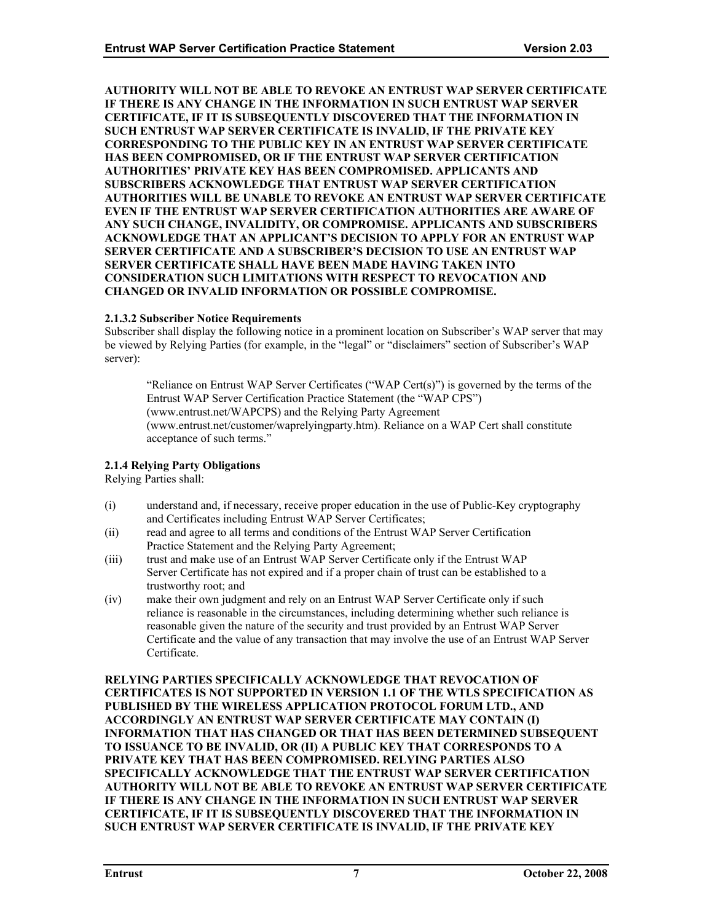<span id="page-11-0"></span>**AUTHORITY WILL NOT BE ABLE TO REVOKE AN ENTRUST WAP SERVER CERTIFICATE IF THERE IS ANY CHANGE IN THE INFORMATION IN SUCH ENTRUST WAP SERVER CERTIFICATE, IF IT IS SUBSEQUENTLY DISCOVERED THAT THE INFORMATION IN SUCH ENTRUST WAP SERVER CERTIFICATE IS INVALID, IF THE PRIVATE KEY CORRESPONDING TO THE PUBLIC KEY IN AN ENTRUST WAP SERVER CERTIFICATE HAS BEEN COMPROMISED, OR IF THE ENTRUST WAP SERVER CERTIFICATION AUTHORITIES' PRIVATE KEY HAS BEEN COMPROMISED. APPLICANTS AND SUBSCRIBERS ACKNOWLEDGE THAT ENTRUST WAP SERVER CERTIFICATION AUTHORITIES WILL BE UNABLE TO REVOKE AN ENTRUST WAP SERVER CERTIFICATE EVEN IF THE ENTRUST WAP SERVER CERTIFICATION AUTHORITIES ARE AWARE OF ANY SUCH CHANGE, INVALIDITY, OR COMPROMISE. APPLICANTS AND SUBSCRIBERS ACKNOWLEDGE THAT AN APPLICANT'S DECISION TO APPLY FOR AN ENTRUST WAP SERVER CERTIFICATE AND A SUBSCRIBER'S DECISION TO USE AN ENTRUST WAP SERVER CERTIFICATE SHALL HAVE BEEN MADE HAVING TAKEN INTO CONSIDERATION SUCH LIMITATIONS WITH RESPECT TO REVOCATION AND CHANGED OR INVALID INFORMATION OR POSSIBLE COMPROMISE.** 

# **2.1.3.2 Subscriber Notice Requirements**

Subscriber shall display the following notice in a prominent location on Subscriber's WAP server that may be viewed by Relying Parties (for example, in the "legal" or "disclaimers" section of Subscriber's WAP server):

"Reliance on Entrust WAP Server Certificates ("WAP Cert(s)") is governed by the terms of the Entrust WAP Server Certification Practice Statement (the "WAP CPS") (www.entrust.net/WAPCPS) and the Relying Party Agreement (www.entrust.net/customer/waprelyingparty.htm). Reliance on a WAP Cert shall constitute acceptance of such terms."

# **2.1.4 Relying Party Obligations**

Relying Parties shall:

- (i) understand and, if necessary, receive proper education in the use of Public-Key cryptography and Certificates including Entrust WAP Server Certificates;
- (ii) read and agree to all terms and conditions of the Entrust WAP Server Certification Practice Statement and the Relying Party Agreement;
- (iii) trust and make use of an Entrust WAP Server Certificate only if the Entrust WAP Server Certificate has not expired and if a proper chain of trust can be established to a trustworthy root; and
- (iv) make their own judgment and rely on an Entrust WAP Server Certificate only if such reliance is reasonable in the circumstances, including determining whether such reliance is reasonable given the nature of the security and trust provided by an Entrust WAP Server Certificate and the value of any transaction that may involve the use of an Entrust WAP Server Certificate.

**RELYING PARTIES SPECIFICALLY ACKNOWLEDGE THAT REVOCATION OF CERTIFICATES IS NOT SUPPORTED IN VERSION 1.1 OF THE WTLS SPECIFICATION AS PUBLISHED BY THE WIRELESS APPLICATION PROTOCOL FORUM LTD., AND ACCORDINGLY AN ENTRUST WAP SERVER CERTIFICATE MAY CONTAIN (I) INFORMATION THAT HAS CHANGED OR THAT HAS BEEN DETERMINED SUBSEQUENT TO ISSUANCE TO BE INVALID, OR (II) A PUBLIC KEY THAT CORRESPONDS TO A PRIVATE KEY THAT HAS BEEN COMPROMISED. RELYING PARTIES ALSO SPECIFICALLY ACKNOWLEDGE THAT THE ENTRUST WAP SERVER CERTIFICATION AUTHORITY WILL NOT BE ABLE TO REVOKE AN ENTRUST WAP SERVER CERTIFICATE IF THERE IS ANY CHANGE IN THE INFORMATION IN SUCH ENTRUST WAP SERVER CERTIFICATE, IF IT IS SUBSEQUENTLY DISCOVERED THAT THE INFORMATION IN SUCH ENTRUST WAP SERVER CERTIFICATE IS INVALID, IF THE PRIVATE KEY**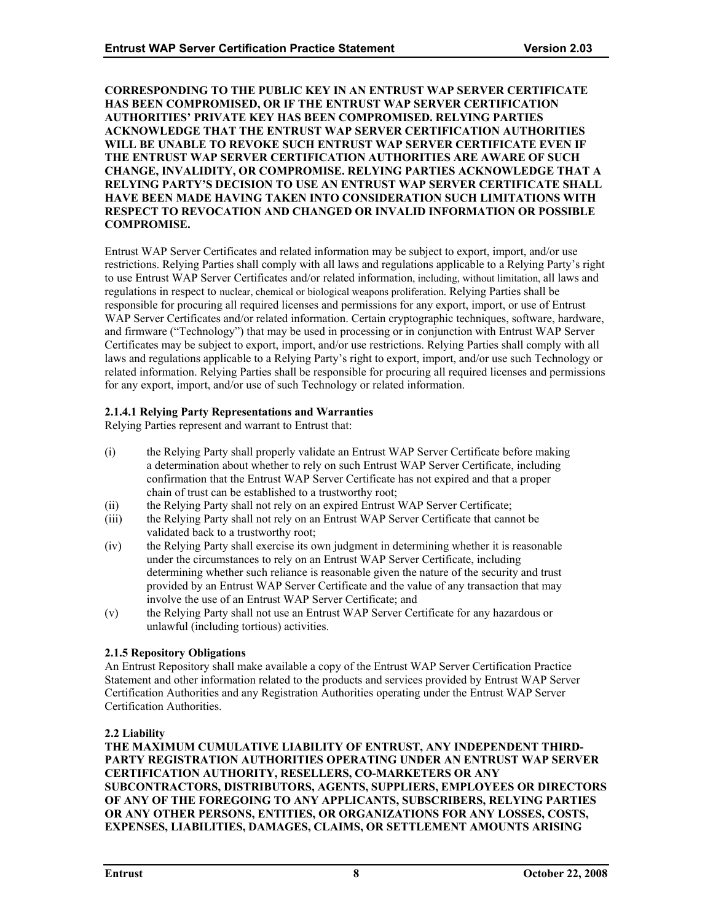#### <span id="page-12-0"></span>**CORRESPONDING TO THE PUBLIC KEY IN AN ENTRUST WAP SERVER CERTIFICATE HAS BEEN COMPROMISED, OR IF THE ENTRUST WAP SERVER CERTIFICATION AUTHORITIES' PRIVATE KEY HAS BEEN COMPROMISED. RELYING PARTIES ACKNOWLEDGE THAT THE ENTRUST WAP SERVER CERTIFICATION AUTHORITIES WILL BE UNABLE TO REVOKE SUCH ENTRUST WAP SERVER CERTIFICATE EVEN IF THE ENTRUST WAP SERVER CERTIFICATION AUTHORITIES ARE AWARE OF SUCH CHANGE, INVALIDITY, OR COMPROMISE. RELYING PARTIES ACKNOWLEDGE THAT A RELYING PARTY'S DECISION TO USE AN ENTRUST WAP SERVER CERTIFICATE SHALL HAVE BEEN MADE HAVING TAKEN INTO CONSIDERATION SUCH LIMITATIONS WITH RESPECT TO REVOCATION AND CHANGED OR INVALID INFORMATION OR POSSIBLE COMPROMISE.**

Entrust WAP Server Certificates and related information may be subject to export, import, and/or use restrictions. Relying Parties shall comply with all laws and regulations applicable to a Relying Party's right to use Entrust WAP Server Certificates and/or related information, including, without limitation, all laws and regulations in respect to nuclear, chemical or biological weapons proliferation. Relying Parties shall be responsible for procuring all required licenses and permissions for any export, import, or use of Entrust WAP Server Certificates and/or related information. Certain cryptographic techniques, software, hardware, and firmware ("Technology") that may be used in processing or in conjunction with Entrust WAP Server Certificates may be subject to export, import, and/or use restrictions. Relying Parties shall comply with all laws and regulations applicable to a Relying Party's right to export, import, and/or use such Technology or related information. Relying Parties shall be responsible for procuring all required licenses and permissions for any export, import, and/or use of such Technology or related information.

# **2.1.4.1 Relying Party Representations and Warranties**

Relying Parties represent and warrant to Entrust that:

- (i) the Relying Party shall properly validate an Entrust WAP Server Certificate before making a determination about whether to rely on such Entrust WAP Server Certificate, including confirmation that the Entrust WAP Server Certificate has not expired and that a proper chain of trust can be established to a trustworthy root;
- (ii) the Relying Party shall not rely on an expired Entrust WAP Server Certificate;
- (iii) the Relying Party shall not rely on an Entrust WAP Server Certificate that cannot be validated back to a trustworthy root;
- (iv) the Relying Party shall exercise its own judgment in determining whether it is reasonable under the circumstances to rely on an Entrust WAP Server Certificate, including determining whether such reliance is reasonable given the nature of the security and trust provided by an Entrust WAP Server Certificate and the value of any transaction that may involve the use of an Entrust WAP Server Certificate; and
- (v) the Relying Party shall not use an Entrust WAP Server Certificate for any hazardous or unlawful (including tortious) activities.

# **2.1.5 Repository Obligations**

An Entrust Repository shall make available a copy of the Entrust WAP Server Certification Practice Statement and other information related to the products and services provided by Entrust WAP Server Certification Authorities and any Registration Authorities operating under the Entrust WAP Server Certification Authorities.

# **2.2 Liability**

**THE MAXIMUM CUMULATIVE LIABILITY OF ENTRUST, ANY INDEPENDENT THIRD-PARTY REGISTRATION AUTHORITIES OPERATING UNDER AN ENTRUST WAP SERVER CERTIFICATION AUTHORITY, RESELLERS, CO-MARKETERS OR ANY SUBCONTRACTORS, DISTRIBUTORS, AGENTS, SUPPLIERS, EMPLOYEES OR DIRECTORS OF ANY OF THE FOREGOING TO ANY APPLICANTS, SUBSCRIBERS, RELYING PARTIES OR ANY OTHER PERSONS, ENTITIES, OR ORGANIZATIONS FOR ANY LOSSES, COSTS, EXPENSES, LIABILITIES, DAMAGES, CLAIMS, OR SETTLEMENT AMOUNTS ARISING**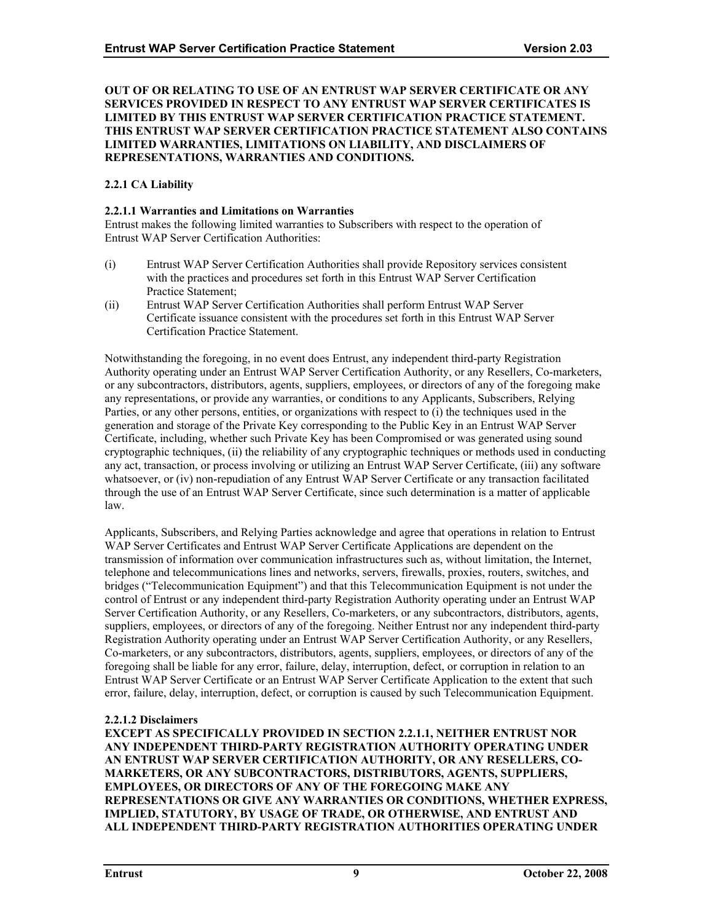#### <span id="page-13-0"></span>**OUT OF OR RELATING TO USE OF AN ENTRUST WAP SERVER CERTIFICATE OR ANY SERVICES PROVIDED IN RESPECT TO ANY ENTRUST WAP SERVER CERTIFICATES IS LIMITED BY THIS ENTRUST WAP SERVER CERTIFICATION PRACTICE STATEMENT. THIS ENTRUST WAP SERVER CERTIFICATION PRACTICE STATEMENT ALSO CONTAINS LIMITED WARRANTIES, LIMITATIONS ON LIABILITY, AND DISCLAIMERS OF REPRESENTATIONS, WARRANTIES AND CONDITIONS.**

# **2.2.1 CA Liability**

# **2.2.1.1 Warranties and Limitations on Warranties**

Entrust makes the following limited warranties to Subscribers with respect to the operation of Entrust WAP Server Certification Authorities:

- (i) Entrust WAP Server Certification Authorities shall provide Repository services consistent with the practices and procedures set forth in this Entrust WAP Server Certification Practice Statement;
- (ii) Entrust WAP Server Certification Authorities shall perform Entrust WAP Server Certificate issuance consistent with the procedures set forth in this Entrust WAP Server Certification Practice Statement.

Notwithstanding the foregoing, in no event does Entrust, any independent third-party Registration Authority operating under an Entrust WAP Server Certification Authority, or any Resellers, Co-marketers, or any subcontractors, distributors, agents, suppliers, employees, or directors of any of the foregoing make any representations, or provide any warranties, or conditions to any Applicants, Subscribers, Relying Parties, or any other persons, entities, or organizations with respect to (i) the techniques used in the generation and storage of the Private Key corresponding to the Public Key in an Entrust WAP Server Certificate, including, whether such Private Key has been Compromised or was generated using sound cryptographic techniques, (ii) the reliability of any cryptographic techniques or methods used in conducting any act, transaction, or process involving or utilizing an Entrust WAP Server Certificate, (iii) any software whatsoever, or (iv) non-repudiation of any Entrust WAP Server Certificate or any transaction facilitated through the use of an Entrust WAP Server Certificate, since such determination is a matter of applicable law.

Applicants, Subscribers, and Relying Parties acknowledge and agree that operations in relation to Entrust WAP Server Certificates and Entrust WAP Server Certificate Applications are dependent on the transmission of information over communication infrastructures such as, without limitation, the Internet, telephone and telecommunications lines and networks, servers, firewalls, proxies, routers, switches, and bridges ("Telecommunication Equipment") and that this Telecommunication Equipment is not under the control of Entrust or any independent third-party Registration Authority operating under an Entrust WAP Server Certification Authority, or any Resellers, Co-marketers, or any subcontractors, distributors, agents, suppliers, employees, or directors of any of the foregoing. Neither Entrust nor any independent third-party Registration Authority operating under an Entrust WAP Server Certification Authority, or any Resellers, Co-marketers, or any subcontractors, distributors, agents, suppliers, employees, or directors of any of the foregoing shall be liable for any error, failure, delay, interruption, defect, or corruption in relation to an Entrust WAP Server Certificate or an Entrust WAP Server Certificate Application to the extent that such error, failure, delay, interruption, defect, or corruption is caused by such Telecommunication Equipment.

# **2.2.1.2 Disclaimers**

**EXCEPT AS SPECIFICALLY PROVIDED IN SECTION 2.2.1.1, NEITHER ENTRUST NOR ANY INDEPENDENT THIRD-PARTY REGISTRATION AUTHORITY OPERATING UNDER AN ENTRUST WAP SERVER CERTIFICATION AUTHORITY, OR ANY RESELLERS, CO-MARKETERS, OR ANY SUBCONTRACTORS, DISTRIBUTORS, AGENTS, SUPPLIERS, EMPLOYEES, OR DIRECTORS OF ANY OF THE FOREGOING MAKE ANY REPRESENTATIONS OR GIVE ANY WARRANTIES OR CONDITIONS, WHETHER EXPRESS, IMPLIED, STATUTORY, BY USAGE OF TRADE, OR OTHERWISE, AND ENTRUST AND ALL INDEPENDENT THIRD-PARTY REGISTRATION AUTHORITIES OPERATING UNDER**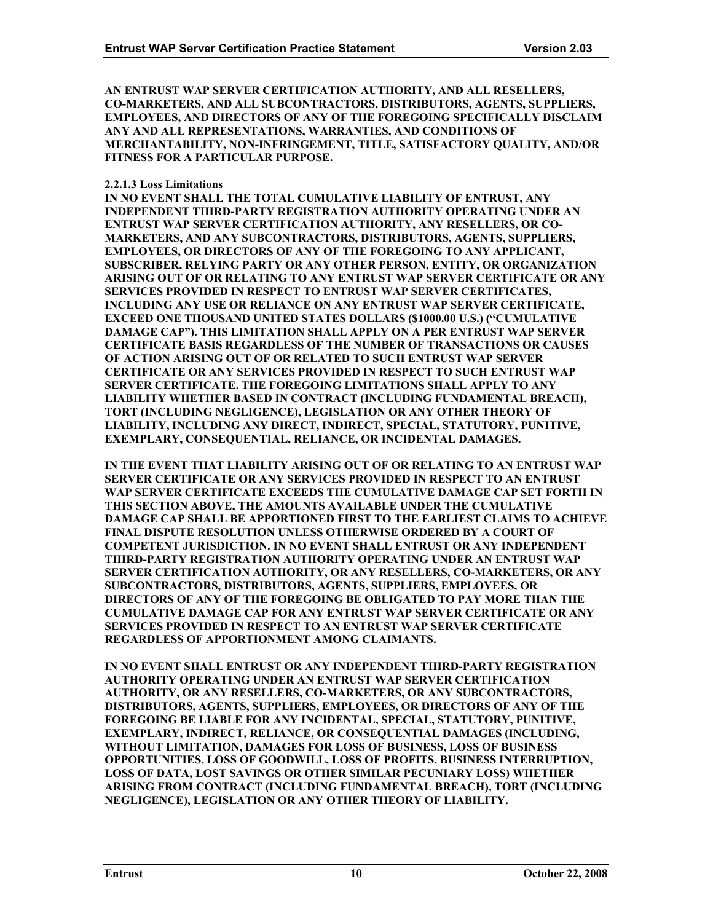**AN ENTRUST WAP SERVER CERTIFICATION AUTHORITY, AND ALL RESELLERS, CO-MARKETERS, AND ALL SUBCONTRACTORS, DISTRIBUTORS, AGENTS, SUPPLIERS, EMPLOYEES, AND DIRECTORS OF ANY OF THE FOREGOING SPECIFICALLY DISCLAIM ANY AND ALL REPRESENTATIONS, WARRANTIES, AND CONDITIONS OF MERCHANTABILITY, NON-INFRINGEMENT, TITLE, SATISFACTORY QUALITY, AND/OR FITNESS FOR A PARTICULAR PURPOSE.** 

#### **2.2.1.3 Loss Limitations**

**IN NO EVENT SHALL THE TOTAL CUMULATIVE LIABILITY OF ENTRUST, ANY INDEPENDENT THIRD-PARTY REGISTRATION AUTHORITY OPERATING UNDER AN ENTRUST WAP SERVER CERTIFICATION AUTHORITY, ANY RESELLERS, OR CO-MARKETERS, AND ANY SUBCONTRACTORS, DISTRIBUTORS, AGENTS, SUPPLIERS, EMPLOYEES, OR DIRECTORS OF ANY OF THE FOREGOING TO ANY APPLICANT, SUBSCRIBER, RELYING PARTY OR ANY OTHER PERSON, ENTITY, OR ORGANIZATION ARISING OUT OF OR RELATING TO ANY ENTRUST WAP SERVER CERTIFICATE OR ANY SERVICES PROVIDED IN RESPECT TO ENTRUST WAP SERVER CERTIFICATES, INCLUDING ANY USE OR RELIANCE ON ANY ENTRUST WAP SERVER CERTIFICATE, EXCEED ONE THOUSAND UNITED STATES DOLLARS (\$1000.00 U.S.) ("CUMULATIVE DAMAGE CAP"). THIS LIMITATION SHALL APPLY ON A PER ENTRUST WAP SERVER CERTIFICATE BASIS REGARDLESS OF THE NUMBER OF TRANSACTIONS OR CAUSES OF ACTION ARISING OUT OF OR RELATED TO SUCH ENTRUST WAP SERVER CERTIFICATE OR ANY SERVICES PROVIDED IN RESPECT TO SUCH ENTRUST WAP SERVER CERTIFICATE. THE FOREGOING LIMITATIONS SHALL APPLY TO ANY LIABILITY WHETHER BASED IN CONTRACT (INCLUDING FUNDAMENTAL BREACH), TORT (INCLUDING NEGLIGENCE), LEGISLATION OR ANY OTHER THEORY OF LIABILITY, INCLUDING ANY DIRECT, INDIRECT, SPECIAL, STATUTORY, PUNITIVE, EXEMPLARY, CONSEQUENTIAL, RELIANCE, OR INCIDENTAL DAMAGES.** 

**IN THE EVENT THAT LIABILITY ARISING OUT OF OR RELATING TO AN ENTRUST WAP SERVER CERTIFICATE OR ANY SERVICES PROVIDED IN RESPECT TO AN ENTRUST WAP SERVER CERTIFICATE EXCEEDS THE CUMULATIVE DAMAGE CAP SET FORTH IN THIS SECTION ABOVE, THE AMOUNTS AVAILABLE UNDER THE CUMULATIVE DAMAGE CAP SHALL BE APPORTIONED FIRST TO THE EARLIEST CLAIMS TO ACHIEVE FINAL DISPUTE RESOLUTION UNLESS OTHERWISE ORDERED BY A COURT OF COMPETENT JURISDICTION. IN NO EVENT SHALL ENTRUST OR ANY INDEPENDENT THIRD-PARTY REGISTRATION AUTHORITY OPERATING UNDER AN ENTRUST WAP SERVER CERTIFICATION AUTHORITY, OR ANY RESELLERS, CO-MARKETERS, OR ANY SUBCONTRACTORS, DISTRIBUTORS, AGENTS, SUPPLIERS, EMPLOYEES, OR DIRECTORS OF ANY OF THE FOREGOING BE OBLIGATED TO PAY MORE THAN THE CUMULATIVE DAMAGE CAP FOR ANY ENTRUST WAP SERVER CERTIFICATE OR ANY SERVICES PROVIDED IN RESPECT TO AN ENTRUST WAP SERVER CERTIFICATE REGARDLESS OF APPORTIONMENT AMONG CLAIMANTS.**

**IN NO EVENT SHALL ENTRUST OR ANY INDEPENDENT THIRD-PARTY REGISTRATION AUTHORITY OPERATING UNDER AN ENTRUST WAP SERVER CERTIFICATION AUTHORITY, OR ANY RESELLERS, CO-MARKETERS, OR ANY SUBCONTRACTORS, DISTRIBUTORS, AGENTS, SUPPLIERS, EMPLOYEES, OR DIRECTORS OF ANY OF THE FOREGOING BE LIABLE FOR ANY INCIDENTAL, SPECIAL, STATUTORY, PUNITIVE, EXEMPLARY, INDIRECT, RELIANCE, OR CONSEQUENTIAL DAMAGES (INCLUDING, WITHOUT LIMITATION, DAMAGES FOR LOSS OF BUSINESS, LOSS OF BUSINESS OPPORTUNITIES, LOSS OF GOODWILL, LOSS OF PROFITS, BUSINESS INTERRUPTION, LOSS OF DATA, LOST SAVINGS OR OTHER SIMILAR PECUNIARY LOSS) WHETHER ARISING FROM CONTRACT (INCLUDING FUNDAMENTAL BREACH), TORT (INCLUDING NEGLIGENCE), LEGISLATION OR ANY OTHER THEORY OF LIABILITY.**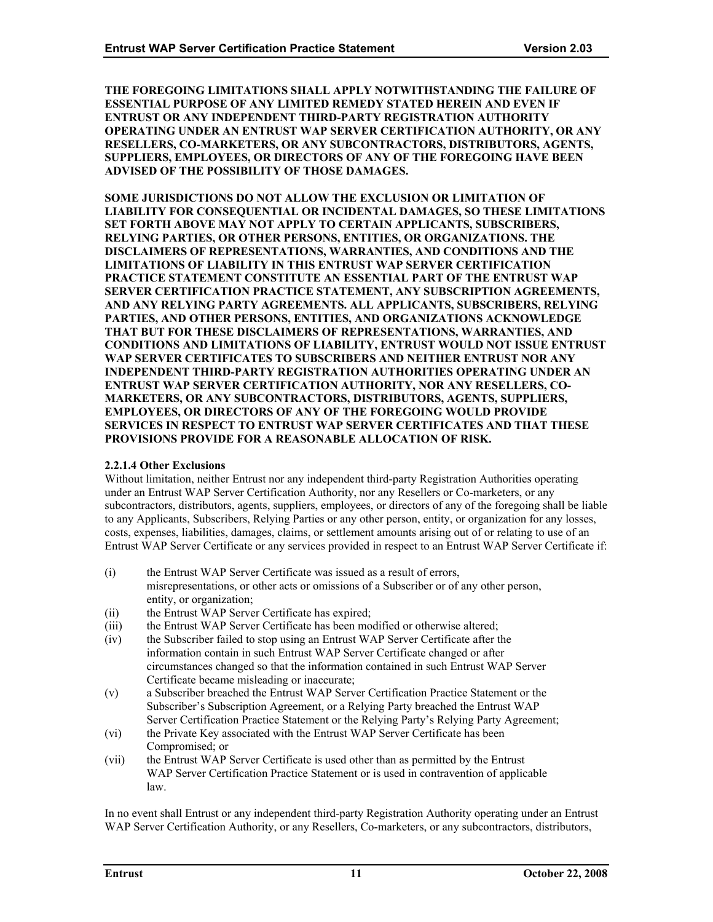**THE FOREGOING LIMITATIONS SHALL APPLY NOTWITHSTANDING THE FAILURE OF ESSENTIAL PURPOSE OF ANY LIMITED REMEDY STATED HEREIN AND EVEN IF ENTRUST OR ANY INDEPENDENT THIRD-PARTY REGISTRATION AUTHORITY OPERATING UNDER AN ENTRUST WAP SERVER CERTIFICATION AUTHORITY, OR ANY RESELLERS, CO-MARKETERS, OR ANY SUBCONTRACTORS, DISTRIBUTORS, AGENTS, SUPPLIERS, EMPLOYEES, OR DIRECTORS OF ANY OF THE FOREGOING HAVE BEEN ADVISED OF THE POSSIBILITY OF THOSE DAMAGES.** 

**SOME JURISDICTIONS DO NOT ALLOW THE EXCLUSION OR LIMITATION OF LIABILITY FOR CONSEQUENTIAL OR INCIDENTAL DAMAGES, SO THESE LIMITATIONS SET FORTH ABOVE MAY NOT APPLY TO CERTAIN APPLICANTS, SUBSCRIBERS, RELYING PARTIES, OR OTHER PERSONS, ENTITIES, OR ORGANIZATIONS. THE DISCLAIMERS OF REPRESENTATIONS, WARRANTIES, AND CONDITIONS AND THE LIMITATIONS OF LIABILITY IN THIS ENTRUST WAP SERVER CERTIFICATION PRACTICE STATEMENT CONSTITUTE AN ESSENTIAL PART OF THE ENTRUST WAP SERVER CERTIFICATION PRACTICE STATEMENT, ANY SUBSCRIPTION AGREEMENTS, AND ANY RELYING PARTY AGREEMENTS. ALL APPLICANTS, SUBSCRIBERS, RELYING PARTIES, AND OTHER PERSONS, ENTITIES, AND ORGANIZATIONS ACKNOWLEDGE THAT BUT FOR THESE DISCLAIMERS OF REPRESENTATIONS, WARRANTIES, AND CONDITIONS AND LIMITATIONS OF LIABILITY, ENTRUST WOULD NOT ISSUE ENTRUST WAP SERVER CERTIFICATES TO SUBSCRIBERS AND NEITHER ENTRUST NOR ANY INDEPENDENT THIRD-PARTY REGISTRATION AUTHORITIES OPERATING UNDER AN ENTRUST WAP SERVER CERTIFICATION AUTHORITY, NOR ANY RESELLERS, CO-MARKETERS, OR ANY SUBCONTRACTORS, DISTRIBUTORS, AGENTS, SUPPLIERS, EMPLOYEES, OR DIRECTORS OF ANY OF THE FOREGOING WOULD PROVIDE SERVICES IN RESPECT TO ENTRUST WAP SERVER CERTIFICATES AND THAT THESE PROVISIONS PROVIDE FOR A REASONABLE ALLOCATION OF RISK.** 

#### **2.2.1.4 Other Exclusions**

Without limitation, neither Entrust nor any independent third-party Registration Authorities operating under an Entrust WAP Server Certification Authority, nor any Resellers or Co-marketers, or any subcontractors, distributors, agents, suppliers, employees, or directors of any of the foregoing shall be liable to any Applicants, Subscribers, Relying Parties or any other person, entity, or organization for any losses, costs, expenses, liabilities, damages, claims, or settlement amounts arising out of or relating to use of an Entrust WAP Server Certificate or any services provided in respect to an Entrust WAP Server Certificate if:

(i) the Entrust WAP Server Certificate was issued as a result of errors,

misrepresentations, or other acts or omissions of a Subscriber or of any other person, entity, or organization;

- (ii) the Entrust WAP Server Certificate has expired;
- (iii) the Entrust WAP Server Certificate has been modified or otherwise altered;
- (iv) the Subscriber failed to stop using an Entrust WAP Server Certificate after the information contain in such Entrust WAP Server Certificate changed or after circumstances changed so that the information contained in such Entrust WAP Server Certificate became misleading or inaccurate;
- (v) a Subscriber breached the Entrust WAP Server Certification Practice Statement or the Subscriber's Subscription Agreement, or a Relying Party breached the Entrust WAP Server Certification Practice Statement or the Relying Party's Relying Party Agreement;
- (vi) the Private Key associated with the Entrust WAP Server Certificate has been Compromised; or
- (vii) the Entrust WAP Server Certificate is used other than as permitted by the Entrust WAP Server Certification Practice Statement or is used in contravention of applicable law.

In no event shall Entrust or any independent third-party Registration Authority operating under an Entrust WAP Server Certification Authority, or any Resellers, Co-marketers, or any subcontractors, distributors,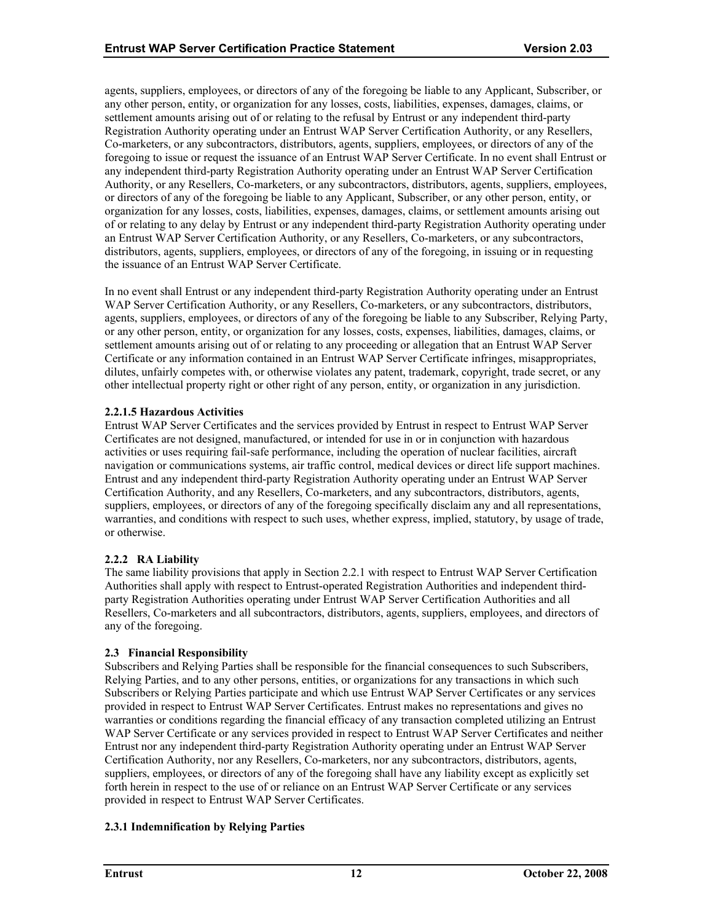<span id="page-16-0"></span>agents, suppliers, employees, or directors of any of the foregoing be liable to any Applicant, Subscriber, or any other person, entity, or organization for any losses, costs, liabilities, expenses, damages, claims, or settlement amounts arising out of or relating to the refusal by Entrust or any independent third-party Registration Authority operating under an Entrust WAP Server Certification Authority, or any Resellers, Co-marketers, or any subcontractors, distributors, agents, suppliers, employees, or directors of any of the foregoing to issue or request the issuance of an Entrust WAP Server Certificate. In no event shall Entrust or any independent third-party Registration Authority operating under an Entrust WAP Server Certification Authority, or any Resellers, Co-marketers, or any subcontractors, distributors, agents, suppliers, employees, or directors of any of the foregoing be liable to any Applicant, Subscriber, or any other person, entity, or organization for any losses, costs, liabilities, expenses, damages, claims, or settlement amounts arising out of or relating to any delay by Entrust or any independent third-party Registration Authority operating under an Entrust WAP Server Certification Authority, or any Resellers, Co-marketers, or any subcontractors, distributors, agents, suppliers, employees, or directors of any of the foregoing, in issuing or in requesting the issuance of an Entrust WAP Server Certificate.

In no event shall Entrust or any independent third-party Registration Authority operating under an Entrust WAP Server Certification Authority, or any Resellers, Co-marketers, or any subcontractors, distributors, agents, suppliers, employees, or directors of any of the foregoing be liable to any Subscriber, Relying Party, or any other person, entity, or organization for any losses, costs, expenses, liabilities, damages, claims, or settlement amounts arising out of or relating to any proceeding or allegation that an Entrust WAP Server Certificate or any information contained in an Entrust WAP Server Certificate infringes, misappropriates, dilutes, unfairly competes with, or otherwise violates any patent, trademark, copyright, trade secret, or any other intellectual property right or other right of any person, entity, or organization in any jurisdiction.

# **2.2.1.5 Hazardous Activities**

Entrust WAP Server Certificates and the services provided by Entrust in respect to Entrust WAP Server Certificates are not designed, manufactured, or intended for use in or in conjunction with hazardous activities or uses requiring fail-safe performance, including the operation of nuclear facilities, aircraft navigation or communications systems, air traffic control, medical devices or direct life support machines. Entrust and any independent third-party Registration Authority operating under an Entrust WAP Server Certification Authority, and any Resellers, Co-marketers, and any subcontractors, distributors, agents, suppliers, employees, or directors of any of the foregoing specifically disclaim any and all representations, warranties, and conditions with respect to such uses, whether express, implied, statutory, by usage of trade, or otherwise.

# **2.2.2 RA Liability**

The same liability provisions that apply in Section 2.2.1 with respect to Entrust WAP Server Certification Authorities shall apply with respect to Entrust-operated Registration Authorities and independent thirdparty Registration Authorities operating under Entrust WAP Server Certification Authorities and all Resellers, Co-marketers and all subcontractors, distributors, agents, suppliers, employees, and directors of any of the foregoing.

# **2.3 Financial Responsibility**

Subscribers and Relying Parties shall be responsible for the financial consequences to such Subscribers, Relying Parties, and to any other persons, entities, or organizations for any transactions in which such Subscribers or Relying Parties participate and which use Entrust WAP Server Certificates or any services provided in respect to Entrust WAP Server Certificates. Entrust makes no representations and gives no warranties or conditions regarding the financial efficacy of any transaction completed utilizing an Entrust WAP Server Certificate or any services provided in respect to Entrust WAP Server Certificates and neither Entrust nor any independent third-party Registration Authority operating under an Entrust WAP Server Certification Authority, nor any Resellers, Co-marketers, nor any subcontractors, distributors, agents, suppliers, employees, or directors of any of the foregoing shall have any liability except as explicitly set forth herein in respect to the use of or reliance on an Entrust WAP Server Certificate or any services provided in respect to Entrust WAP Server Certificates.

# **2.3.1 Indemnification by Relying Parties**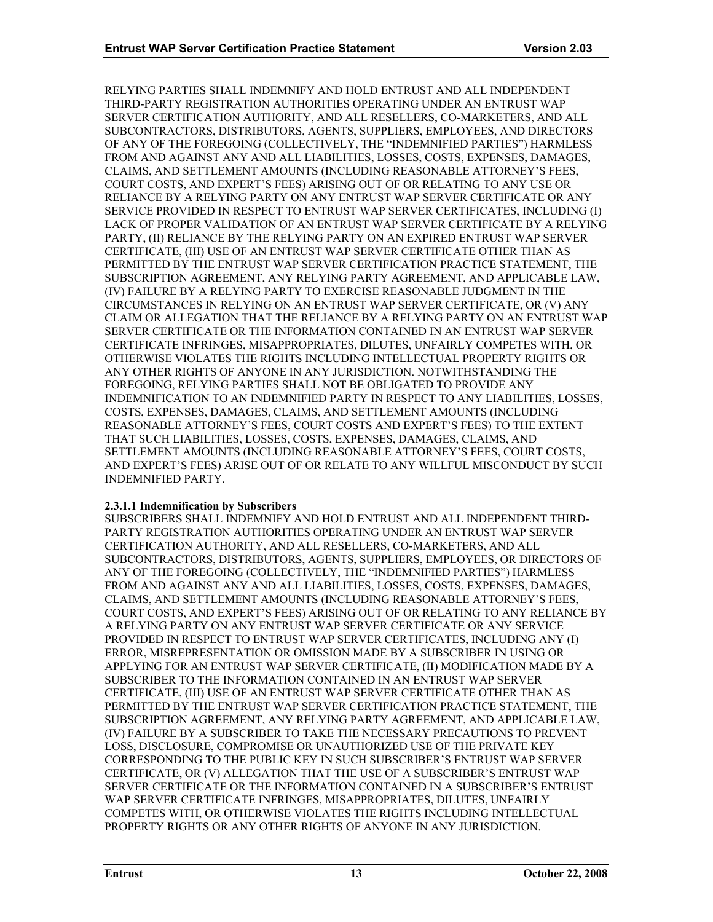RELYING PARTIES SHALL INDEMNIFY AND HOLD ENTRUST AND ALL INDEPENDENT THIRD-PARTY REGISTRATION AUTHORITIES OPERATING UNDER AN ENTRUST WAP SERVER CERTIFICATION AUTHORITY, AND ALL RESELLERS, CO-MARKETERS, AND ALL SUBCONTRACTORS, DISTRIBUTORS, AGENTS, SUPPLIERS, EMPLOYEES, AND DIRECTORS OF ANY OF THE FOREGOING (COLLECTIVELY, THE "INDEMNIFIED PARTIES") HARMLESS FROM AND AGAINST ANY AND ALL LIABILITIES, LOSSES, COSTS, EXPENSES, DAMAGES, CLAIMS, AND SETTLEMENT AMOUNTS (INCLUDING REASONABLE ATTORNEY'S FEES, COURT COSTS, AND EXPERT'S FEES) ARISING OUT OF OR RELATING TO ANY USE OR RELIANCE BY A RELYING PARTY ON ANY ENTRUST WAP SERVER CERTIFICATE OR ANY SERVICE PROVIDED IN RESPECT TO ENTRUST WAP SERVER CERTIFICATES, INCLUDING (I) LACK OF PROPER VALIDATION OF AN ENTRUST WAP SERVER CERTIFICATE BY A RELYING PARTY, (II) RELIANCE BY THE RELYING PARTY ON AN EXPIRED ENTRUST WAP SERVER CERTIFICATE, (III) USE OF AN ENTRUST WAP SERVER CERTIFICATE OTHER THAN AS PERMITTED BY THE ENTRUST WAP SERVER CERTIFICATION PRACTICE STATEMENT, THE SUBSCRIPTION AGREEMENT, ANY RELYING PARTY AGREEMENT, AND APPLICABLE LAW, (IV) FAILURE BY A RELYING PARTY TO EXERCISE REASONABLE JUDGMENT IN THE CIRCUMSTANCES IN RELYING ON AN ENTRUST WAP SERVER CERTIFICATE, OR (V) ANY CLAIM OR ALLEGATION THAT THE RELIANCE BY A RELYING PARTY ON AN ENTRUST WAP SERVER CERTIFICATE OR THE INFORMATION CONTAINED IN AN ENTRUST WAP SERVER CERTIFICATE INFRINGES, MISAPPROPRIATES, DILUTES, UNFAIRLY COMPETES WITH, OR OTHERWISE VIOLATES THE RIGHTS INCLUDING INTELLECTUAL PROPERTY RIGHTS OR ANY OTHER RIGHTS OF ANYONE IN ANY JURISDICTION. NOTWITHSTANDING THE FOREGOING, RELYING PARTIES SHALL NOT BE OBLIGATED TO PROVIDE ANY INDEMNIFICATION TO AN INDEMNIFIED PARTY IN RESPECT TO ANY LIABILITIES, LOSSES, COSTS, EXPENSES, DAMAGES, CLAIMS, AND SETTLEMENT AMOUNTS (INCLUDING REASONABLE ATTORNEY'S FEES, COURT COSTS AND EXPERT'S FEES) TO THE EXTENT THAT SUCH LIABILITIES, LOSSES, COSTS, EXPENSES, DAMAGES, CLAIMS, AND SETTLEMENT AMOUNTS (INCLUDING REASONABLE ATTORNEY'S FEES, COURT COSTS, AND EXPERT'S FEES) ARISE OUT OF OR RELATE TO ANY WILLFUL MISCONDUCT BY SUCH INDEMNIFIED PARTY.

# **2.3.1.1 Indemnification by Subscribers**

SUBSCRIBERS SHALL INDEMNIFY AND HOLD ENTRUST AND ALL INDEPENDENT THIRD-PARTY REGISTRATION AUTHORITIES OPERATING UNDER AN ENTRUST WAP SERVER CERTIFICATION AUTHORITY, AND ALL RESELLERS, CO-MARKETERS, AND ALL SUBCONTRACTORS, DISTRIBUTORS, AGENTS, SUPPLIERS, EMPLOYEES, OR DIRECTORS OF ANY OF THE FOREGOING (COLLECTIVELY, THE "INDEMNIFIED PARTIES") HARMLESS FROM AND AGAINST ANY AND ALL LIABILITIES, LOSSES, COSTS, EXPENSES, DAMAGES, CLAIMS, AND SETTLEMENT AMOUNTS (INCLUDING REASONABLE ATTORNEY'S FEES, COURT COSTS, AND EXPERT'S FEES) ARISING OUT OF OR RELATING TO ANY RELIANCE BY A RELYING PARTY ON ANY ENTRUST WAP SERVER CERTIFICATE OR ANY SERVICE PROVIDED IN RESPECT TO ENTRUST WAP SERVER CERTIFICATES, INCLUDING ANY (I) ERROR, MISREPRESENTATION OR OMISSION MADE BY A SUBSCRIBER IN USING OR APPLYING FOR AN ENTRUST WAP SERVER CERTIFICATE, (II) MODIFICATION MADE BY A SUBSCRIBER TO THE INFORMATION CONTAINED IN AN ENTRUST WAP SERVER CERTIFICATE, (III) USE OF AN ENTRUST WAP SERVER CERTIFICATE OTHER THAN AS PERMITTED BY THE ENTRUST WAP SERVER CERTIFICATION PRACTICE STATEMENT, THE SUBSCRIPTION AGREEMENT, ANY RELYING PARTY AGREEMENT, AND APPLICABLE LAW, (IV) FAILURE BY A SUBSCRIBER TO TAKE THE NECESSARY PRECAUTIONS TO PREVENT LOSS, DISCLOSURE, COMPROMISE OR UNAUTHORIZED USE OF THE PRIVATE KEY CORRESPONDING TO THE PUBLIC KEY IN SUCH SUBSCRIBER'S ENTRUST WAP SERVER CERTIFICATE, OR (V) ALLEGATION THAT THE USE OF A SUBSCRIBER'S ENTRUST WAP SERVER CERTIFICATE OR THE INFORMATION CONTAINED IN A SUBSCRIBER'S ENTRUST WAP SERVER CERTIFICATE INFRINGES, MISAPPROPRIATES, DILUTES, UNFAIRLY COMPETES WITH, OR OTHERWISE VIOLATES THE RIGHTS INCLUDING INTELLECTUAL PROPERTY RIGHTS OR ANY OTHER RIGHTS OF ANYONE IN ANY JURISDICTION.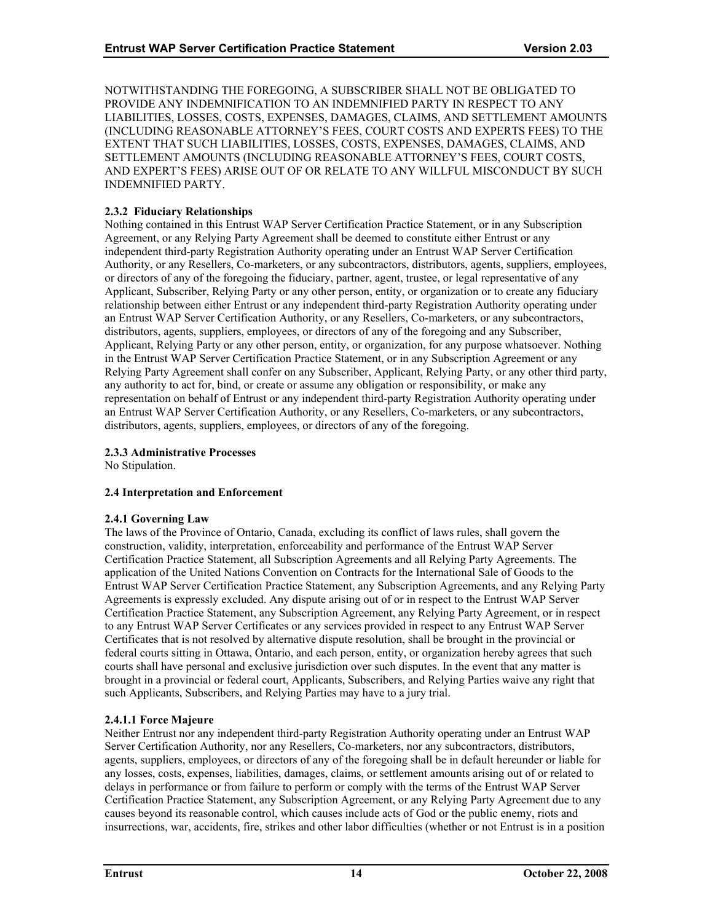<span id="page-18-0"></span>NOTWITHSTANDING THE FOREGOING, A SUBSCRIBER SHALL NOT BE OBLIGATED TO PROVIDE ANY INDEMNIFICATION TO AN INDEMNIFIED PARTY IN RESPECT TO ANY LIABILITIES, LOSSES, COSTS, EXPENSES, DAMAGES, CLAIMS, AND SETTLEMENT AMOUNTS (INCLUDING REASONABLE ATTORNEY'S FEES, COURT COSTS AND EXPERTS FEES) TO THE EXTENT THAT SUCH LIABILITIES, LOSSES, COSTS, EXPENSES, DAMAGES, CLAIMS, AND SETTLEMENT AMOUNTS (INCLUDING REASONABLE ATTORNEY'S FEES, COURT COSTS, AND EXPERT'S FEES) ARISE OUT OF OR RELATE TO ANY WILLFUL MISCONDUCT BY SUCH INDEMNIFIED PARTY.

# **2.3.2 Fiduciary Relationships**

Nothing contained in this Entrust WAP Server Certification Practice Statement, or in any Subscription Agreement, or any Relying Party Agreement shall be deemed to constitute either Entrust or any independent third-party Registration Authority operating under an Entrust WAP Server Certification Authority, or any Resellers, Co-marketers, or any subcontractors, distributors, agents, suppliers, employees, or directors of any of the foregoing the fiduciary, partner, agent, trustee, or legal representative of any Applicant, Subscriber, Relying Party or any other person, entity, or organization or to create any fiduciary relationship between either Entrust or any independent third-party Registration Authority operating under an Entrust WAP Server Certification Authority, or any Resellers, Co-marketers, or any subcontractors, distributors, agents, suppliers, employees, or directors of any of the foregoing and any Subscriber, Applicant, Relying Party or any other person, entity, or organization, for any purpose whatsoever. Nothing in the Entrust WAP Server Certification Practice Statement, or in any Subscription Agreement or any Relying Party Agreement shall confer on any Subscriber, Applicant, Relying Party, or any other third party, any authority to act for, bind, or create or assume any obligation or responsibility, or make any representation on behalf of Entrust or any independent third-party Registration Authority operating under an Entrust WAP Server Certification Authority, or any Resellers, Co-marketers, or any subcontractors, distributors, agents, suppliers, employees, or directors of any of the foregoing.

# **2.3.3 Administrative Processes**

No Stipulation.

# **2.4 Interpretation and Enforcement**

# **2.4.1 Governing Law**

The laws of the Province of Ontario, Canada, excluding its conflict of laws rules, shall govern the construction, validity, interpretation, enforceability and performance of the Entrust WAP Server Certification Practice Statement, all Subscription Agreements and all Relying Party Agreements. The application of the United Nations Convention on Contracts for the International Sale of Goods to the Entrust WAP Server Certification Practice Statement, any Subscription Agreements, and any Relying Party Agreements is expressly excluded. Any dispute arising out of or in respect to the Entrust WAP Server Certification Practice Statement, any Subscription Agreement, any Relying Party Agreement, or in respect to any Entrust WAP Server Certificates or any services provided in respect to any Entrust WAP Server Certificates that is not resolved by alternative dispute resolution, shall be brought in the provincial or federal courts sitting in Ottawa, Ontario, and each person, entity, or organization hereby agrees that such courts shall have personal and exclusive jurisdiction over such disputes. In the event that any matter is brought in a provincial or federal court, Applicants, Subscribers, and Relying Parties waive any right that such Applicants, Subscribers, and Relying Parties may have to a jury trial.

# **2.4.1.1 Force Majeure**

Neither Entrust nor any independent third-party Registration Authority operating under an Entrust WAP Server Certification Authority, nor any Resellers, Co-marketers, nor any subcontractors, distributors, agents, suppliers, employees, or directors of any of the foregoing shall be in default hereunder or liable for any losses, costs, expenses, liabilities, damages, claims, or settlement amounts arising out of or related to delays in performance or from failure to perform or comply with the terms of the Entrust WAP Server Certification Practice Statement, any Subscription Agreement, or any Relying Party Agreement due to any causes beyond its reasonable control, which causes include acts of God or the public enemy, riots and insurrections, war, accidents, fire, strikes and other labor difficulties (whether or not Entrust is in a position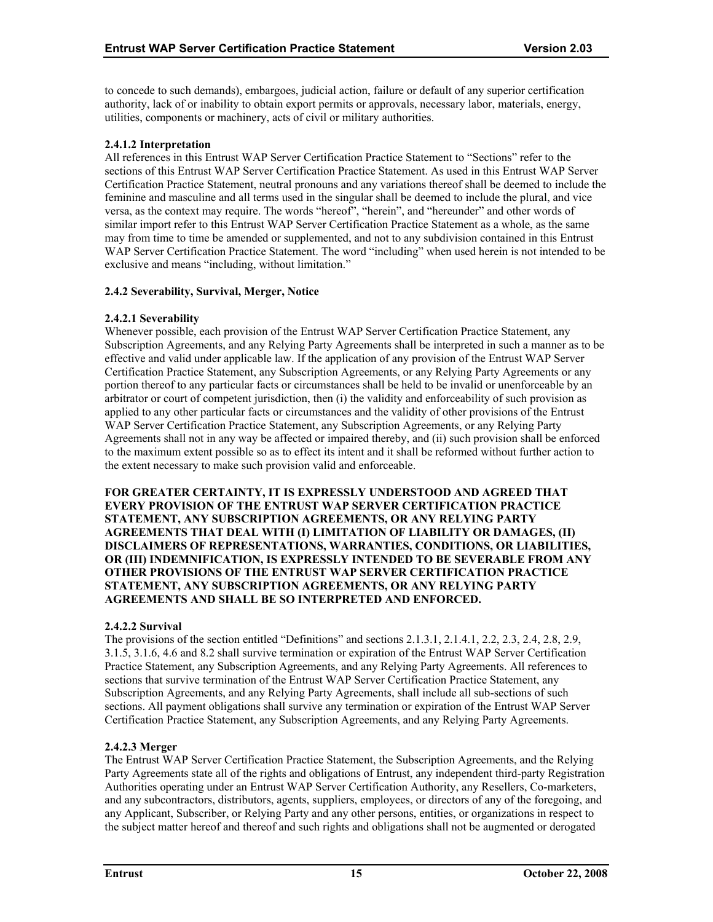<span id="page-19-0"></span>to concede to such demands), embargoes, judicial action, failure or default of any superior certification authority, lack of or inability to obtain export permits or approvals, necessary labor, materials, energy, utilities, components or machinery, acts of civil or military authorities.

# **2.4.1.2 Interpretation**

All references in this Entrust WAP Server Certification Practice Statement to "Sections" refer to the sections of this Entrust WAP Server Certification Practice Statement. As used in this Entrust WAP Server Certification Practice Statement, neutral pronouns and any variations thereof shall be deemed to include the feminine and masculine and all terms used in the singular shall be deemed to include the plural, and vice versa, as the context may require. The words "hereof", "herein", and "hereunder" and other words of similar import refer to this Entrust WAP Server Certification Practice Statement as a whole, as the same may from time to time be amended or supplemented, and not to any subdivision contained in this Entrust WAP Server Certification Practice Statement. The word "including" when used herein is not intended to be exclusive and means "including, without limitation."

# **2.4.2 Severability, Survival, Merger, Notice**

# **2.4.2.1 Severability**

Whenever possible, each provision of the Entrust WAP Server Certification Practice Statement, any Subscription Agreements, and any Relying Party Agreements shall be interpreted in such a manner as to be effective and valid under applicable law. If the application of any provision of the Entrust WAP Server Certification Practice Statement, any Subscription Agreements, or any Relying Party Agreements or any portion thereof to any particular facts or circumstances shall be held to be invalid or unenforceable by an arbitrator or court of competent jurisdiction, then (i) the validity and enforceability of such provision as applied to any other particular facts or circumstances and the validity of other provisions of the Entrust WAP Server Certification Practice Statement, any Subscription Agreements, or any Relying Party Agreements shall not in any way be affected or impaired thereby, and (ii) such provision shall be enforced to the maximum extent possible so as to effect its intent and it shall be reformed without further action to the extent necessary to make such provision valid and enforceable.

**FOR GREATER CERTAINTY, IT IS EXPRESSLY UNDERSTOOD AND AGREED THAT EVERY PROVISION OF THE ENTRUST WAP SERVER CERTIFICATION PRACTICE STATEMENT, ANY SUBSCRIPTION AGREEMENTS, OR ANY RELYING PARTY AGREEMENTS THAT DEAL WITH (I) LIMITATION OF LIABILITY OR DAMAGES, (II) DISCLAIMERS OF REPRESENTATIONS, WARRANTIES, CONDITIONS, OR LIABILITIES, OR (III) INDEMNIFICATION, IS EXPRESSLY INTENDED TO BE SEVERABLE FROM ANY OTHER PROVISIONS OF THE ENTRUST WAP SERVER CERTIFICATION PRACTICE STATEMENT, ANY SUBSCRIPTION AGREEMENTS, OR ANY RELYING PARTY AGREEMENTS AND SHALL BE SO INTERPRETED AND ENFORCED.** 

# **2.4.2.2 Survival**

The provisions of the section entitled "Definitions" and sections 2.1.3.1, 2.1.4.1, 2.2, 2.3, 2.4, 2.8, 2.9, 3.1.5, 3.1.6, 4.6 and 8.2 shall survive termination or expiration of the Entrust WAP Server Certification Practice Statement, any Subscription Agreements, and any Relying Party Agreements. All references to sections that survive termination of the Entrust WAP Server Certification Practice Statement, any Subscription Agreements, and any Relying Party Agreements, shall include all sub-sections of such sections. All payment obligations shall survive any termination or expiration of the Entrust WAP Server Certification Practice Statement, any Subscription Agreements, and any Relying Party Agreements.

# **2.4.2.3 Merger**

The Entrust WAP Server Certification Practice Statement, the Subscription Agreements, and the Relying Party Agreements state all of the rights and obligations of Entrust, any independent third-party Registration Authorities operating under an Entrust WAP Server Certification Authority, any Resellers, Co-marketers, and any subcontractors, distributors, agents, suppliers, employees, or directors of any of the foregoing, and any Applicant, Subscriber, or Relying Party and any other persons, entities, or organizations in respect to the subject matter hereof and thereof and such rights and obligations shall not be augmented or derogated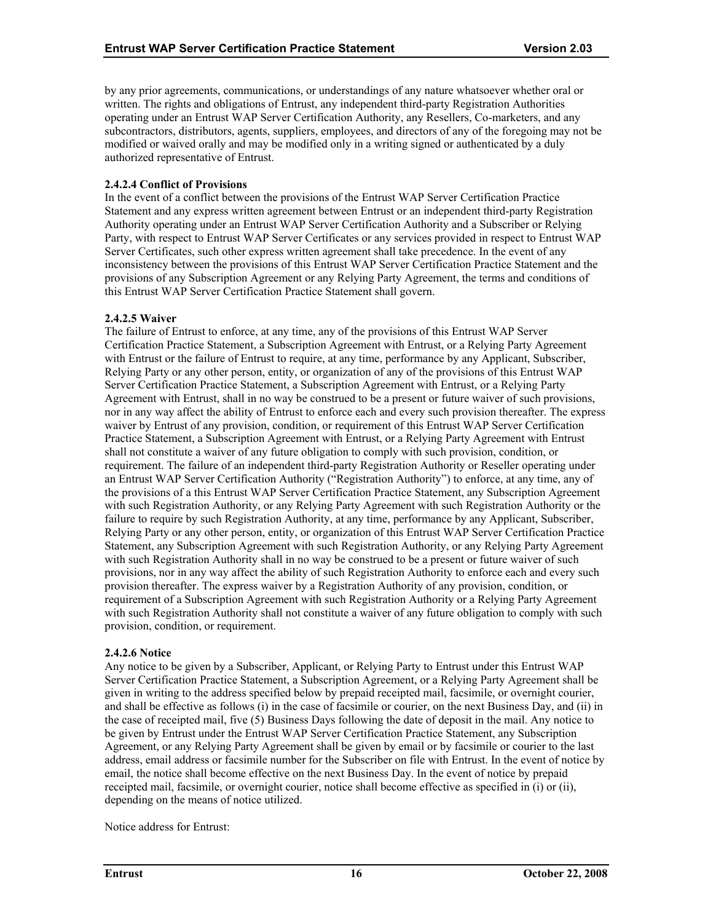by any prior agreements, communications, or understandings of any nature whatsoever whether oral or written. The rights and obligations of Entrust, any independent third-party Registration Authorities operating under an Entrust WAP Server Certification Authority, any Resellers, Co-marketers, and any subcontractors, distributors, agents, suppliers, employees, and directors of any of the foregoing may not be modified or waived orally and may be modified only in a writing signed or authenticated by a duly authorized representative of Entrust.

# **2.4.2.4 Conflict of Provisions**

In the event of a conflict between the provisions of the Entrust WAP Server Certification Practice Statement and any express written agreement between Entrust or an independent third-party Registration Authority operating under an Entrust WAP Server Certification Authority and a Subscriber or Relying Party, with respect to Entrust WAP Server Certificates or any services provided in respect to Entrust WAP Server Certificates, such other express written agreement shall take precedence. In the event of any inconsistency between the provisions of this Entrust WAP Server Certification Practice Statement and the provisions of any Subscription Agreement or any Relying Party Agreement, the terms and conditions of this Entrust WAP Server Certification Practice Statement shall govern.

# **2.4.2.5 Waiver**

The failure of Entrust to enforce, at any time, any of the provisions of this Entrust WAP Server Certification Practice Statement, a Subscription Agreement with Entrust, or a Relying Party Agreement with Entrust or the failure of Entrust to require, at any time, performance by any Applicant, Subscriber, Relying Party or any other person, entity, or organization of any of the provisions of this Entrust WAP Server Certification Practice Statement, a Subscription Agreement with Entrust, or a Relying Party Agreement with Entrust, shall in no way be construed to be a present or future waiver of such provisions, nor in any way affect the ability of Entrust to enforce each and every such provision thereafter. The express waiver by Entrust of any provision, condition, or requirement of this Entrust WAP Server Certification Practice Statement, a Subscription Agreement with Entrust, or a Relying Party Agreement with Entrust shall not constitute a waiver of any future obligation to comply with such provision, condition, or requirement. The failure of an independent third-party Registration Authority or Reseller operating under an Entrust WAP Server Certification Authority ("Registration Authority") to enforce, at any time, any of the provisions of a this Entrust WAP Server Certification Practice Statement, any Subscription Agreement with such Registration Authority, or any Relying Party Agreement with such Registration Authority or the failure to require by such Registration Authority, at any time, performance by any Applicant, Subscriber, Relying Party or any other person, entity, or organization of this Entrust WAP Server Certification Practice Statement, any Subscription Agreement with such Registration Authority, or any Relying Party Agreement with such Registration Authority shall in no way be construed to be a present or future waiver of such provisions, nor in any way affect the ability of such Registration Authority to enforce each and every such provision thereafter. The express waiver by a Registration Authority of any provision, condition, or requirement of a Subscription Agreement with such Registration Authority or a Relying Party Agreement with such Registration Authority shall not constitute a waiver of any future obligation to comply with such provision, condition, or requirement.

#### **2.4.2.6 Notice**

Any notice to be given by a Subscriber, Applicant, or Relying Party to Entrust under this Entrust WAP Server Certification Practice Statement, a Subscription Agreement, or a Relying Party Agreement shall be given in writing to the address specified below by prepaid receipted mail, facsimile, or overnight courier, and shall be effective as follows (i) in the case of facsimile or courier, on the next Business Day, and (ii) in the case of receipted mail, five (5) Business Days following the date of deposit in the mail. Any notice to be given by Entrust under the Entrust WAP Server Certification Practice Statement, any Subscription Agreement, or any Relying Party Agreement shall be given by email or by facsimile or courier to the last address, email address or facsimile number for the Subscriber on file with Entrust. In the event of notice by email, the notice shall become effective on the next Business Day. In the event of notice by prepaid receipted mail, facsimile, or overnight courier, notice shall become effective as specified in (i) or (ii), depending on the means of notice utilized.

Notice address for Entrust: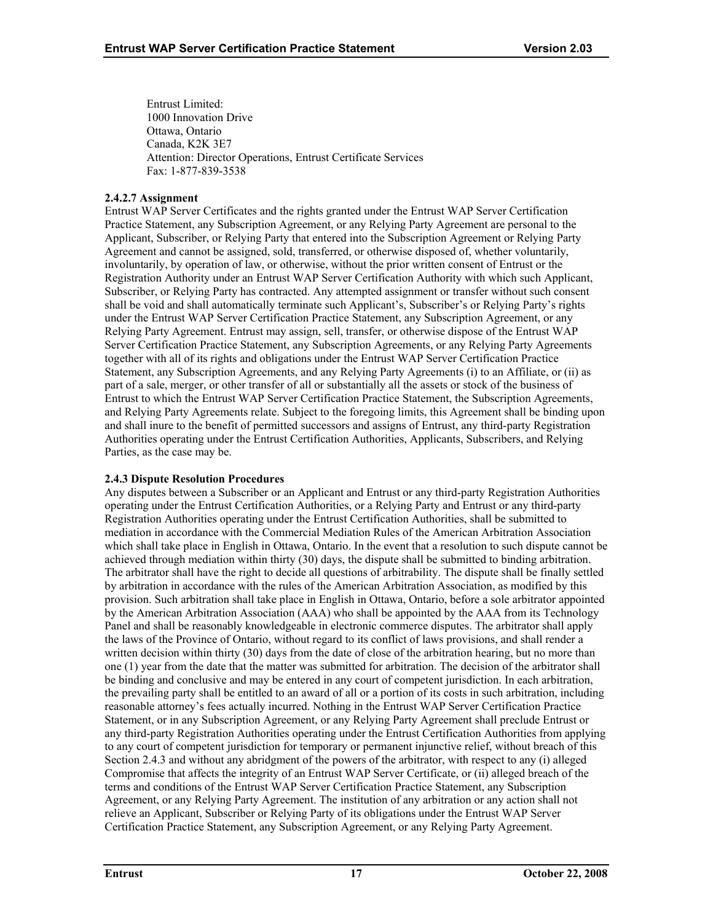<span id="page-21-0"></span>Entrust Limited: 1000 Innovation Drive Ottawa, Ontario Canada, K2K 3E7 Attention: Director Operations, Entrust Certificate Services Fax: 1-877-839-3538

# **2.4.2.7 Assignment**

Entrust WAP Server Certificates and the rights granted under the Entrust WAP Server Certification Practice Statement, any Subscription Agreement, or any Relying Party Agreement are personal to the Applicant, Subscriber, or Relying Party that entered into the Subscription Agreement or Relying Party Agreement and cannot be assigned, sold, transferred, or otherwise disposed of, whether voluntarily, involuntarily, by operation of law, or otherwise, without the prior written consent of Entrust or the Registration Authority under an Entrust WAP Server Certification Authority with which such Applicant, Subscriber, or Relying Party has contracted. Any attempted assignment or transfer without such consent shall be void and shall automatically terminate such Applicant's, Subscriber's or Relying Party's rights under the Entrust WAP Server Certification Practice Statement, any Subscription Agreement, or any Relying Party Agreement. Entrust may assign, sell, transfer, or otherwise dispose of the Entrust WAP Server Certification Practice Statement, any Subscription Agreements, or any Relying Party Agreements together with all of its rights and obligations under the Entrust WAP Server Certification Practice Statement, any Subscription Agreements, and any Relying Party Agreements (i) to an Affiliate, or (ii) as part of a sale, merger, or other transfer of all or substantially all the assets or stock of the business of Entrust to which the Entrust WAP Server Certification Practice Statement, the Subscription Agreements, and Relying Party Agreements relate. Subject to the foregoing limits, this Agreement shall be binding upon and shall inure to the benefit of permitted successors and assigns of Entrust, any third-party Registration Authorities operating under the Entrust Certification Authorities, Applicants, Subscribers, and Relying Parties, as the case may be.

# **2.4.3 Dispute Resolution Procedures**

Any disputes between a Subscriber or an Applicant and Entrust or any third-party Registration Authorities operating under the Entrust Certification Authorities, or a Relying Party and Entrust or any third-party Registration Authorities operating under the Entrust Certification Authorities, shall be submitted to mediation in accordance with the Commercial Mediation Rules of the American Arbitration Association which shall take place in English in Ottawa, Ontario. In the event that a resolution to such dispute cannot be achieved through mediation within thirty (30) days, the dispute shall be submitted to binding arbitration. The arbitrator shall have the right to decide all questions of arbitrability. The dispute shall be finally settled by arbitration in accordance with the rules of the American Arbitration Association, as modified by this provision. Such arbitration shall take place in English in Ottawa, Ontario, before a sole arbitrator appointed by the American Arbitration Association (AAA) who shall be appointed by the AAA from its Technology Panel and shall be reasonably knowledgeable in electronic commerce disputes. The arbitrator shall apply the laws of the Province of Ontario, without regard to its conflict of laws provisions, and shall render a written decision within thirty (30) days from the date of close of the arbitration hearing, but no more than one (1) year from the date that the matter was submitted for arbitration. The decision of the arbitrator shall be binding and conclusive and may be entered in any court of competent jurisdiction. In each arbitration, the prevailing party shall be entitled to an award of all or a portion of its costs in such arbitration, including reasonable attorney's fees actually incurred. Nothing in the Entrust WAP Server Certification Practice Statement, or in any Subscription Agreement, or any Relying Party Agreement shall preclude Entrust or any third-party Registration Authorities operating under the Entrust Certification Authorities from applying to any court of competent jurisdiction for temporary or permanent injunctive relief, without breach of this Section 2.4.3 and without any abridgment of the powers of the arbitrator, with respect to any (i) alleged Compromise that affects the integrity of an Entrust WAP Server Certificate, or (ii) alleged breach of the terms and conditions of the Entrust WAP Server Certification Practice Statement, any Subscription Agreement, or any Relying Party Agreement. The institution of any arbitration or any action shall not relieve an Applicant, Subscriber or Relying Party of its obligations under the Entrust WAP Server Certification Practice Statement, any Subscription Agreement, or any Relying Party Agreement.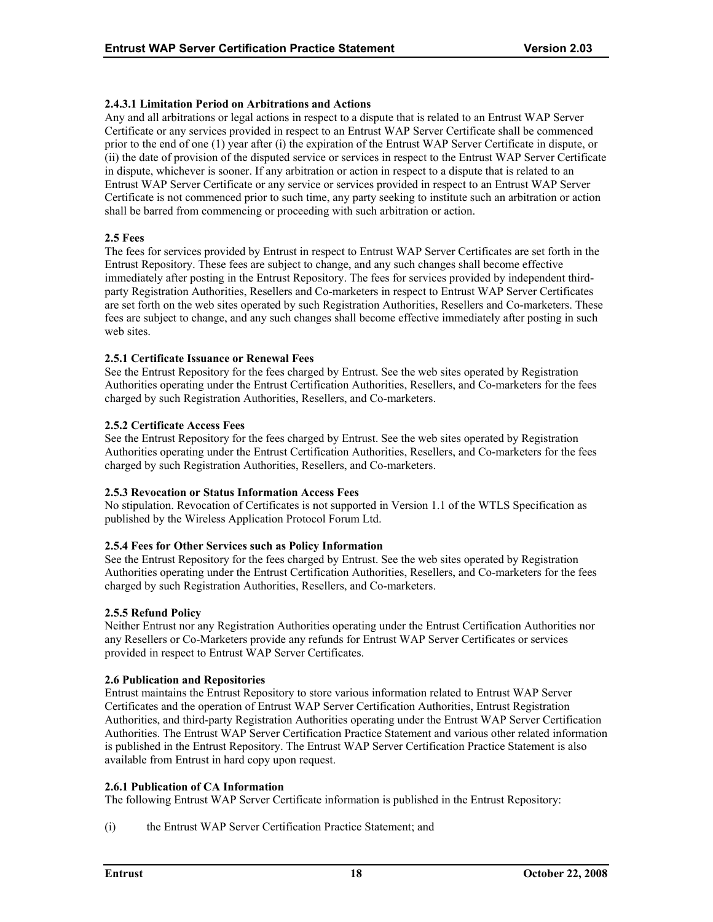# <span id="page-22-0"></span>**2.4.3.1 Limitation Period on Arbitrations and Actions**

Any and all arbitrations or legal actions in respect to a dispute that is related to an Entrust WAP Server Certificate or any services provided in respect to an Entrust WAP Server Certificate shall be commenced prior to the end of one (1) year after (i) the expiration of the Entrust WAP Server Certificate in dispute, or (ii) the date of provision of the disputed service or services in respect to the Entrust WAP Server Certificate in dispute, whichever is sooner. If any arbitration or action in respect to a dispute that is related to an Entrust WAP Server Certificate or any service or services provided in respect to an Entrust WAP Server Certificate is not commenced prior to such time, any party seeking to institute such an arbitration or action shall be barred from commencing or proceeding with such arbitration or action.

# **2.5 Fees**

The fees for services provided by Entrust in respect to Entrust WAP Server Certificates are set forth in the Entrust Repository. These fees are subject to change, and any such changes shall become effective immediately after posting in the Entrust Repository. The fees for services provided by independent thirdparty Registration Authorities, Resellers and Co-marketers in respect to Entrust WAP Server Certificates are set forth on the web sites operated by such Registration Authorities, Resellers and Co-marketers. These fees are subject to change, and any such changes shall become effective immediately after posting in such web sites.

# **2.5.1 Certificate Issuance or Renewal Fees**

See the Entrust Repository for the fees charged by Entrust. See the web sites operated by Registration Authorities operating under the Entrust Certification Authorities, Resellers, and Co-marketers for the fees charged by such Registration Authorities, Resellers, and Co-marketers.

# **2.5.2 Certificate Access Fees**

See the Entrust Repository for the fees charged by Entrust. See the web sites operated by Registration Authorities operating under the Entrust Certification Authorities, Resellers, and Co-marketers for the fees charged by such Registration Authorities, Resellers, and Co-marketers.

#### **2.5.3 Revocation or Status Information Access Fees**

No stipulation. Revocation of Certificates is not supported in Version 1.1 of the WTLS Specification as published by the Wireless Application Protocol Forum Ltd.

# **2.5.4 Fees for Other Services such as Policy Information**

See the Entrust Repository for the fees charged by Entrust. See the web sites operated by Registration Authorities operating under the Entrust Certification Authorities, Resellers, and Co-marketers for the fees charged by such Registration Authorities, Resellers, and Co-marketers.

#### **2.5.5 Refund Policy**

Neither Entrust nor any Registration Authorities operating under the Entrust Certification Authorities nor any Resellers or Co-Marketers provide any refunds for Entrust WAP Server Certificates or services provided in respect to Entrust WAP Server Certificates.

#### **2.6 Publication and Repositories**

Entrust maintains the Entrust Repository to store various information related to Entrust WAP Server Certificates and the operation of Entrust WAP Server Certification Authorities, Entrust Registration Authorities, and third-party Registration Authorities operating under the Entrust WAP Server Certification Authorities. The Entrust WAP Server Certification Practice Statement and various other related information is published in the Entrust Repository. The Entrust WAP Server Certification Practice Statement is also available from Entrust in hard copy upon request.

#### **2.6.1 Publication of CA Information**

The following Entrust WAP Server Certificate information is published in the Entrust Repository:

(i) the Entrust WAP Server Certification Practice Statement; and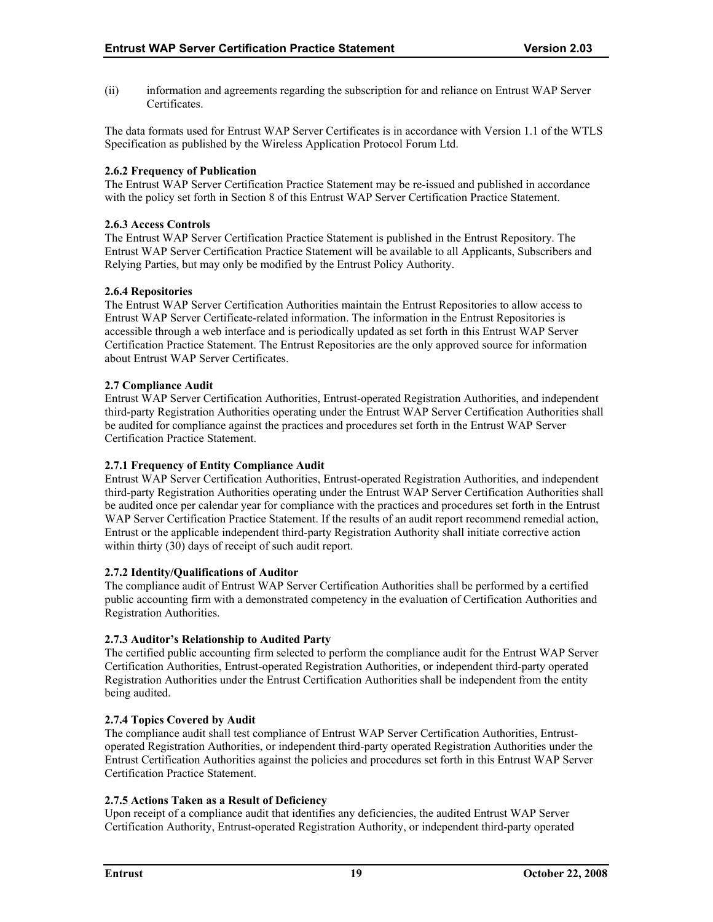<span id="page-23-0"></span>(ii) information and agreements regarding the subscription for and reliance on Entrust WAP Server Certificates.

The data formats used for Entrust WAP Server Certificates is in accordance with Version 1.1 of the WTLS Specification as published by the Wireless Application Protocol Forum Ltd.

# **2.6.2 Frequency of Publication**

The Entrust WAP Server Certification Practice Statement may be re-issued and published in accordance with the policy set forth in Section 8 of this Entrust WAP Server Certification Practice Statement.

#### **2.6.3 Access Controls**

The Entrust WAP Server Certification Practice Statement is published in the Entrust Repository. The Entrust WAP Server Certification Practice Statement will be available to all Applicants, Subscribers and Relying Parties, but may only be modified by the Entrust Policy Authority.

# **2.6.4 Repositories**

The Entrust WAP Server Certification Authorities maintain the Entrust Repositories to allow access to Entrust WAP Server Certificate-related information. The information in the Entrust Repositories is accessible through a web interface and is periodically updated as set forth in this Entrust WAP Server Certification Practice Statement. The Entrust Repositories are the only approved source for information about Entrust WAP Server Certificates.

# **2.7 Compliance Audit**

Entrust WAP Server Certification Authorities, Entrust-operated Registration Authorities, and independent third-party Registration Authorities operating under the Entrust WAP Server Certification Authorities shall be audited for compliance against the practices and procedures set forth in the Entrust WAP Server Certification Practice Statement.

#### **2.7.1 Frequency of Entity Compliance Audit**

Entrust WAP Server Certification Authorities, Entrust-operated Registration Authorities, and independent third-party Registration Authorities operating under the Entrust WAP Server Certification Authorities shall be audited once per calendar year for compliance with the practices and procedures set forth in the Entrust WAP Server Certification Practice Statement. If the results of an audit report recommend remedial action, Entrust or the applicable independent third-party Registration Authority shall initiate corrective action within thirty (30) days of receipt of such audit report.

#### **2.7.2 Identity/Qualifications of Auditor**

The compliance audit of Entrust WAP Server Certification Authorities shall be performed by a certified public accounting firm with a demonstrated competency in the evaluation of Certification Authorities and Registration Authorities.

# **2.7.3 Auditor's Relationship to Audited Party**

The certified public accounting firm selected to perform the compliance audit for the Entrust WAP Server Certification Authorities, Entrust-operated Registration Authorities, or independent third-party operated Registration Authorities under the Entrust Certification Authorities shall be independent from the entity being audited.

#### **2.7.4 Topics Covered by Audit**

The compliance audit shall test compliance of Entrust WAP Server Certification Authorities, Entrustoperated Registration Authorities, or independent third-party operated Registration Authorities under the Entrust Certification Authorities against the policies and procedures set forth in this Entrust WAP Server Certification Practice Statement.

# **2.7.5 Actions Taken as a Result of Deficiency**

Upon receipt of a compliance audit that identifies any deficiencies, the audited Entrust WAP Server Certification Authority, Entrust-operated Registration Authority, or independent third-party operated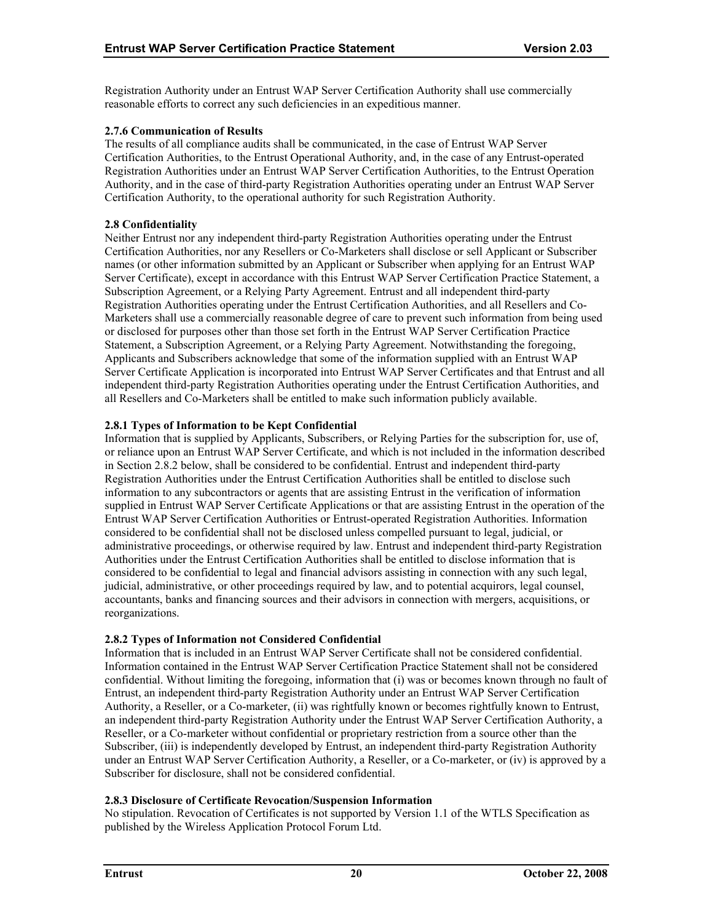<span id="page-24-0"></span>Registration Authority under an Entrust WAP Server Certification Authority shall use commercially reasonable efforts to correct any such deficiencies in an expeditious manner.

# **2.7.6 Communication of Results**

The results of all compliance audits shall be communicated, in the case of Entrust WAP Server Certification Authorities, to the Entrust Operational Authority, and, in the case of any Entrust-operated Registration Authorities under an Entrust WAP Server Certification Authorities, to the Entrust Operation Authority, and in the case of third-party Registration Authorities operating under an Entrust WAP Server Certification Authority, to the operational authority for such Registration Authority.

# **2.8 Confidentiality**

Neither Entrust nor any independent third-party Registration Authorities operating under the Entrust Certification Authorities, nor any Resellers or Co-Marketers shall disclose or sell Applicant or Subscriber names (or other information submitted by an Applicant or Subscriber when applying for an Entrust WAP Server Certificate), except in accordance with this Entrust WAP Server Certification Practice Statement, a Subscription Agreement, or a Relying Party Agreement. Entrust and all independent third-party Registration Authorities operating under the Entrust Certification Authorities, and all Resellers and Co-Marketers shall use a commercially reasonable degree of care to prevent such information from being used or disclosed for purposes other than those set forth in the Entrust WAP Server Certification Practice Statement, a Subscription Agreement, or a Relying Party Agreement. Notwithstanding the foregoing, Applicants and Subscribers acknowledge that some of the information supplied with an Entrust WAP Server Certificate Application is incorporated into Entrust WAP Server Certificates and that Entrust and all independent third-party Registration Authorities operating under the Entrust Certification Authorities, and all Resellers and Co-Marketers shall be entitled to make such information publicly available.

# **2.8.1 Types of Information to be Kept Confidential**

Information that is supplied by Applicants, Subscribers, or Relying Parties for the subscription for, use of, or reliance upon an Entrust WAP Server Certificate, and which is not included in the information described in Section 2.8.2 below, shall be considered to be confidential. Entrust and independent third-party Registration Authorities under the Entrust Certification Authorities shall be entitled to disclose such information to any subcontractors or agents that are assisting Entrust in the verification of information supplied in Entrust WAP Server Certificate Applications or that are assisting Entrust in the operation of the Entrust WAP Server Certification Authorities or Entrust-operated Registration Authorities. Information considered to be confidential shall not be disclosed unless compelled pursuant to legal, judicial, or administrative proceedings, or otherwise required by law. Entrust and independent third-party Registration Authorities under the Entrust Certification Authorities shall be entitled to disclose information that is considered to be confidential to legal and financial advisors assisting in connection with any such legal, judicial, administrative, or other proceedings required by law, and to potential acquirors, legal counsel, accountants, banks and financing sources and their advisors in connection with mergers, acquisitions, or reorganizations.

# **2.8.2 Types of Information not Considered Confidential**

Information that is included in an Entrust WAP Server Certificate shall not be considered confidential. Information contained in the Entrust WAP Server Certification Practice Statement shall not be considered confidential. Without limiting the foregoing, information that (i) was or becomes known through no fault of Entrust, an independent third-party Registration Authority under an Entrust WAP Server Certification Authority, a Reseller, or a Co-marketer, (ii) was rightfully known or becomes rightfully known to Entrust, an independent third-party Registration Authority under the Entrust WAP Server Certification Authority, a Reseller, or a Co-marketer without confidential or proprietary restriction from a source other than the Subscriber, (iii) is independently developed by Entrust, an independent third-party Registration Authority under an Entrust WAP Server Certification Authority, a Reseller, or a Co-marketer, or (iv) is approved by a Subscriber for disclosure, shall not be considered confidential.

# **2.8.3 Disclosure of Certificate Revocation/Suspension Information**

No stipulation. Revocation of Certificates is not supported by Version 1.1 of the WTLS Specification as published by the Wireless Application Protocol Forum Ltd.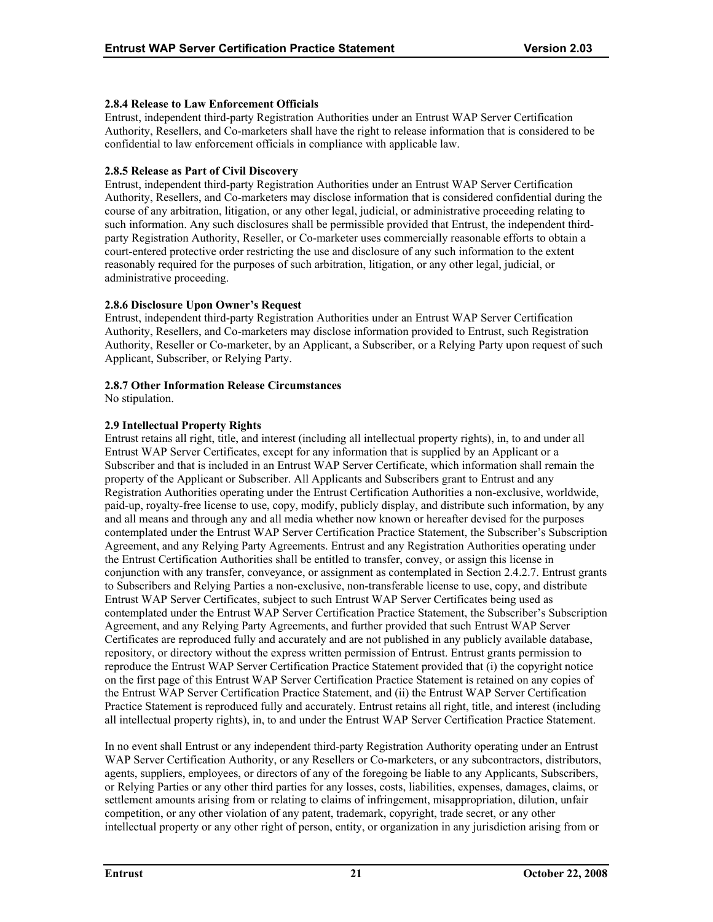# <span id="page-25-0"></span>**2.8.4 Release to Law Enforcement Officials**

Entrust, independent third-party Registration Authorities under an Entrust WAP Server Certification Authority, Resellers, and Co-marketers shall have the right to release information that is considered to be confidential to law enforcement officials in compliance with applicable law.

# **2.8.5 Release as Part of Civil Discovery**

Entrust, independent third-party Registration Authorities under an Entrust WAP Server Certification Authority, Resellers, and Co-marketers may disclose information that is considered confidential during the course of any arbitration, litigation, or any other legal, judicial, or administrative proceeding relating to such information. Any such disclosures shall be permissible provided that Entrust, the independent thirdparty Registration Authority, Reseller, or Co-marketer uses commercially reasonable efforts to obtain a court-entered protective order restricting the use and disclosure of any such information to the extent reasonably required for the purposes of such arbitration, litigation, or any other legal, judicial, or administrative proceeding.

# **2.8.6 Disclosure Upon Owner's Request**

Entrust, independent third-party Registration Authorities under an Entrust WAP Server Certification Authority, Resellers, and Co-marketers may disclose information provided to Entrust, such Registration Authority, Reseller or Co-marketer, by an Applicant, a Subscriber, or a Relying Party upon request of such Applicant, Subscriber, or Relying Party.

# **2.8.7 Other Information Release Circumstances**

No stipulation.

# **2.9 Intellectual Property Rights**

Entrust retains all right, title, and interest (including all intellectual property rights), in, to and under all Entrust WAP Server Certificates, except for any information that is supplied by an Applicant or a Subscriber and that is included in an Entrust WAP Server Certificate, which information shall remain the property of the Applicant or Subscriber. All Applicants and Subscribers grant to Entrust and any Registration Authorities operating under the Entrust Certification Authorities a non-exclusive, worldwide, paid-up, royalty-free license to use, copy, modify, publicly display, and distribute such information, by any and all means and through any and all media whether now known or hereafter devised for the purposes contemplated under the Entrust WAP Server Certification Practice Statement, the Subscriber's Subscription Agreement, and any Relying Party Agreements. Entrust and any Registration Authorities operating under the Entrust Certification Authorities shall be entitled to transfer, convey, or assign this license in conjunction with any transfer, conveyance, or assignment as contemplated in Section 2.4.2.7. Entrust grants to Subscribers and Relying Parties a non-exclusive, non-transferable license to use, copy, and distribute Entrust WAP Server Certificates, subject to such Entrust WAP Server Certificates being used as contemplated under the Entrust WAP Server Certification Practice Statement, the Subscriber's Subscription Agreement, and any Relying Party Agreements, and further provided that such Entrust WAP Server Certificates are reproduced fully and accurately and are not published in any publicly available database, repository, or directory without the express written permission of Entrust. Entrust grants permission to reproduce the Entrust WAP Server Certification Practice Statement provided that (i) the copyright notice on the first page of this Entrust WAP Server Certification Practice Statement is retained on any copies of the Entrust WAP Server Certification Practice Statement, and (ii) the Entrust WAP Server Certification Practice Statement is reproduced fully and accurately. Entrust retains all right, title, and interest (including all intellectual property rights), in, to and under the Entrust WAP Server Certification Practice Statement.

In no event shall Entrust or any independent third-party Registration Authority operating under an Entrust WAP Server Certification Authority, or any Resellers or Co-marketers, or any subcontractors, distributors, agents, suppliers, employees, or directors of any of the foregoing be liable to any Applicants, Subscribers, or Relying Parties or any other third parties for any losses, costs, liabilities, expenses, damages, claims, or settlement amounts arising from or relating to claims of infringement, misappropriation, dilution, unfair competition, or any other violation of any patent, trademark, copyright, trade secret, or any other intellectual property or any other right of person, entity, or organization in any jurisdiction arising from or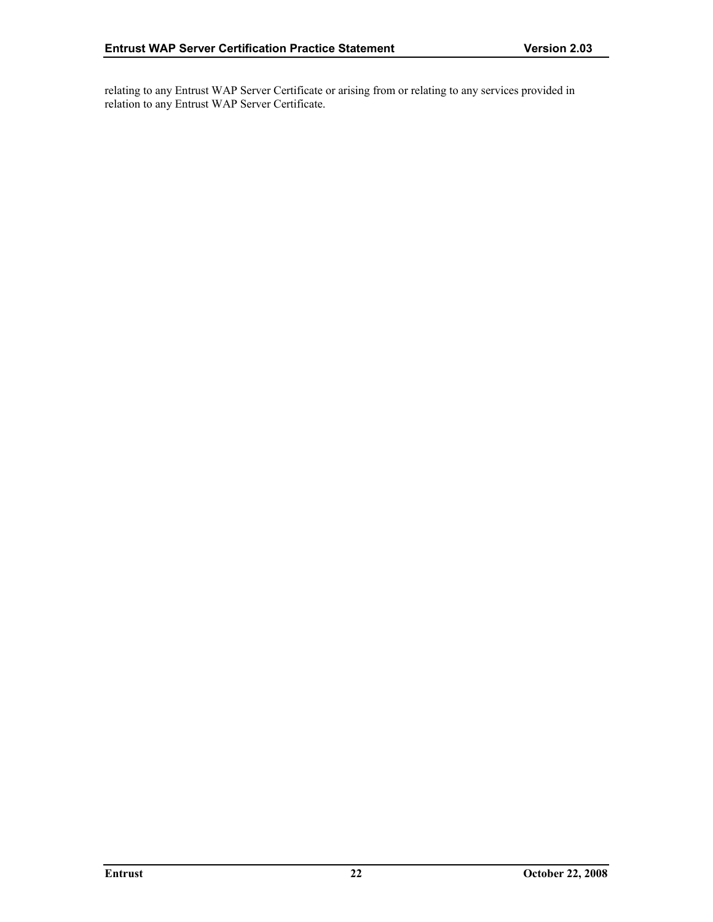relating to any Entrust WAP Server Certificate or arising from or relating to any services provided in relation to any Entrust WAP Server Certificate.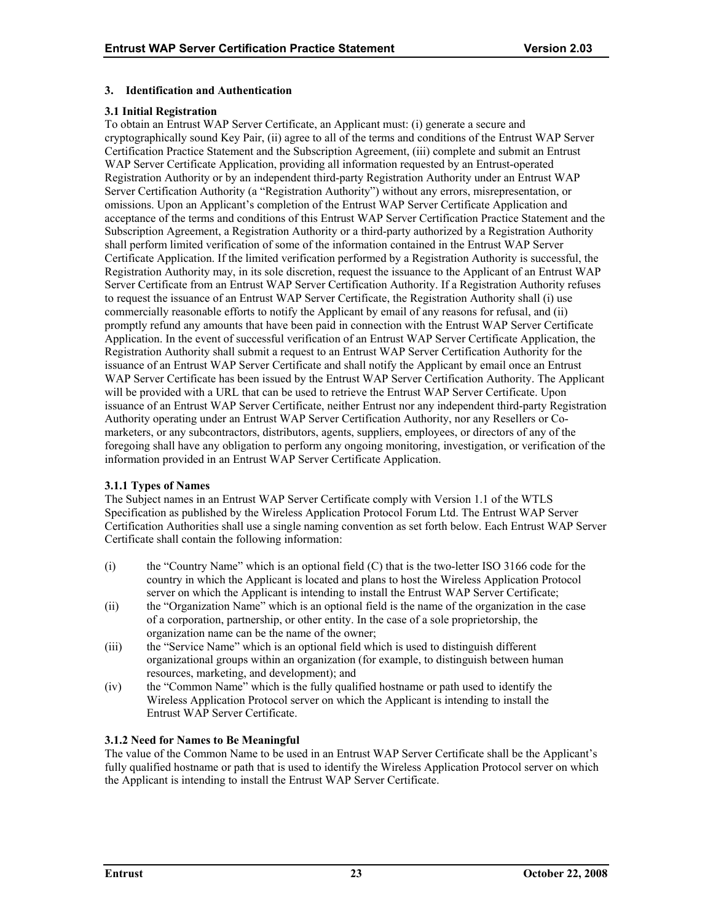# <span id="page-27-0"></span>**3. Identification and Authentication**

# **3.1 Initial Registration**

To obtain an Entrust WAP Server Certificate, an Applicant must: (i) generate a secure and cryptographically sound Key Pair, (ii) agree to all of the terms and conditions of the Entrust WAP Server Certification Practice Statement and the Subscription Agreement, (iii) complete and submit an Entrust WAP Server Certificate Application, providing all information requested by an Entrust-operated Registration Authority or by an independent third-party Registration Authority under an Entrust WAP Server Certification Authority (a "Registration Authority") without any errors, misrepresentation, or omissions. Upon an Applicant's completion of the Entrust WAP Server Certificate Application and acceptance of the terms and conditions of this Entrust WAP Server Certification Practice Statement and the Subscription Agreement, a Registration Authority or a third-party authorized by a Registration Authority shall perform limited verification of some of the information contained in the Entrust WAP Server Certificate Application. If the limited verification performed by a Registration Authority is successful, the Registration Authority may, in its sole discretion, request the issuance to the Applicant of an Entrust WAP Server Certificate from an Entrust WAP Server Certification Authority. If a Registration Authority refuses to request the issuance of an Entrust WAP Server Certificate, the Registration Authority shall (i) use commercially reasonable efforts to notify the Applicant by email of any reasons for refusal, and (ii) promptly refund any amounts that have been paid in connection with the Entrust WAP Server Certificate Application. In the event of successful verification of an Entrust WAP Server Certificate Application, the Registration Authority shall submit a request to an Entrust WAP Server Certification Authority for the issuance of an Entrust WAP Server Certificate and shall notify the Applicant by email once an Entrust WAP Server Certificate has been issued by the Entrust WAP Server Certification Authority. The Applicant will be provided with a URL that can be used to retrieve the Entrust WAP Server Certificate. Upon issuance of an Entrust WAP Server Certificate, neither Entrust nor any independent third-party Registration Authority operating under an Entrust WAP Server Certification Authority, nor any Resellers or Comarketers, or any subcontractors, distributors, agents, suppliers, employees, or directors of any of the foregoing shall have any obligation to perform any ongoing monitoring, investigation, or verification of the information provided in an Entrust WAP Server Certificate Application.

# **3.1.1 Types of Names**

The Subject names in an Entrust WAP Server Certificate comply with Version 1.1 of the WTLS Specification as published by the Wireless Application Protocol Forum Ltd. The Entrust WAP Server Certification Authorities shall use a single naming convention as set forth below. Each Entrust WAP Server Certificate shall contain the following information:

- (i) the "Country Name" which is an optional field (C) that is the two-letter ISO 3166 code for the country in which the Applicant is located and plans to host the Wireless Application Protocol server on which the Applicant is intending to install the Entrust WAP Server Certificate;
- (ii) the "Organization Name" which is an optional field is the name of the organization in the case of a corporation, partnership, or other entity. In the case of a sole proprietorship, the organization name can be the name of the owner;
- (iii) the "Service Name" which is an optional field which is used to distinguish different organizational groups within an organization (for example, to distinguish between human resources, marketing, and development); and
- (iv) the "Common Name" which is the fully qualified hostname or path used to identify the Wireless Application Protocol server on which the Applicant is intending to install the Entrust WAP Server Certificate.

# **3.1.2 Need for Names to Be Meaningful**

The value of the Common Name to be used in an Entrust WAP Server Certificate shall be the Applicant's fully qualified hostname or path that is used to identify the Wireless Application Protocol server on which the Applicant is intending to install the Entrust WAP Server Certificate.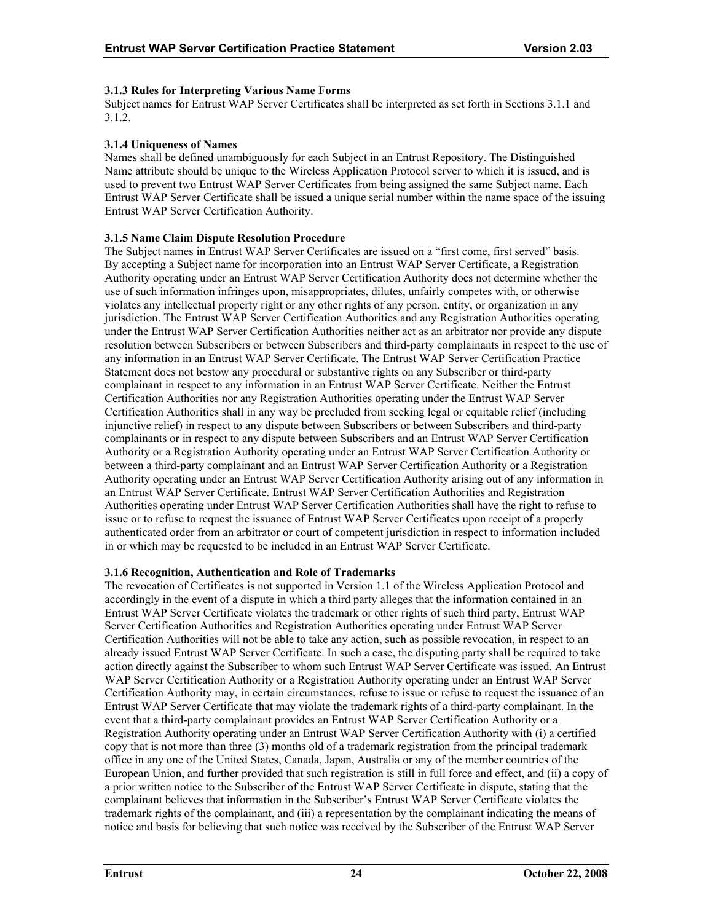# <span id="page-28-0"></span>**3.1.3 Rules for Interpreting Various Name Forms**

Subject names for Entrust WAP Server Certificates shall be interpreted as set forth in Sections 3.1.1 and 3.1.2.

# **3.1.4 Uniqueness of Names**

Names shall be defined unambiguously for each Subject in an Entrust Repository. The Distinguished Name attribute should be unique to the Wireless Application Protocol server to which it is issued, and is used to prevent two Entrust WAP Server Certificates from being assigned the same Subject name. Each Entrust WAP Server Certificate shall be issued a unique serial number within the name space of the issuing Entrust WAP Server Certification Authority.

# **3.1.5 Name Claim Dispute Resolution Procedure**

The Subject names in Entrust WAP Server Certificates are issued on a "first come, first served" basis. By accepting a Subject name for incorporation into an Entrust WAP Server Certificate, a Registration Authority operating under an Entrust WAP Server Certification Authority does not determine whether the use of such information infringes upon, misappropriates, dilutes, unfairly competes with, or otherwise violates any intellectual property right or any other rights of any person, entity, or organization in any jurisdiction. The Entrust WAP Server Certification Authorities and any Registration Authorities operating under the Entrust WAP Server Certification Authorities neither act as an arbitrator nor provide any dispute resolution between Subscribers or between Subscribers and third-party complainants in respect to the use of any information in an Entrust WAP Server Certificate. The Entrust WAP Server Certification Practice Statement does not bestow any procedural or substantive rights on any Subscriber or third-party complainant in respect to any information in an Entrust WAP Server Certificate. Neither the Entrust Certification Authorities nor any Registration Authorities operating under the Entrust WAP Server Certification Authorities shall in any way be precluded from seeking legal or equitable relief (including injunctive relief) in respect to any dispute between Subscribers or between Subscribers and third-party complainants or in respect to any dispute between Subscribers and an Entrust WAP Server Certification Authority or a Registration Authority operating under an Entrust WAP Server Certification Authority or between a third-party complainant and an Entrust WAP Server Certification Authority or a Registration Authority operating under an Entrust WAP Server Certification Authority arising out of any information in an Entrust WAP Server Certificate. Entrust WAP Server Certification Authorities and Registration Authorities operating under Entrust WAP Server Certification Authorities shall have the right to refuse to issue or to refuse to request the issuance of Entrust WAP Server Certificates upon receipt of a properly authenticated order from an arbitrator or court of competent jurisdiction in respect to information included in or which may be requested to be included in an Entrust WAP Server Certificate.

# **3.1.6 Recognition, Authentication and Role of Trademarks**

The revocation of Certificates is not supported in Version 1.1 of the Wireless Application Protocol and accordingly in the event of a dispute in which a third party alleges that the information contained in an Entrust WAP Server Certificate violates the trademark or other rights of such third party, Entrust WAP Server Certification Authorities and Registration Authorities operating under Entrust WAP Server Certification Authorities will not be able to take any action, such as possible revocation, in respect to an already issued Entrust WAP Server Certificate. In such a case, the disputing party shall be required to take action directly against the Subscriber to whom such Entrust WAP Server Certificate was issued. An Entrust WAP Server Certification Authority or a Registration Authority operating under an Entrust WAP Server Certification Authority may, in certain circumstances, refuse to issue or refuse to request the issuance of an Entrust WAP Server Certificate that may violate the trademark rights of a third-party complainant. In the event that a third-party complainant provides an Entrust WAP Server Certification Authority or a Registration Authority operating under an Entrust WAP Server Certification Authority with (i) a certified copy that is not more than three (3) months old of a trademark registration from the principal trademark office in any one of the United States, Canada, Japan, Australia or any of the member countries of the European Union, and further provided that such registration is still in full force and effect, and (ii) a copy of a prior written notice to the Subscriber of the Entrust WAP Server Certificate in dispute, stating that the complainant believes that information in the Subscriber's Entrust WAP Server Certificate violates the trademark rights of the complainant, and (iii) a representation by the complainant indicating the means of notice and basis for believing that such notice was received by the Subscriber of the Entrust WAP Server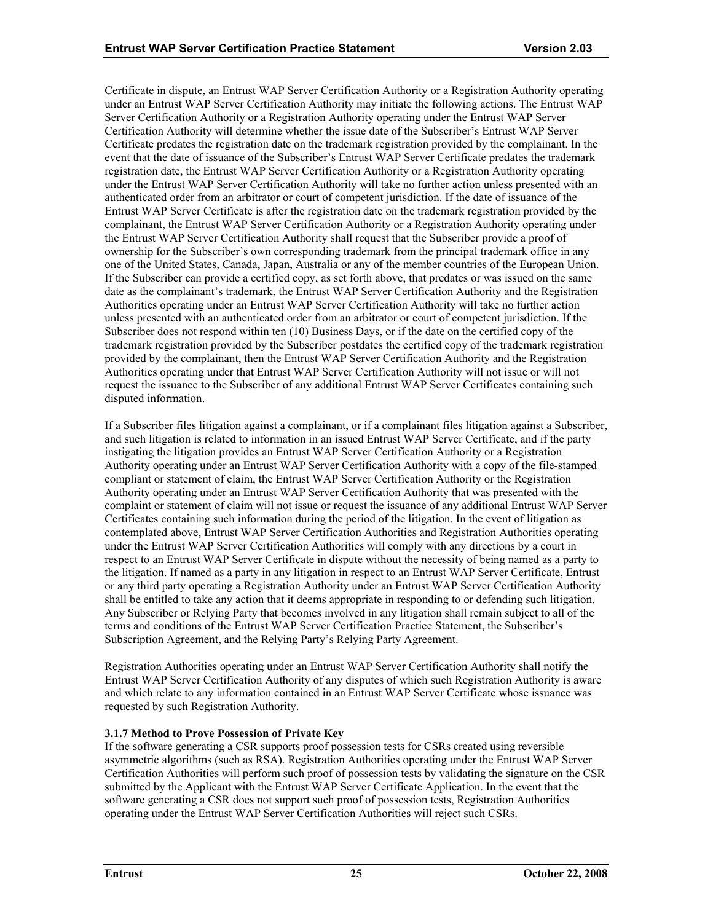<span id="page-29-0"></span>Certificate in dispute, an Entrust WAP Server Certification Authority or a Registration Authority operating under an Entrust WAP Server Certification Authority may initiate the following actions. The Entrust WAP Server Certification Authority or a Registration Authority operating under the Entrust WAP Server Certification Authority will determine whether the issue date of the Subscriber's Entrust WAP Server Certificate predates the registration date on the trademark registration provided by the complainant. In the event that the date of issuance of the Subscriber's Entrust WAP Server Certificate predates the trademark registration date, the Entrust WAP Server Certification Authority or a Registration Authority operating under the Entrust WAP Server Certification Authority will take no further action unless presented with an authenticated order from an arbitrator or court of competent jurisdiction. If the date of issuance of the Entrust WAP Server Certificate is after the registration date on the trademark registration provided by the complainant, the Entrust WAP Server Certification Authority or a Registration Authority operating under the Entrust WAP Server Certification Authority shall request that the Subscriber provide a proof of ownership for the Subscriber's own corresponding trademark from the principal trademark office in any one of the United States, Canada, Japan, Australia or any of the member countries of the European Union. If the Subscriber can provide a certified copy, as set forth above, that predates or was issued on the same date as the complainant's trademark, the Entrust WAP Server Certification Authority and the Registration Authorities operating under an Entrust WAP Server Certification Authority will take no further action unless presented with an authenticated order from an arbitrator or court of competent jurisdiction. If the Subscriber does not respond within ten (10) Business Days, or if the date on the certified copy of the trademark registration provided by the Subscriber postdates the certified copy of the trademark registration provided by the complainant, then the Entrust WAP Server Certification Authority and the Registration Authorities operating under that Entrust WAP Server Certification Authority will not issue or will not request the issuance to the Subscriber of any additional Entrust WAP Server Certificates containing such disputed information.

If a Subscriber files litigation against a complainant, or if a complainant files litigation against a Subscriber, and such litigation is related to information in an issued Entrust WAP Server Certificate, and if the party instigating the litigation provides an Entrust WAP Server Certification Authority or a Registration Authority operating under an Entrust WAP Server Certification Authority with a copy of the file-stamped compliant or statement of claim, the Entrust WAP Server Certification Authority or the Registration Authority operating under an Entrust WAP Server Certification Authority that was presented with the complaint or statement of claim will not issue or request the issuance of any additional Entrust WAP Server Certificates containing such information during the period of the litigation. In the event of litigation as contemplated above, Entrust WAP Server Certification Authorities and Registration Authorities operating under the Entrust WAP Server Certification Authorities will comply with any directions by a court in respect to an Entrust WAP Server Certificate in dispute without the necessity of being named as a party to the litigation. If named as a party in any litigation in respect to an Entrust WAP Server Certificate, Entrust or any third party operating a Registration Authority under an Entrust WAP Server Certification Authority shall be entitled to take any action that it deems appropriate in responding to or defending such litigation. Any Subscriber or Relying Party that becomes involved in any litigation shall remain subject to all of the terms and conditions of the Entrust WAP Server Certification Practice Statement, the Subscriber's Subscription Agreement, and the Relying Party's Relying Party Agreement.

Registration Authorities operating under an Entrust WAP Server Certification Authority shall notify the Entrust WAP Server Certification Authority of any disputes of which such Registration Authority is aware and which relate to any information contained in an Entrust WAP Server Certificate whose issuance was requested by such Registration Authority.

# **3.1.7 Method to Prove Possession of Private Key**

If the software generating a CSR supports proof possession tests for CSRs created using reversible asymmetric algorithms (such as RSA). Registration Authorities operating under the Entrust WAP Server Certification Authorities will perform such proof of possession tests by validating the signature on the CSR submitted by the Applicant with the Entrust WAP Server Certificate Application. In the event that the software generating a CSR does not support such proof of possession tests, Registration Authorities operating under the Entrust WAP Server Certification Authorities will reject such CSRs.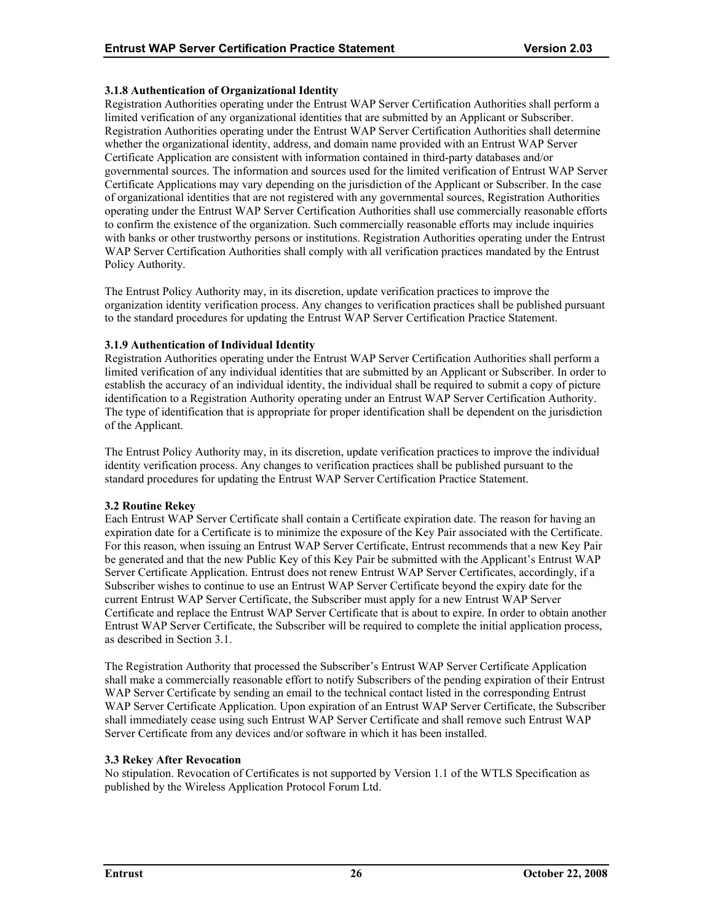# <span id="page-30-0"></span>**3.1.8 Authentication of Organizational Identity**

Registration Authorities operating under the Entrust WAP Server Certification Authorities shall perform a limited verification of any organizational identities that are submitted by an Applicant or Subscriber. Registration Authorities operating under the Entrust WAP Server Certification Authorities shall determine whether the organizational identity, address, and domain name provided with an Entrust WAP Server Certificate Application are consistent with information contained in third-party databases and/or governmental sources. The information and sources used for the limited verification of Entrust WAP Server Certificate Applications may vary depending on the jurisdiction of the Applicant or Subscriber. In the case of organizational identities that are not registered with any governmental sources, Registration Authorities operating under the Entrust WAP Server Certification Authorities shall use commercially reasonable efforts to confirm the existence of the organization. Such commercially reasonable efforts may include inquiries with banks or other trustworthy persons or institutions. Registration Authorities operating under the Entrust WAP Server Certification Authorities shall comply with all verification practices mandated by the Entrust Policy Authority.

The Entrust Policy Authority may, in its discretion, update verification practices to improve the organization identity verification process. Any changes to verification practices shall be published pursuant to the standard procedures for updating the Entrust WAP Server Certification Practice Statement.

# **3.1.9 Authentication of Individual Identity**

Registration Authorities operating under the Entrust WAP Server Certification Authorities shall perform a limited verification of any individual identities that are submitted by an Applicant or Subscriber. In order to establish the accuracy of an individual identity, the individual shall be required to submit a copy of picture identification to a Registration Authority operating under an Entrust WAP Server Certification Authority. The type of identification that is appropriate for proper identification shall be dependent on the jurisdiction of the Applicant.

The Entrust Policy Authority may, in its discretion, update verification practices to improve the individual identity verification process. Any changes to verification practices shall be published pursuant to the standard procedures for updating the Entrust WAP Server Certification Practice Statement.

# **3.2 Routine Rekey**

Each Entrust WAP Server Certificate shall contain a Certificate expiration date. The reason for having an expiration date for a Certificate is to minimize the exposure of the Key Pair associated with the Certificate. For this reason, when issuing an Entrust WAP Server Certificate, Entrust recommends that a new Key Pair be generated and that the new Public Key of this Key Pair be submitted with the Applicant's Entrust WAP Server Certificate Application. Entrust does not renew Entrust WAP Server Certificates, accordingly, if a Subscriber wishes to continue to use an Entrust WAP Server Certificate beyond the expiry date for the current Entrust WAP Server Certificate, the Subscriber must apply for a new Entrust WAP Server Certificate and replace the Entrust WAP Server Certificate that is about to expire. In order to obtain another Entrust WAP Server Certificate, the Subscriber will be required to complete the initial application process, as described in Section 3.1.

The Registration Authority that processed the Subscriber's Entrust WAP Server Certificate Application shall make a commercially reasonable effort to notify Subscribers of the pending expiration of their Entrust WAP Server Certificate by sending an email to the technical contact listed in the corresponding Entrust WAP Server Certificate Application. Upon expiration of an Entrust WAP Server Certificate, the Subscriber shall immediately cease using such Entrust WAP Server Certificate and shall remove such Entrust WAP Server Certificate from any devices and/or software in which it has been installed.

# **3.3 Rekey After Revocation**

No stipulation. Revocation of Certificates is not supported by Version 1.1 of the WTLS Specification as published by the Wireless Application Protocol Forum Ltd.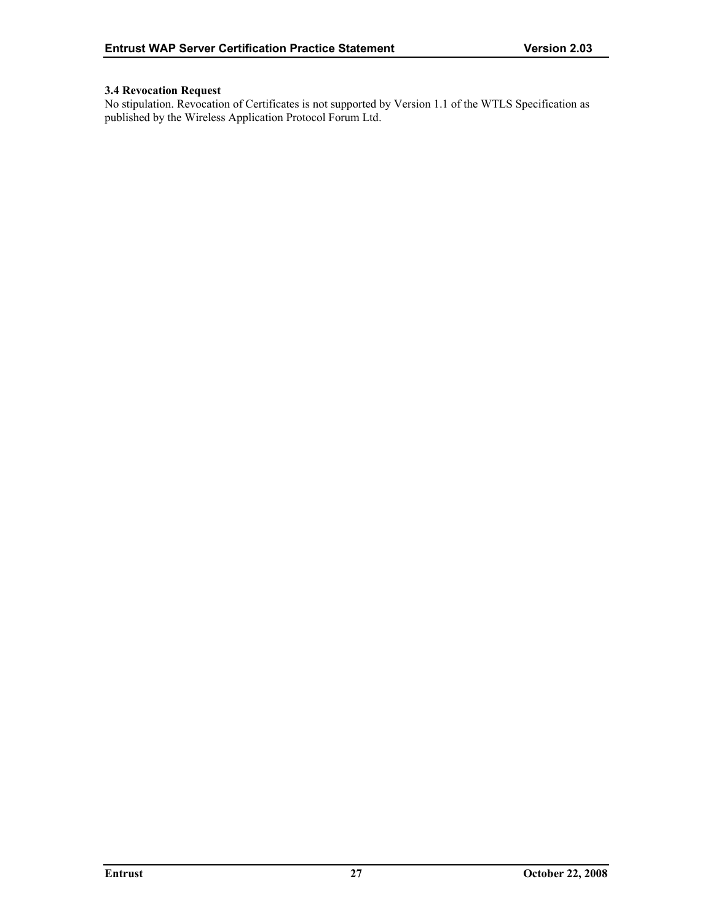# <span id="page-31-0"></span>**3.4 Revocation Request**

No stipulation. Revocation of Certificates is not supported by Version 1.1 of the WTLS Specification as published by the Wireless Application Protocol Forum Ltd.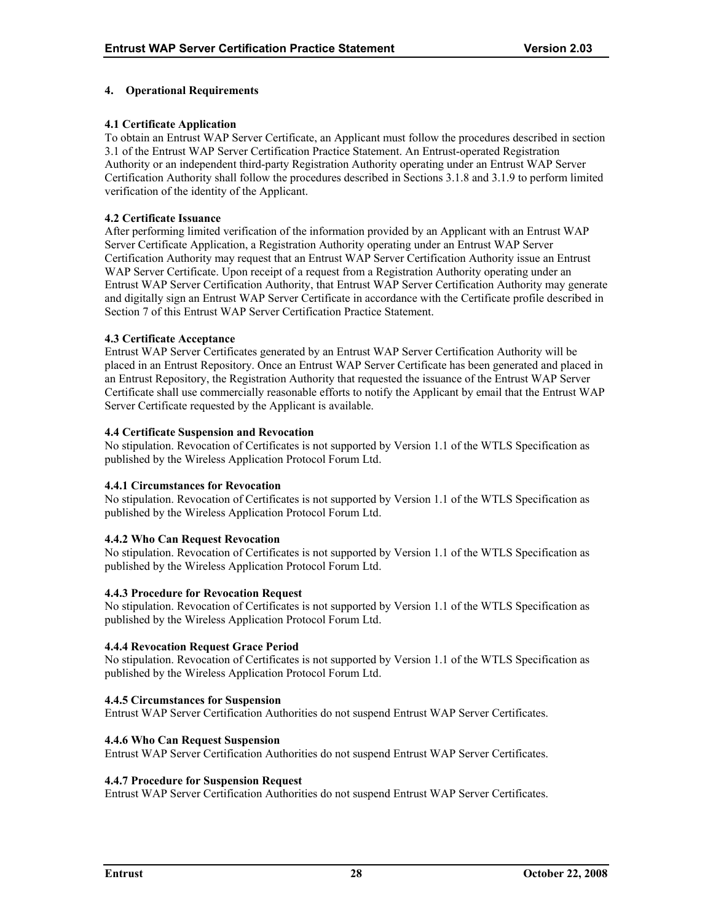# <span id="page-32-0"></span>**4. Operational Requirements**

# **4.1 Certificate Application**

To obtain an Entrust WAP Server Certificate, an Applicant must follow the procedures described in section 3.1 of the Entrust WAP Server Certification Practice Statement. An Entrust-operated Registration Authority or an independent third-party Registration Authority operating under an Entrust WAP Server Certification Authority shall follow the procedures described in Sections 3.1.8 and 3.1.9 to perform limited verification of the identity of the Applicant.

#### **4.2 Certificate Issuance**

After performing limited verification of the information provided by an Applicant with an Entrust WAP Server Certificate Application, a Registration Authority operating under an Entrust WAP Server Certification Authority may request that an Entrust WAP Server Certification Authority issue an Entrust WAP Server Certificate. Upon receipt of a request from a Registration Authority operating under an Entrust WAP Server Certification Authority, that Entrust WAP Server Certification Authority may generate and digitally sign an Entrust WAP Server Certificate in accordance with the Certificate profile described in Section 7 of this Entrust WAP Server Certification Practice Statement.

#### **4.3 Certificate Acceptance**

Entrust WAP Server Certificates generated by an Entrust WAP Server Certification Authority will be placed in an Entrust Repository. Once an Entrust WAP Server Certificate has been generated and placed in an Entrust Repository, the Registration Authority that requested the issuance of the Entrust WAP Server Certificate shall use commercially reasonable efforts to notify the Applicant by email that the Entrust WAP Server Certificate requested by the Applicant is available.

# **4.4 Certificate Suspension and Revocation**

No stipulation. Revocation of Certificates is not supported by Version 1.1 of the WTLS Specification as published by the Wireless Application Protocol Forum Ltd.

#### **4.4.1 Circumstances for Revocation**

No stipulation. Revocation of Certificates is not supported by Version 1.1 of the WTLS Specification as published by the Wireless Application Protocol Forum Ltd.

#### **4.4.2 Who Can Request Revocation**

No stipulation. Revocation of Certificates is not supported by Version 1.1 of the WTLS Specification as published by the Wireless Application Protocol Forum Ltd.

#### **4.4.3 Procedure for Revocation Request**

No stipulation. Revocation of Certificates is not supported by Version 1.1 of the WTLS Specification as published by the Wireless Application Protocol Forum Ltd.

#### **4.4.4 Revocation Request Grace Period**

No stipulation. Revocation of Certificates is not supported by Version 1.1 of the WTLS Specification as published by the Wireless Application Protocol Forum Ltd.

#### **4.4.5 Circumstances for Suspension**

Entrust WAP Server Certification Authorities do not suspend Entrust WAP Server Certificates.

#### **4.4.6 Who Can Request Suspension**

Entrust WAP Server Certification Authorities do not suspend Entrust WAP Server Certificates.

#### **4.4.7 Procedure for Suspension Request**

Entrust WAP Server Certification Authorities do not suspend Entrust WAP Server Certificates.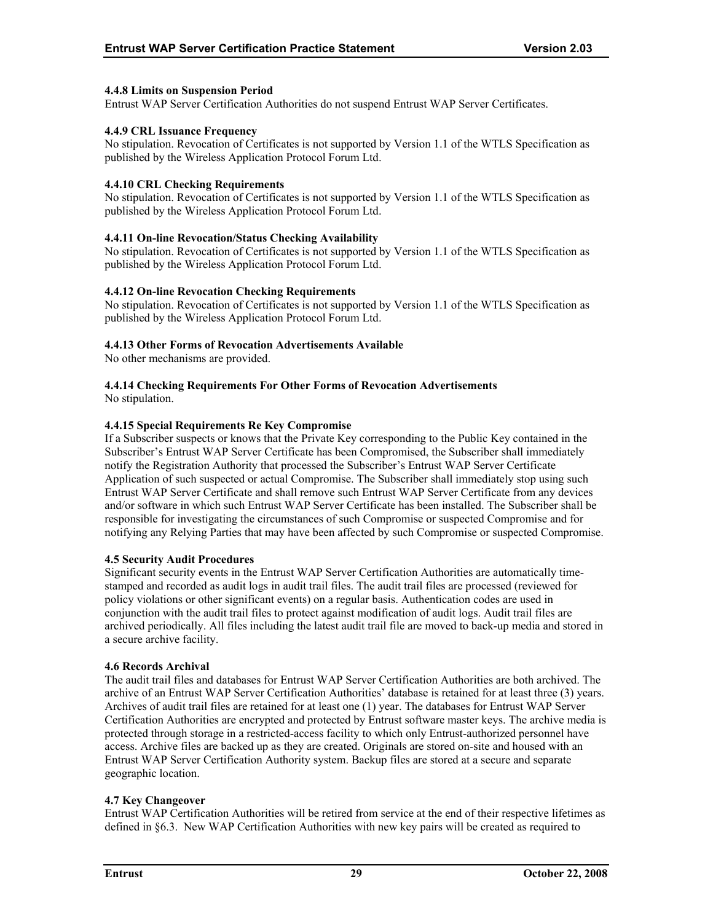# <span id="page-33-0"></span>**4.4.8 Limits on Suspension Period**

Entrust WAP Server Certification Authorities do not suspend Entrust WAP Server Certificates.

# **4.4.9 CRL Issuance Frequency**

No stipulation. Revocation of Certificates is not supported by Version 1.1 of the WTLS Specification as published by the Wireless Application Protocol Forum Ltd.

#### **4.4.10 CRL Checking Requirements**

No stipulation. Revocation of Certificates is not supported by Version 1.1 of the WTLS Specification as published by the Wireless Application Protocol Forum Ltd.

# **4.4.11 On-line Revocation/Status Checking Availability**

No stipulation. Revocation of Certificates is not supported by Version 1.1 of the WTLS Specification as published by the Wireless Application Protocol Forum Ltd.

# **4.4.12 On-line Revocation Checking Requirements**

No stipulation. Revocation of Certificates is not supported by Version 1.1 of the WTLS Specification as published by the Wireless Application Protocol Forum Ltd.

# **4.4.13 Other Forms of Revocation Advertisements Available**

No other mechanisms are provided.

# **4.4.14 Checking Requirements For Other Forms of Revocation Advertisements**

No stipulation.

# **4.4.15 Special Requirements Re Key Compromise**

If a Subscriber suspects or knows that the Private Key corresponding to the Public Key contained in the Subscriber's Entrust WAP Server Certificate has been Compromised, the Subscriber shall immediately notify the Registration Authority that processed the Subscriber's Entrust WAP Server Certificate Application of such suspected or actual Compromise. The Subscriber shall immediately stop using such Entrust WAP Server Certificate and shall remove such Entrust WAP Server Certificate from any devices and/or software in which such Entrust WAP Server Certificate has been installed. The Subscriber shall be responsible for investigating the circumstances of such Compromise or suspected Compromise and for notifying any Relying Parties that may have been affected by such Compromise or suspected Compromise.

#### **4.5 Security Audit Procedures**

Significant security events in the Entrust WAP Server Certification Authorities are automatically timestamped and recorded as audit logs in audit trail files. The audit trail files are processed (reviewed for policy violations or other significant events) on a regular basis. Authentication codes are used in conjunction with the audit trail files to protect against modification of audit logs. Audit trail files are archived periodically. All files including the latest audit trail file are moved to back-up media and stored in a secure archive facility.

#### **4.6 Records Archival**

The audit trail files and databases for Entrust WAP Server Certification Authorities are both archived. The archive of an Entrust WAP Server Certification Authorities' database is retained for at least three (3) years. Archives of audit trail files are retained for at least one (1) year. The databases for Entrust WAP Server Certification Authorities are encrypted and protected by Entrust software master keys. The archive media is protected through storage in a restricted-access facility to which only Entrust-authorized personnel have access. Archive files are backed up as they are created. Originals are stored on-site and housed with an Entrust WAP Server Certification Authority system. Backup files are stored at a secure and separate geographic location.

#### **4.7 Key Changeover**

Entrust WAP Certification Authorities will be retired from service at the end of their respective lifetimes as defined in §6.3. New WAP Certification Authorities with new key pairs will be created as required to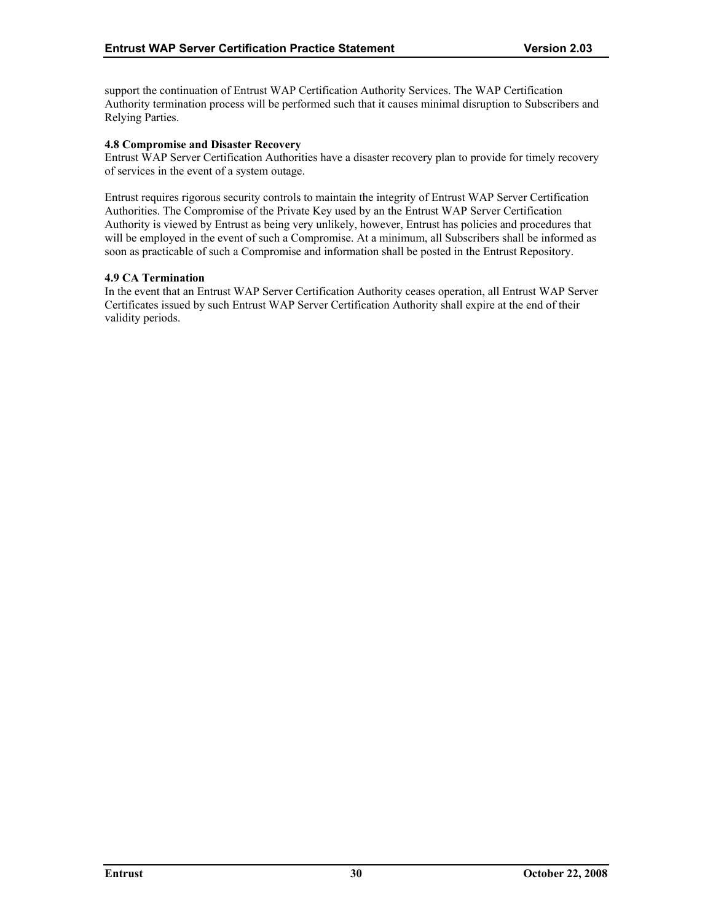<span id="page-34-0"></span>support the continuation of Entrust WAP Certification Authority Services. The WAP Certification Authority termination process will be performed such that it causes minimal disruption to Subscribers and Relying Parties.

# **4.8 Compromise and Disaster Recovery**

Entrust WAP Server Certification Authorities have a disaster recovery plan to provide for timely recovery of services in the event of a system outage.

Entrust requires rigorous security controls to maintain the integrity of Entrust WAP Server Certification Authorities. The Compromise of the Private Key used by an the Entrust WAP Server Certification Authority is viewed by Entrust as being very unlikely, however, Entrust has policies and procedures that will be employed in the event of such a Compromise. At a minimum, all Subscribers shall be informed as soon as practicable of such a Compromise and information shall be posted in the Entrust Repository.

#### **4.9 CA Termination**

In the event that an Entrust WAP Server Certification Authority ceases operation, all Entrust WAP Server Certificates issued by such Entrust WAP Server Certification Authority shall expire at the end of their validity periods.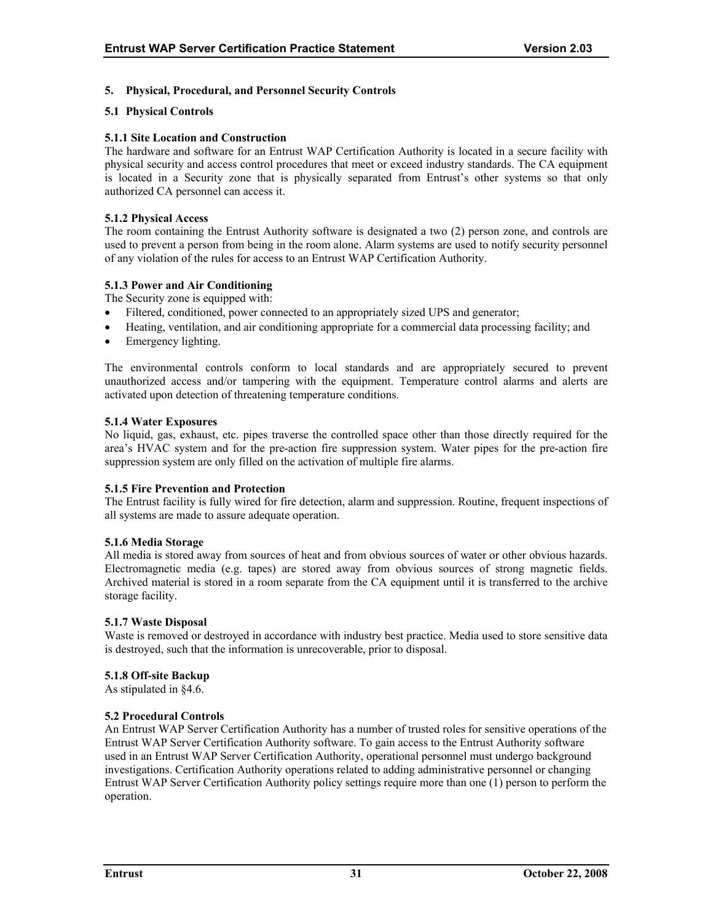# <span id="page-35-0"></span>**5. Physical, Procedural, and Personnel Security Controls**

# **5.1 Physical Controls**

# **5.1.1 Site Location and Construction**

The hardware and software for an Entrust WAP Certification Authority is located in a secure facility with physical security and access control procedures that meet or exceed industry standards. The CA equipment is located in a Security zone that is physically separated from Entrust's other systems so that only authorized CA personnel can access it.

#### **5.1.2 Physical Access**

The room containing the Entrust Authority software is designated a two (2) person zone, and controls are used to prevent a person from being in the room alone. Alarm systems are used to notify security personnel of any violation of the rules for access to an Entrust WAP Certification Authority.

# **5.1.3 Power and Air Conditioning**

The Security zone is equipped with:

- Filtered, conditioned, power connected to an appropriately sized UPS and generator;
- Heating, ventilation, and air conditioning appropriate for a commercial data processing facility; and
- Emergency lighting.

The environmental controls conform to local standards and are appropriately secured to prevent unauthorized access and/or tampering with the equipment. Temperature control alarms and alerts are activated upon detection of threatening temperature conditions.

#### **5.1.4 Water Exposures**

No liquid, gas, exhaust, etc. pipes traverse the controlled space other than those directly required for the area's HVAC system and for the pre-action fire suppression system. Water pipes for the pre-action fire suppression system are only filled on the activation of multiple fire alarms.

#### **5.1.5 Fire Prevention and Protection**

The Entrust facility is fully wired for fire detection, alarm and suppression. Routine, frequent inspections of all systems are made to assure adequate operation.

#### **5.1.6 Media Storage**

All media is stored away from sources of heat and from obvious sources of water or other obvious hazards. Electromagnetic media (e.g. tapes) are stored away from obvious sources of strong magnetic fields. Archived material is stored in a room separate from the CA equipment until it is transferred to the archive storage facility.

#### **5.1.7 Waste Disposal**

Waste is removed or destroyed in accordance with industry best practice. Media used to store sensitive data is destroyed, such that the information is unrecoverable, prior to disposal.

#### **5.1.8 Off-site Backup**

As stipulated in §4.6.

#### **5.2 Procedural Controls**

An Entrust WAP Server Certification Authority has a number of trusted roles for sensitive operations of the Entrust WAP Server Certification Authority software. To gain access to the Entrust Authority software used in an Entrust WAP Server Certification Authority, operational personnel must undergo background investigations. Certification Authority operations related to adding administrative personnel or changing Entrust WAP Server Certification Authority policy settings require more than one (1) person to perform the operation.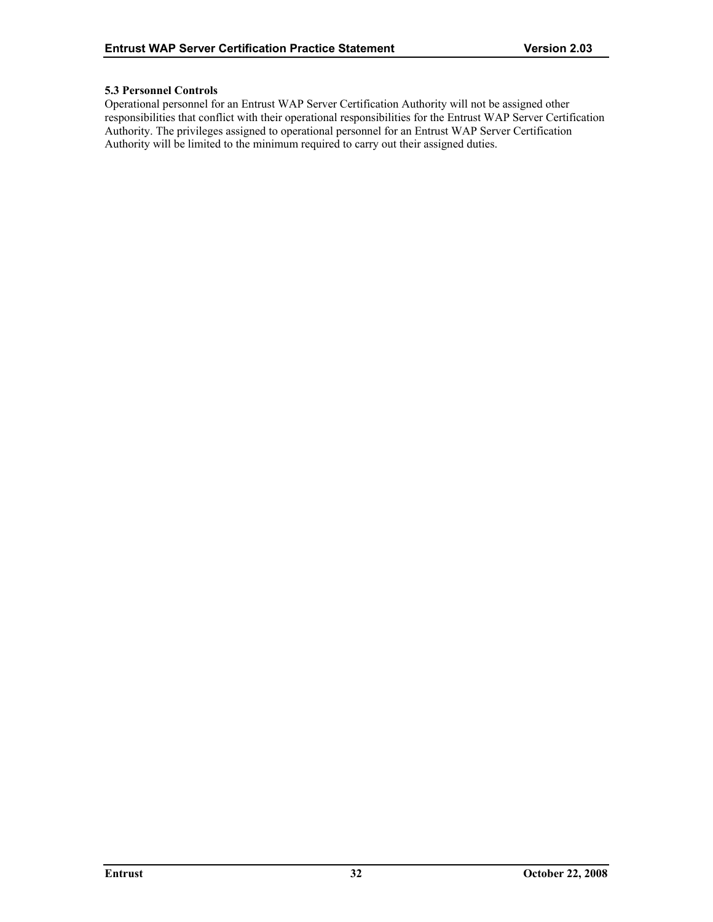# <span id="page-36-0"></span>**5.3 Personnel Controls**

Operational personnel for an Entrust WAP Server Certification Authority will not be assigned other responsibilities that conflict with their operational responsibilities for the Entrust WAP Server Certification Authority. The privileges assigned to operational personnel for an Entrust WAP Server Certification Authority will be limited to the minimum required to carry out their assigned duties.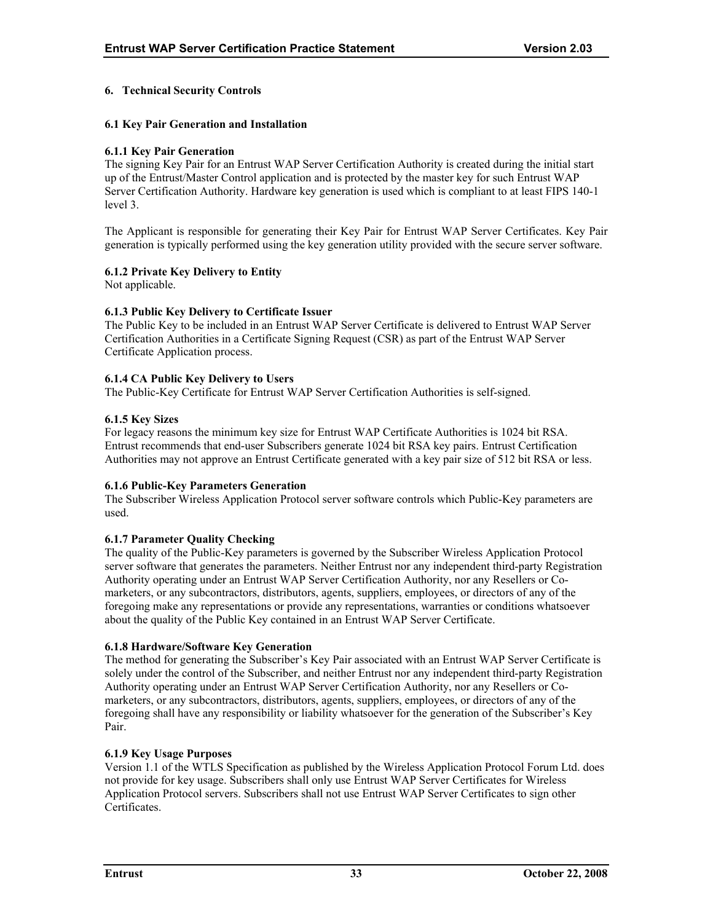# <span id="page-37-0"></span>**6. Technical Security Controls**

# **6.1 Key Pair Generation and Installation**

#### **6.1.1 Key Pair Generation**

The signing Key Pair for an Entrust WAP Server Certification Authority is created during the initial start up of the Entrust/Master Control application and is protected by the master key for such Entrust WAP Server Certification Authority. Hardware key generation is used which is compliant to at least FIPS 140-1 level 3.

The Applicant is responsible for generating their Key Pair for Entrust WAP Server Certificates. Key Pair generation is typically performed using the key generation utility provided with the secure server software.

# **6.1.2 Private Key Delivery to Entity**

Not applicable.

#### **6.1.3 Public Key Delivery to Certificate Issuer**

The Public Key to be included in an Entrust WAP Server Certificate is delivered to Entrust WAP Server Certification Authorities in a Certificate Signing Request (CSR) as part of the Entrust WAP Server Certificate Application process.

# **6.1.4 CA Public Key Delivery to Users**

The Public-Key Certificate for Entrust WAP Server Certification Authorities is self-signed.

# **6.1.5 Key Sizes**

For legacy reasons the minimum key size for Entrust WAP Certificate Authorities is 1024 bit RSA. Entrust recommends that end-user Subscribers generate 1024 bit RSA key pairs. Entrust Certification Authorities may not approve an Entrust Certificate generated with a key pair size of 512 bit RSA or less.

#### **6.1.6 Public-Key Parameters Generation**

The Subscriber Wireless Application Protocol server software controls which Public-Key parameters are used.

#### **6.1.7 Parameter Quality Checking**

The quality of the Public-Key parameters is governed by the Subscriber Wireless Application Protocol server software that generates the parameters. Neither Entrust nor any independent third-party Registration Authority operating under an Entrust WAP Server Certification Authority, nor any Resellers or Comarketers, or any subcontractors, distributors, agents, suppliers, employees, or directors of any of the foregoing make any representations or provide any representations, warranties or conditions whatsoever about the quality of the Public Key contained in an Entrust WAP Server Certificate.

#### **6.1.8 Hardware/Software Key Generation**

The method for generating the Subscriber's Key Pair associated with an Entrust WAP Server Certificate is solely under the control of the Subscriber, and neither Entrust nor any independent third-party Registration Authority operating under an Entrust WAP Server Certification Authority, nor any Resellers or Comarketers, or any subcontractors, distributors, agents, suppliers, employees, or directors of any of the foregoing shall have any responsibility or liability whatsoever for the generation of the Subscriber's Key Pair.

#### **6.1.9 Key Usage Purposes**

Version 1.1 of the WTLS Specification as published by the Wireless Application Protocol Forum Ltd. does not provide for key usage. Subscribers shall only use Entrust WAP Server Certificates for Wireless Application Protocol servers. Subscribers shall not use Entrust WAP Server Certificates to sign other **Certificates**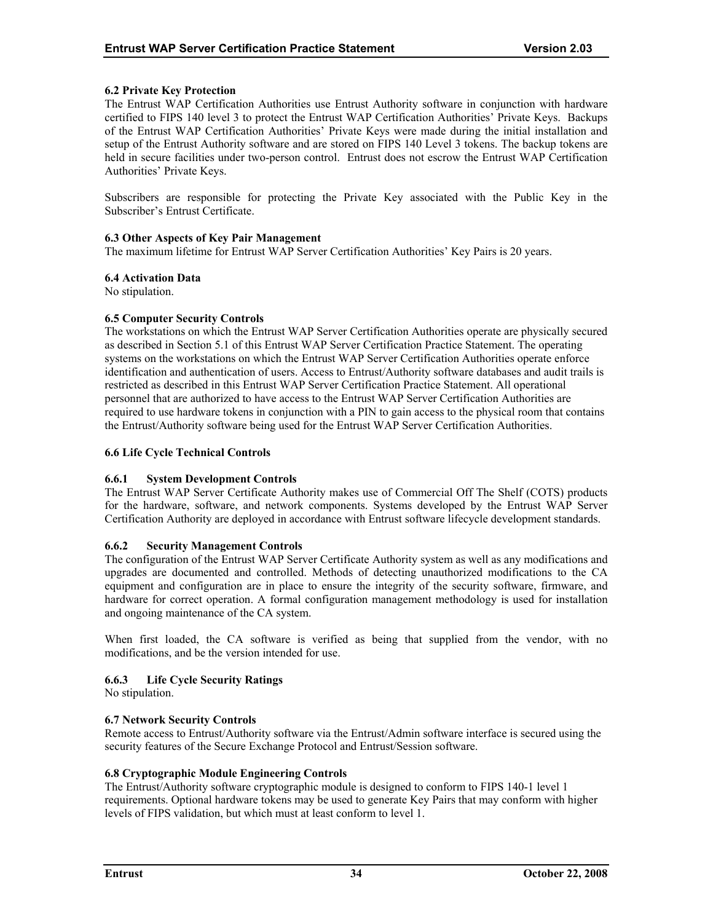# <span id="page-38-0"></span>**6.2 Private Key Protection**

The Entrust WAP Certification Authorities use Entrust Authority software in conjunction with hardware certified to FIPS 140 level 3 to protect the Entrust WAP Certification Authorities' Private Keys. Backups of the Entrust WAP Certification Authorities' Private Keys were made during the initial installation and setup of the Entrust Authority software and are stored on FIPS 140 Level 3 tokens. The backup tokens are held in secure facilities under two-person control. Entrust does not escrow the Entrust WAP Certification Authorities' Private Keys.

Subscribers are responsible for protecting the Private Key associated with the Public Key in the Subscriber's Entrust Certificate.

#### **6.3 Other Aspects of Key Pair Management**

The maximum lifetime for Entrust WAP Server Certification Authorities' Key Pairs is 20 years.

# **6.4 Activation Data**

No stipulation.

# **6.5 Computer Security Controls**

The workstations on which the Entrust WAP Server Certification Authorities operate are physically secured as described in Section 5.1 of this Entrust WAP Server Certification Practice Statement. The operating systems on the workstations on which the Entrust WAP Server Certification Authorities operate enforce identification and authentication of users. Access to Entrust/Authority software databases and audit trails is restricted as described in this Entrust WAP Server Certification Practice Statement. All operational personnel that are authorized to have access to the Entrust WAP Server Certification Authorities are required to use hardware tokens in conjunction with a PIN to gain access to the physical room that contains the Entrust/Authority software being used for the Entrust WAP Server Certification Authorities.

# **6.6 Life Cycle Technical Controls**

# **6.6.1 System Development Controls**

The Entrust WAP Server Certificate Authority makes use of Commercial Off The Shelf (COTS) products for the hardware, software, and network components. Systems developed by the Entrust WAP Server Certification Authority are deployed in accordance with Entrust software lifecycle development standards.

# **6.6.2 Security Management Controls**

The configuration of the Entrust WAP Server Certificate Authority system as well as any modifications and upgrades are documented and controlled. Methods of detecting unauthorized modifications to the CA equipment and configuration are in place to ensure the integrity of the security software, firmware, and hardware for correct operation. A formal configuration management methodology is used for installation and ongoing maintenance of the CA system.

When first loaded, the CA software is verified as being that supplied from the vendor, with no modifications, and be the version intended for use.

# **6.6.3 Life Cycle Security Ratings**

No stipulation.

#### **6.7 Network Security Controls**

Remote access to Entrust/Authority software via the Entrust/Admin software interface is secured using the security features of the Secure Exchange Protocol and Entrust/Session software.

#### **6.8 Cryptographic Module Engineering Controls**

The Entrust/Authority software cryptographic module is designed to conform to FIPS 140-1 level 1 requirements. Optional hardware tokens may be used to generate Key Pairs that may conform with higher levels of FIPS validation, but which must at least conform to level 1.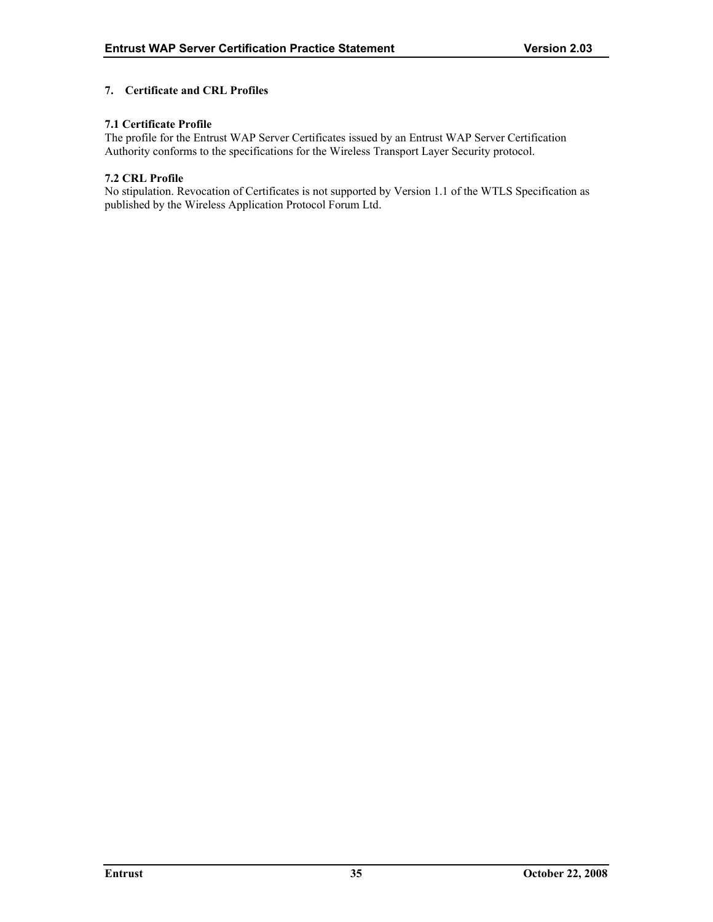# <span id="page-39-0"></span>**7. Certificate and CRL Profiles**

# **7.1 Certificate Profile**

The profile for the Entrust WAP Server Certificates issued by an Entrust WAP Server Certification Authority conforms to the specifications for the Wireless Transport Layer Security protocol.

#### **7.2 CRL Profile**

No stipulation. Revocation of Certificates is not supported by Version 1.1 of the WTLS Specification as published by the Wireless Application Protocol Forum Ltd.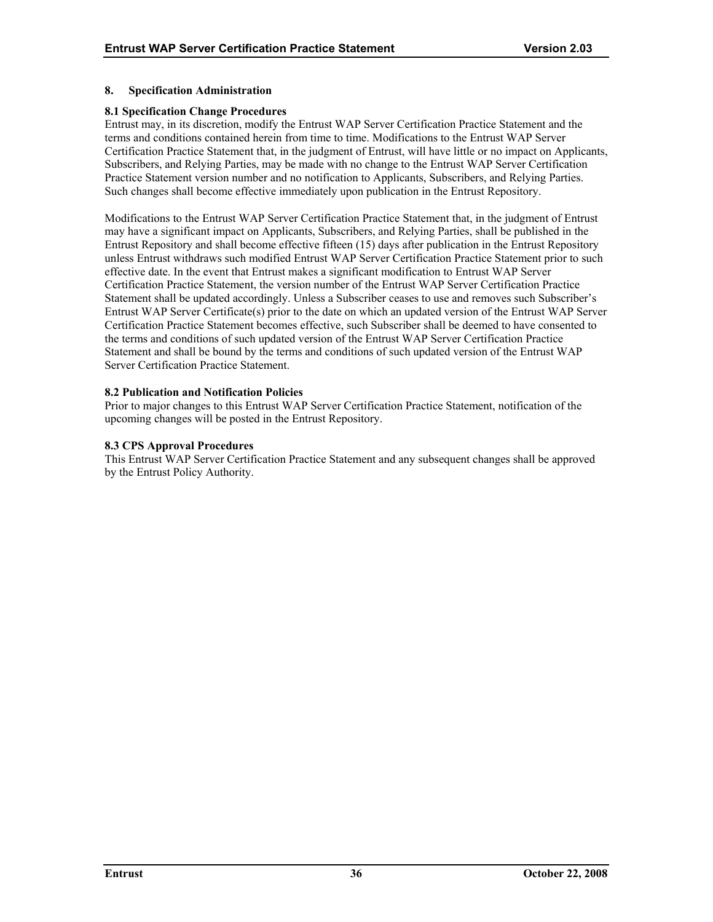# <span id="page-40-0"></span>**8. Specification Administration**

#### **8.1 Specification Change Procedures**

Entrust may, in its discretion, modify the Entrust WAP Server Certification Practice Statement and the terms and conditions contained herein from time to time. Modifications to the Entrust WAP Server Certification Practice Statement that, in the judgment of Entrust, will have little or no impact on Applicants, Subscribers, and Relying Parties, may be made with no change to the Entrust WAP Server Certification Practice Statement version number and no notification to Applicants, Subscribers, and Relying Parties. Such changes shall become effective immediately upon publication in the Entrust Repository.

Modifications to the Entrust WAP Server Certification Practice Statement that, in the judgment of Entrust may have a significant impact on Applicants, Subscribers, and Relying Parties, shall be published in the Entrust Repository and shall become effective fifteen (15) days after publication in the Entrust Repository unless Entrust withdraws such modified Entrust WAP Server Certification Practice Statement prior to such effective date. In the event that Entrust makes a significant modification to Entrust WAP Server Certification Practice Statement, the version number of the Entrust WAP Server Certification Practice Statement shall be updated accordingly. Unless a Subscriber ceases to use and removes such Subscriber's Entrust WAP Server Certificate(s) prior to the date on which an updated version of the Entrust WAP Server Certification Practice Statement becomes effective, such Subscriber shall be deemed to have consented to the terms and conditions of such updated version of the Entrust WAP Server Certification Practice Statement and shall be bound by the terms and conditions of such updated version of the Entrust WAP Server Certification Practice Statement.

# **8.2 Publication and Notification Policies**

Prior to major changes to this Entrust WAP Server Certification Practice Statement, notification of the upcoming changes will be posted in the Entrust Repository.

#### **8.3 CPS Approval Procedures**

This Entrust WAP Server Certification Practice Statement and any subsequent changes shall be approved by the Entrust Policy Authority.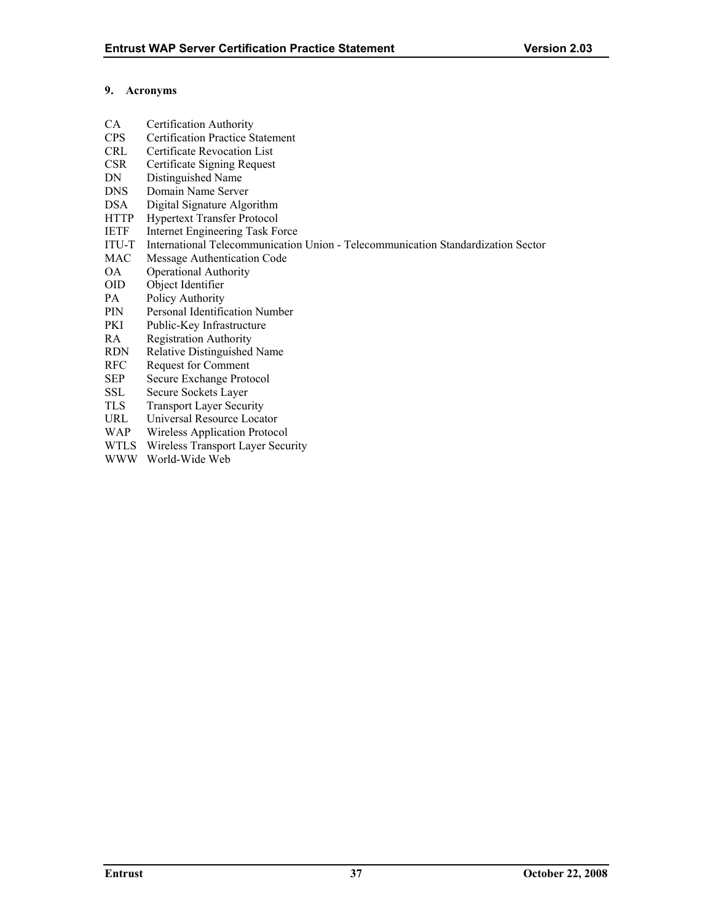# <span id="page-41-0"></span>**9. Acronyms**

- CA Certification Authority
- CPS Certification Practice Statement
- CRL Certificate Revocation List
- CSR Certificate Signing Request
- DN Distinguished Name
- DNS Domain Name Server<br>DSA Digital Signature Algo
- Digital Signature Algorithm
- HTTP Hypertext Transfer Protocol
- IETF Internet Engineering Task Force
- ITU-T International Telecommunication Union Telecommunication Standardization Sector
- MAC Message Authentication Code
- OA Operational Authority
- OID Object Identifier
- PA Policy Authority
- PIN Personal Identification Number
- PKI Public-Key Infrastructure
- RA Registration Authority
- RDN Relative Distinguished Name
- RFC Request for Comment
- SEP Secure Exchange Protocol
- SSL Secure Sockets Layer
- TLS Transport Layer Security
- URL Universal Resource Locator
- WAP Wireless Application Protocol
- WTLS Wireless Transport Layer Security
- WWW World-Wide Web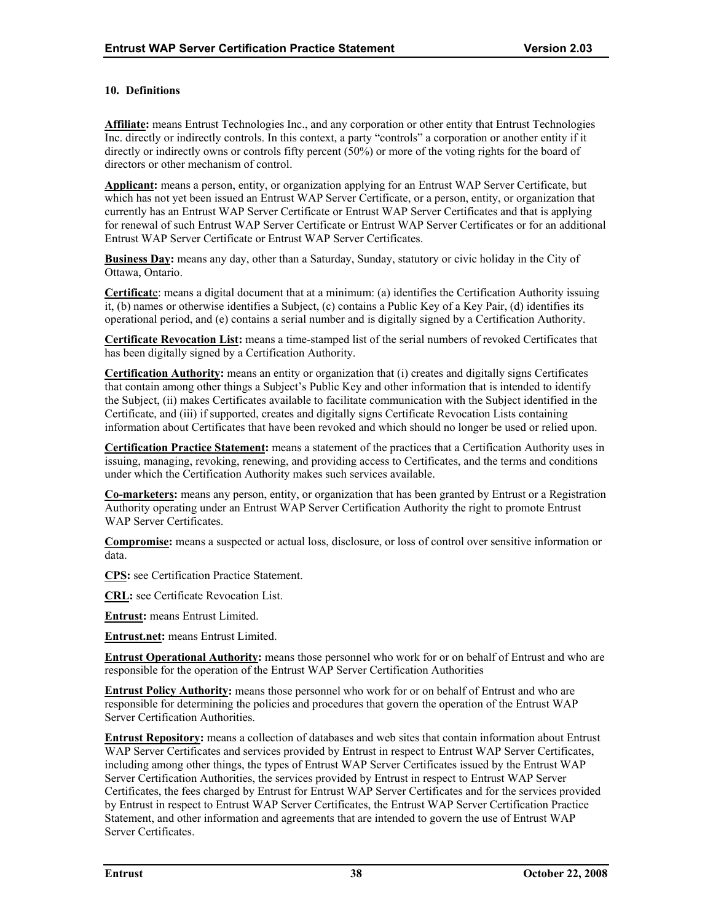# <span id="page-42-0"></span>**10. Definitions**

**Affiliate:** means Entrust Technologies Inc., and any corporation or other entity that Entrust Technologies Inc. directly or indirectly controls. In this context, a party "controls" a corporation or another entity if it directly or indirectly owns or controls fifty percent (50%) or more of the voting rights for the board of directors or other mechanism of control.

**Applicant:** means a person, entity, or organization applying for an Entrust WAP Server Certificate, but which has not yet been issued an Entrust WAP Server Certificate, or a person, entity, or organization that currently has an Entrust WAP Server Certificate or Entrust WAP Server Certificates and that is applying for renewal of such Entrust WAP Server Certificate or Entrust WAP Server Certificates or for an additional Entrust WAP Server Certificate or Entrust WAP Server Certificates.

**Business Day:** means any day, other than a Saturday, Sunday, statutory or civic holiday in the City of Ottawa, Ontario.

**Certificat**e: means a digital document that at a minimum: (a) identifies the Certification Authority issuing it, (b) names or otherwise identifies a Subject, (c) contains a Public Key of a Key Pair, (d) identifies its operational period, and (e) contains a serial number and is digitally signed by a Certification Authority.

**Certificate Revocation List:** means a time-stamped list of the serial numbers of revoked Certificates that has been digitally signed by a Certification Authority.

**Certification Authority:** means an entity or organization that (i) creates and digitally signs Certificates that contain among other things a Subject's Public Key and other information that is intended to identify the Subject, (ii) makes Certificates available to facilitate communication with the Subject identified in the Certificate, and (iii) if supported, creates and digitally signs Certificate Revocation Lists containing information about Certificates that have been revoked and which should no longer be used or relied upon.

**Certification Practice Statement:** means a statement of the practices that a Certification Authority uses in issuing, managing, revoking, renewing, and providing access to Certificates, and the terms and conditions under which the Certification Authority makes such services available.

**Co-marketers:** means any person, entity, or organization that has been granted by Entrust or a Registration Authority operating under an Entrust WAP Server Certification Authority the right to promote Entrust WAP Server Certificates.

**Compromise:** means a suspected or actual loss, disclosure, or loss of control over sensitive information or data.

**CPS:** see Certification Practice Statement.

**CRL:** see Certificate Revocation List.

**Entrust:** means Entrust Limited.

**Entrust.net:** means Entrust Limited.

**Entrust Operational Authority:** means those personnel who work for or on behalf of Entrust and who are responsible for the operation of the Entrust WAP Server Certification Authorities

**Entrust Policy Authority:** means those personnel who work for or on behalf of Entrust and who are responsible for determining the policies and procedures that govern the operation of the Entrust WAP Server Certification Authorities.

**Entrust Repository:** means a collection of databases and web sites that contain information about Entrust WAP Server Certificates and services provided by Entrust in respect to Entrust WAP Server Certificates, including among other things, the types of Entrust WAP Server Certificates issued by the Entrust WAP Server Certification Authorities, the services provided by Entrust in respect to Entrust WAP Server Certificates, the fees charged by Entrust for Entrust WAP Server Certificates and for the services provided by Entrust in respect to Entrust WAP Server Certificates, the Entrust WAP Server Certification Practice Statement, and other information and agreements that are intended to govern the use of Entrust WAP Server Certificates.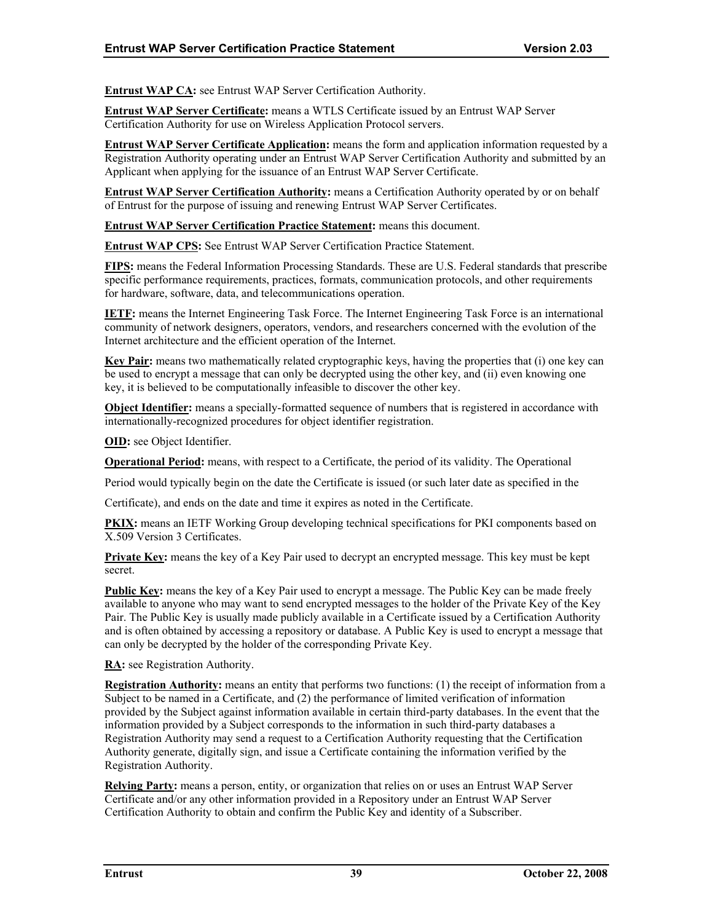**Entrust WAP CA:** see Entrust WAP Server Certification Authority.

**Entrust WAP Server Certificate:** means a WTLS Certificate issued by an Entrust WAP Server Certification Authority for use on Wireless Application Protocol servers.

**Entrust WAP Server Certificate Application:** means the form and application information requested by a Registration Authority operating under an Entrust WAP Server Certification Authority and submitted by an Applicant when applying for the issuance of an Entrust WAP Server Certificate.

**Entrust WAP Server Certification Authority:** means a Certification Authority operated by or on behalf of Entrust for the purpose of issuing and renewing Entrust WAP Server Certificates.

**Entrust WAP Server Certification Practice Statement:** means this document.

**Entrust WAP CPS:** See Entrust WAP Server Certification Practice Statement.

**FIPS:** means the Federal Information Processing Standards. These are U.S. Federal standards that prescribe specific performance requirements, practices, formats, communication protocols, and other requirements for hardware, software, data, and telecommunications operation.

**IETF:** means the Internet Engineering Task Force. The Internet Engineering Task Force is an international community of network designers, operators, vendors, and researchers concerned with the evolution of the Internet architecture and the efficient operation of the Internet.

**Key Pair:** means two mathematically related cryptographic keys, having the properties that (i) one key can be used to encrypt a message that can only be decrypted using the other key, and (ii) even knowing one key, it is believed to be computationally infeasible to discover the other key.

**Object Identifier:** means a specially-formatted sequence of numbers that is registered in accordance with internationally-recognized procedures for object identifier registration.

**OID:** see Object Identifier.

**Operational Period:** means, with respect to a Certificate, the period of its validity. The Operational

Period would typically begin on the date the Certificate is issued (or such later date as specified in the

Certificate), and ends on the date and time it expires as noted in the Certificate.

**PKIX:** means an IETF Working Group developing technical specifications for PKI components based on X.509 Version 3 Certificates.

**Private Key:** means the key of a Key Pair used to decrypt an encrypted message. This key must be kept secret.

**Public Key:** means the key of a Key Pair used to encrypt a message. The Public Key can be made freely available to anyone who may want to send encrypted messages to the holder of the Private Key of the Key Pair. The Public Key is usually made publicly available in a Certificate issued by a Certification Authority and is often obtained by accessing a repository or database. A Public Key is used to encrypt a message that can only be decrypted by the holder of the corresponding Private Key.

**RA:** see Registration Authority.

**Registration Authority:** means an entity that performs two functions: (1) the receipt of information from a Subject to be named in a Certificate, and (2) the performance of limited verification of information provided by the Subject against information available in certain third-party databases. In the event that the information provided by a Subject corresponds to the information in such third-party databases a Registration Authority may send a request to a Certification Authority requesting that the Certification Authority generate, digitally sign, and issue a Certificate containing the information verified by the Registration Authority.

**Relying Party:** means a person, entity, or organization that relies on or uses an Entrust WAP Server Certificate and/or any other information provided in a Repository under an Entrust WAP Server Certification Authority to obtain and confirm the Public Key and identity of a Subscriber.